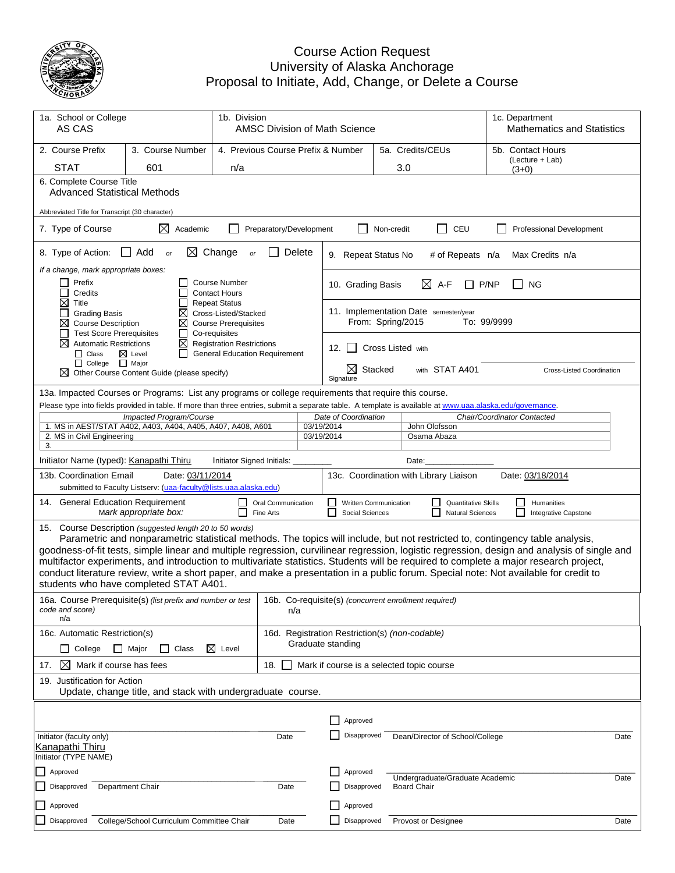

## Course Action Request University of Alaska Anchorage Proposal to Initiate, Add, Change, or Delete a Course

| 1a. School or College<br>1b. Division<br>AS CAS                                                               |                                                                                                                                                                                      |                                                                                              | AMSC Division of Math Science          |                                                                     |                                          |                  | 1c. Department<br><b>Mathematics and Statistics</b>        |                                                                                                                                                                                                                                                                                                                                                                                                                                                                                                                                                                |
|---------------------------------------------------------------------------------------------------------------|--------------------------------------------------------------------------------------------------------------------------------------------------------------------------------------|----------------------------------------------------------------------------------------------|----------------------------------------|---------------------------------------------------------------------|------------------------------------------|------------------|------------------------------------------------------------|----------------------------------------------------------------------------------------------------------------------------------------------------------------------------------------------------------------------------------------------------------------------------------------------------------------------------------------------------------------------------------------------------------------------------------------------------------------------------------------------------------------------------------------------------------------|
| 2. Course Prefix                                                                                              | 3. Course Number<br>4. Previous Course Prefix & Number                                                                                                                               |                                                                                              |                                        |                                                                     |                                          | 5a. Credits/CEUs | 5b. Contact Hours                                          |                                                                                                                                                                                                                                                                                                                                                                                                                                                                                                                                                                |
| STAT                                                                                                          | 601                                                                                                                                                                                  | n/a                                                                                          |                                        |                                                                     |                                          |                  | 3.0                                                        | (Lecture + Lab)<br>$(3+0)$                                                                                                                                                                                                                                                                                                                                                                                                                                                                                                                                     |
|                                                                                                               | 6. Complete Course Title<br><b>Advanced Statistical Methods</b>                                                                                                                      |                                                                                              |                                        |                                                                     |                                          |                  |                                                            |                                                                                                                                                                                                                                                                                                                                                                                                                                                                                                                                                                |
|                                                                                                               | Abbreviated Title for Transcript (30 character)                                                                                                                                      |                                                                                              |                                        |                                                                     |                                          |                  |                                                            |                                                                                                                                                                                                                                                                                                                                                                                                                                                                                                                                                                |
| 7. Type of Course                                                                                             | $\boxtimes$ Academic                                                                                                                                                                 |                                                                                              | Preparatory/Development                |                                                                     |                                          | Non-credit       | $\Box$<br>CEU                                              | Professional Development                                                                                                                                                                                                                                                                                                                                                                                                                                                                                                                                       |
| 8. Type of Action:                                                                                            | ∟ Add<br>or                                                                                                                                                                          | $\boxtimes$ Change<br>or                                                                     |                                        | Delete                                                              | 9. Repeat Status No                      |                  | # of Repeats n/a                                           | Max Credits n/a                                                                                                                                                                                                                                                                                                                                                                                                                                                                                                                                                |
| If a change, mark appropriate boxes:<br>Prefix<br>$\Box$<br>Credits                                           |                                                                                                                                                                                      | <b>Course Number</b><br><b>Contact Hours</b>                                                 |                                        |                                                                     | 10. Grading Basis                        |                  | $\bowtie$ A-F                                              | P/NP<br><b>NG</b>                                                                                                                                                                                                                                                                                                                                                                                                                                                                                                                                              |
| ⊠<br>Title<br><b>Grading Basis</b><br>⊠<br><b>Course Description</b><br><b>Test Score Prerequisites</b>       | ⊠<br>⊠<br>ப                                                                                                                                                                          | <b>Repeat Status</b><br>Cross-Listed/Stacked<br><b>Course Prerequisites</b><br>Co-requisites |                                        |                                                                     |                                          |                  | 11. Implementation Date semester/year<br>From: Spring/2015 | To: 99/9999                                                                                                                                                                                                                                                                                                                                                                                                                                                                                                                                                    |
| X<br><b>Automatic Restrictions</b><br>$\Box$ Class<br>□ College □ Major                                       | $\boxtimes$ Level<br>$\perp$                                                                                                                                                         | $\boxtimes$ Registration Restrictions<br><b>General Education Requirement</b>                |                                        |                                                                     | 12. $\vert$ $\vert$                      |                  | Cross Listed with                                          |                                                                                                                                                                                                                                                                                                                                                                                                                                                                                                                                                                |
|                                                                                                               | Other Course Content Guide (please specify)                                                                                                                                          |                                                                                              |                                        |                                                                     | $\boxtimes$<br>Signature                 | Stacked          | with STAT A401                                             | Cross-Listed Coordination                                                                                                                                                                                                                                                                                                                                                                                                                                                                                                                                      |
|                                                                                                               | 13a. Impacted Courses or Programs: List any programs or college requirements that require this course.                                                                               |                                                                                              |                                        |                                                                     |                                          |                  |                                                            |                                                                                                                                                                                                                                                                                                                                                                                                                                                                                                                                                                |
|                                                                                                               | Please type into fields provided in table. If more than three entries, submit a separate table. A template is available at www.uaa.alaska.edu/governance.<br>Impacted Program/Course |                                                                                              |                                        |                                                                     | Date of Coordination                     |                  |                                                            | Chair/Coordinator Contacted                                                                                                                                                                                                                                                                                                                                                                                                                                                                                                                                    |
|                                                                                                               | 1. MS in AEST/STAT A402, A403, A404, A405, A407, A408, A601                                                                                                                          |                                                                                              |                                        | 03/19/2014                                                          |                                          |                  | John Olofsson                                              |                                                                                                                                                                                                                                                                                                                                                                                                                                                                                                                                                                |
| 2. MS in Civil Engineering<br>3.                                                                              |                                                                                                                                                                                      |                                                                                              |                                        | 03/19/2014                                                          |                                          |                  | Osama Abaza                                                |                                                                                                                                                                                                                                                                                                                                                                                                                                                                                                                                                                |
| Initiator Name (typed): Kanapathi Thiru                                                                       |                                                                                                                                                                                      | Initiator Signed Initials:                                                                   |                                        |                                                                     |                                          |                  | Date:                                                      |                                                                                                                                                                                                                                                                                                                                                                                                                                                                                                                                                                |
| 13b. Coordination Email                                                                                       | Date: 03/11/2014<br>submitted to Faculty Listserv: (uaa-faculty@lists.uaa.alaska.edu)                                                                                                |                                                                                              |                                        |                                                                     |                                          |                  | 13c. Coordination with Library Liaison                     | Date: 03/18/2014                                                                                                                                                                                                                                                                                                                                                                                                                                                                                                                                               |
| 14. General Education Requirement                                                                             | Mark appropriate box:                                                                                                                                                                |                                                                                              | <b>Oral Communication</b><br>Fine Arts |                                                                     | Written Communication<br>Social Sciences |                  | <b>Quantitative Skills</b><br><b>Natural Sciences</b>      | Humanities<br>Integrative Capstone                                                                                                                                                                                                                                                                                                                                                                                                                                                                                                                             |
|                                                                                                               | 15. Course Description (suggested length 20 to 50 words)<br>students who have completed STAT A401.                                                                                   |                                                                                              |                                        |                                                                     |                                          |                  |                                                            | Parametric and nonparametric statistical methods. The topics will include, but not restricted to, contingency table analysis,<br>goodness-of-fit tests, simple linear and multiple regression, curvilinear regression, logistic regression, design and analysis of single and<br>multifactor experiments, and introduction to multivariate statistics. Students will be required to complete a major research project,<br>conduct literature review, write a short paper, and make a presentation in a public forum. Special note: Not available for credit to |
| code and score)<br>n/a                                                                                        | 16a. Course Prerequisite(s) (list prefix and number or test   16b. Co-requisite(s) (concurrent enrollment required)                                                                  |                                                                                              | n/a                                    |                                                                     |                                          |                  |                                                            |                                                                                                                                                                                                                                                                                                                                                                                                                                                                                                                                                                |
| 16c. Automatic Restriction(s)<br>$\Box$ Major<br>$\boxtimes$ Level<br>$\Box$ College<br>Class<br>$\mathsf{L}$ |                                                                                                                                                                                      |                                                                                              |                                        | 16d. Registration Restriction(s) (non-codable)<br>Graduate standing |                                          |                  |                                                            |                                                                                                                                                                                                                                                                                                                                                                                                                                                                                                                                                                |
| ⊠<br>Mark if course has fees<br>17.                                                                           |                                                                                                                                                                                      |                                                                                              | 18.                                    | Mark if course is a selected topic course                           |                                          |                  |                                                            |                                                                                                                                                                                                                                                                                                                                                                                                                                                                                                                                                                |
| 19. Justification for Action<br>Update, change title, and stack with undergraduate course.                    |                                                                                                                                                                                      |                                                                                              |                                        |                                                                     |                                          |                  |                                                            |                                                                                                                                                                                                                                                                                                                                                                                                                                                                                                                                                                |
|                                                                                                               |                                                                                                                                                                                      |                                                                                              |                                        |                                                                     |                                          |                  |                                                            |                                                                                                                                                                                                                                                                                                                                                                                                                                                                                                                                                                |
|                                                                                                               |                                                                                                                                                                                      |                                                                                              |                                        |                                                                     | Approved                                 |                  |                                                            |                                                                                                                                                                                                                                                                                                                                                                                                                                                                                                                                                                |
| Initiator (faculty only)<br>Kanapathi Thiru<br>Initiator (TYPE NAME)                                          |                                                                                                                                                                                      |                                                                                              | Date                                   |                                                                     | Disapproved                              |                  | Dean/Director of School/College                            | Date                                                                                                                                                                                                                                                                                                                                                                                                                                                                                                                                                           |
| Approved                                                                                                      |                                                                                                                                                                                      |                                                                                              |                                        |                                                                     | Approved                                 |                  |                                                            |                                                                                                                                                                                                                                                                                                                                                                                                                                                                                                                                                                |
| Disapproved                                                                                                   | Department Chair                                                                                                                                                                     |                                                                                              | Date                                   |                                                                     | Disapproved                              |                  | Undergraduate/Graduate Academic<br><b>Board Chair</b>      | Date                                                                                                                                                                                                                                                                                                                                                                                                                                                                                                                                                           |
| Approved                                                                                                      |                                                                                                                                                                                      |                                                                                              |                                        |                                                                     | Approved                                 |                  |                                                            |                                                                                                                                                                                                                                                                                                                                                                                                                                                                                                                                                                |
| Disapproved                                                                                                   | College/School Curriculum Committee Chair                                                                                                                                            |                                                                                              | Date                                   |                                                                     | Disapproved                              |                  | Provost or Designee                                        | Date                                                                                                                                                                                                                                                                                                                                                                                                                                                                                                                                                           |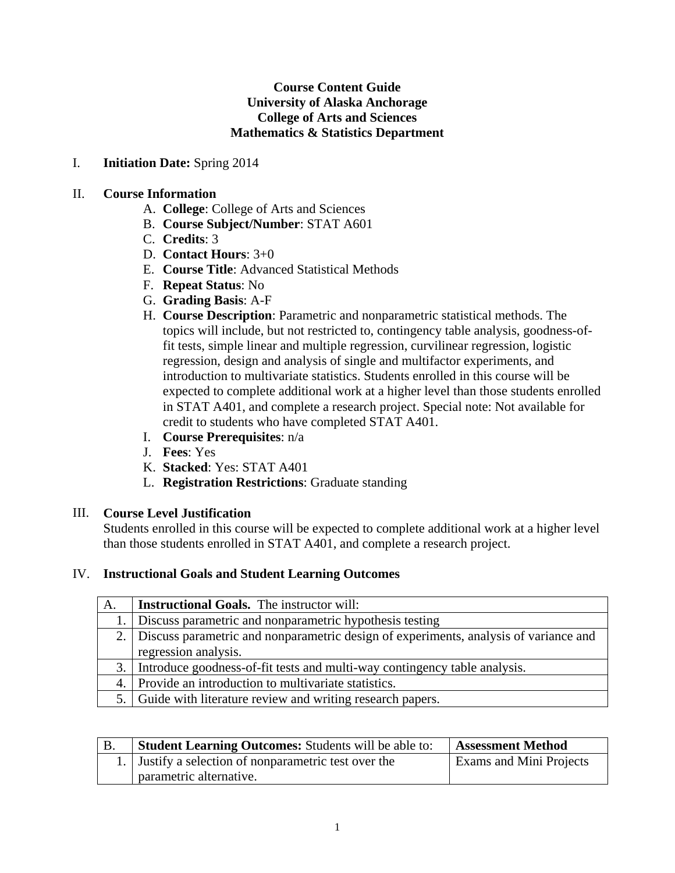## **Course Content Guide University of Alaska Anchorage College of Arts and Sciences Mathematics & Statistics Department**

#### I. **Initiation Date:** Spring 2014

#### II. **Course Information**

- A. **College**: College of Arts and Sciences
- B. **Course Subject/Number**: STAT A601
- C. **Credits**: 3
- D. **Contact Hours**: 3+0
- E. **Course Title**: Advanced Statistical Methods
- F. **Repeat Status**: No
- G. **Grading Basis**: A-F
- H. **Course Description**: Parametric and nonparametric statistical methods. The topics will include, but not restricted to, contingency table analysis, goodness-offit tests, simple linear and multiple regression, curvilinear regression, logistic regression, design and analysis of single and multifactor experiments, and introduction to multivariate statistics. Students enrolled in this course will be expected to complete additional work at a higher level than those students enrolled in STAT A401, and complete a research project. Special note: Not available for credit to students who have completed STAT A401.
- I. **Course Prerequisites**: n/a
- J. **Fees**: Yes
- K. **Stacked**: Yes: STAT A401
- L. **Registration Restrictions**: Graduate standing

#### III. **Course Level Justification**

Students enrolled in this course will be expected to complete additional work at a higher level than those students enrolled in STAT A401, and complete a research project.

### IV. **Instructional Goals and Student Learning Outcomes**

| A. | <b>Instructional Goals.</b> The instructor will:                                        |
|----|-----------------------------------------------------------------------------------------|
|    | 1. Discuss parametric and nonparametric hypothesis testing                              |
|    | 2. Discuss parametric and nonparametric design of experiments, analysis of variance and |
|    | regression analysis.                                                                    |
|    | 3. Introduce goodness-of-fit tests and multi-way contingency table analysis.            |
|    | 4. Provide an introduction to multivariate statistics.                                  |
|    | 5. Guide with literature review and writing research papers.                            |

| <b>Student Learning Outcomes:</b> Students will be able to: | <b>Assessment Method</b>       |
|-------------------------------------------------------------|--------------------------------|
| 1. Justify a selection of nonparametric test over the       | <b>Exams and Mini Projects</b> |
| parametric alternative.                                     |                                |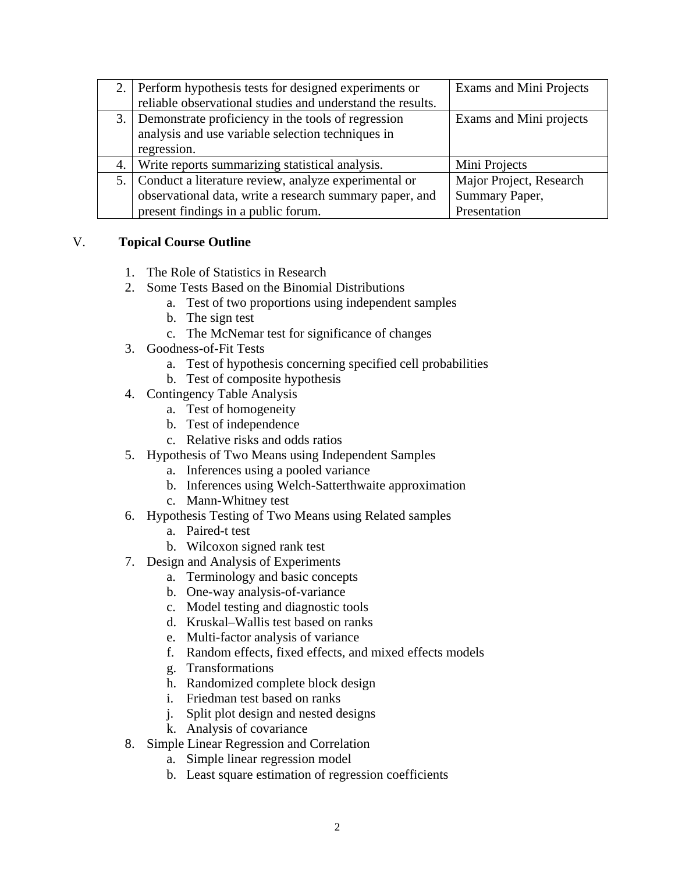|    | 2. Perform hypothesis tests for designed experiments or    | <b>Exams and Mini Projects</b> |
|----|------------------------------------------------------------|--------------------------------|
|    | reliable observational studies and understand the results. |                                |
|    | 3. Demonstrate proficiency in the tools of regression      | Exams and Mini projects        |
|    | analysis and use variable selection techniques in          |                                |
|    | regression.                                                |                                |
| 4. | Write reports summarizing statistical analysis.            | Mini Projects                  |
|    | 5. Conduct a literature review, analyze experimental or    | Major Project, Research        |
|    | observational data, write a research summary paper, and    | Summary Paper,                 |
|    | present findings in a public forum.                        | Presentation                   |

## V. **Topical Course Outline**

- 1. The Role of Statistics in Research
- 2. Some Tests Based on the Binomial Distributions
	- a. Test of two proportions using independent samples
	- b. The sign test
	- c. The McNemar test for significance of changes
- 3. Goodness-of-Fit Tests
	- a. Test of hypothesis concerning specified cell probabilities
	- b. Test of composite hypothesis
- 4. Contingency Table Analysis
	- a. Test of homogeneity
	- b. Test of independence
	- c. Relative risks and odds ratios
- 5. Hypothesis of Two Means using Independent Samples
	- a. Inferences using a pooled variance
	- b. Inferences using Welch-Satterthwaite approximation
	- c. Mann-Whitney test
- 6. Hypothesis Testing of Two Means using Related samples
	- a. Paired-t test
	- b. Wilcoxon signed rank test
- 7. Design and Analysis of Experiments
	- a. Terminology and basic concepts
	- b. One-way analysis-of-variance
	- c. Model testing and diagnostic tools
	- d. Kruskal–Wallis test based on ranks
	- e. Multi-factor analysis of variance
	- f. Random effects, fixed effects, and mixed effects models
	- g. Transformations
	- h. Randomized complete block design
	- i. Friedman test based on ranks
	- j. Split plot design and nested designs
	- k. Analysis of covariance
- 8. Simple Linear Regression and Correlation
	- a. Simple linear regression model
	- b. Least square estimation of regression coefficients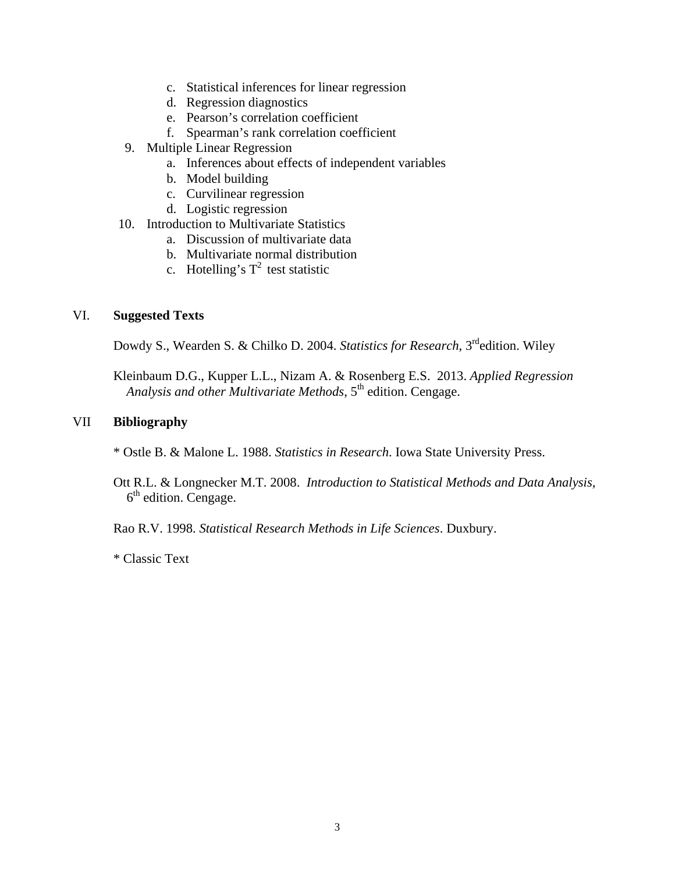- c. Statistical inferences for linear regression
- d. Regression diagnostics
- e. Pearson's correlation coefficient
- f. Spearman's rank correlation coefficient
- 9. Multiple Linear Regression
	- a. Inferences about effects of independent variables
	- b. Model building
	- c. Curvilinear regression
	- d. Logistic regression
- 10. Introduction to Multivariate Statistics
	- a. Discussion of multivariate data
	- b. Multivariate normal distribution
	- c. Hotelling's  $T^2$  test statistic

### VI. **Suggested Texts**

Dowdy S., Wearden S. & Chilko D. 2004. *Statistics for Research*, 3rdedition. Wiley

Kleinbaum D.G., Kupper L.L., Nizam A. & Rosenberg E.S. 2013. *Applied Regression* Analysis and other Multivariate Methods, 5<sup>th</sup> edition. Cengage.

## VII **Bibliography**

\* Ostle B. & Malone L. 1988. *Statistics in Research*. Iowa State University Press.

Ott R.L. & Longnecker M.T. 2008. *Introduction to Statistical Methods and Data Analysis,*   $6<sup>th</sup>$  edition. Cengage.

Rao R.V. 1998. *Statistical Research Methods in Life Sciences*. Duxbury.

\* Classic Text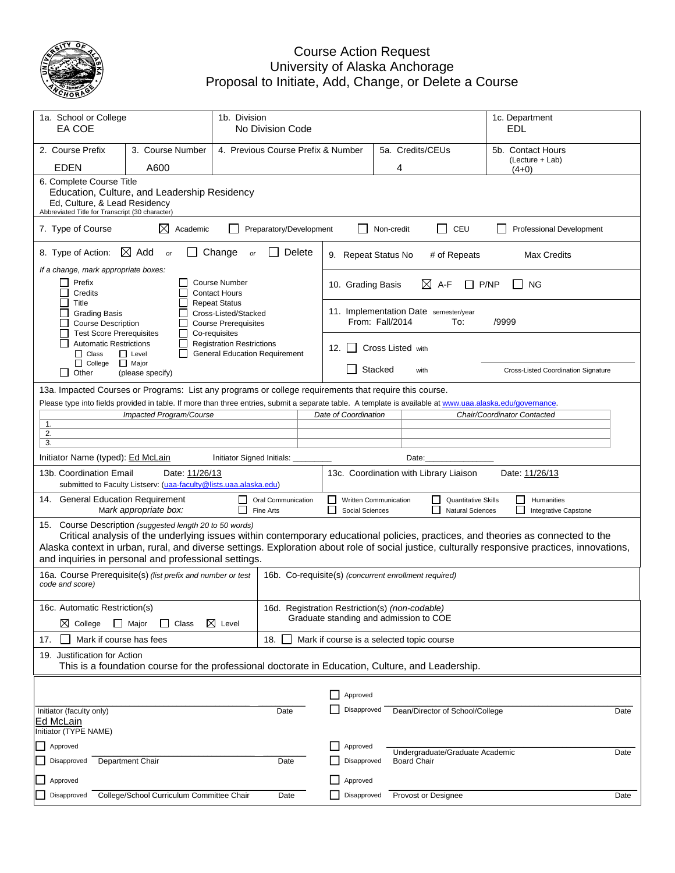

## Course Action Request University of Alaska Anchorage Proposal to Initiate, Add, Change, or Delete a Course

| 1a. School or College<br>EA COE                                                                                                                           |                                                                                                                                                              |                                                                                                     | 1b. Division<br>No Division Code |  |                                          |                                       |                                                                                          |                                                       | EDL   | 1c. Department                                                                                                                                                                                                                                                                    |      |
|-----------------------------------------------------------------------------------------------------------------------------------------------------------|--------------------------------------------------------------------------------------------------------------------------------------------------------------|-----------------------------------------------------------------------------------------------------|----------------------------------|--|------------------------------------------|---------------------------------------|------------------------------------------------------------------------------------------|-------------------------------------------------------|-------|-----------------------------------------------------------------------------------------------------------------------------------------------------------------------------------------------------------------------------------------------------------------------------------|------|
| 2. Course Prefix<br>3. Course Number<br>4. Previous Course Prefix & Number                                                                                |                                                                                                                                                              |                                                                                                     |                                  |  |                                          | 5a. Credits/CEUs<br>5b. Contact Hours |                                                                                          |                                                       |       |                                                                                                                                                                                                                                                                                   |      |
| <b>EDEN</b>                                                                                                                                               | A600                                                                                                                                                         |                                                                                                     |                                  |  |                                          |                                       | 4                                                                                        |                                                       |       | (Lecture + Lab)<br>$(4+0)$                                                                                                                                                                                                                                                        |      |
|                                                                                                                                                           | 6. Complete Course Title<br>Education, Culture, and Leadership Residency<br>Ed, Culture, & Lead Residency<br>Abbreviated Title for Transcript (30 character) |                                                                                                     |                                  |  |                                          |                                       |                                                                                          |                                                       |       |                                                                                                                                                                                                                                                                                   |      |
| 7. Type of Course                                                                                                                                         | ⋈<br>Academic                                                                                                                                                |                                                                                                     | Preparatory/Development          |  |                                          | Non-credit                            | $\Box$                                                                                   | CEU                                                   |       | <b>Professional Development</b>                                                                                                                                                                                                                                                   |      |
| 8. Type of Action:                                                                                                                                        | $\boxtimes$ Add<br>or                                                                                                                                        | Change<br>or                                                                                        | Delete                           |  | 9. Repeat Status No                      |                                       |                                                                                          | # of Repeats                                          |       | <b>Max Credits</b>                                                                                                                                                                                                                                                                |      |
| If a change, mark appropriate boxes:<br>Prefix                                                                                                            |                                                                                                                                                              | <b>Course Number</b>                                                                                |                                  |  | 10. Grading Basis                        |                                       | ⊠<br>A-F                                                                                 |                                                       | P/NP  | <b>NG</b>                                                                                                                                                                                                                                                                         |      |
| Credits<br>Title<br><b>Grading Basis</b><br><b>Course Description</b><br><b>Test Score Prerequisites</b>                                                  |                                                                                                                                                              | <b>Contact Hours</b><br><b>Repeat Status</b><br>Cross-Listed/Stacked<br><b>Course Prerequisites</b> |                                  |  | From: Fall/2014                          |                                       | 11. Implementation Date semester/year                                                    | To:                                                   | /9999 |                                                                                                                                                                                                                                                                                   |      |
| <b>Automatic Restrictions</b><br>$\Box$ Class                                                                                                             | l 1<br>$\Box$ Level<br>l 1                                                                                                                                   | Co-requisites<br><b>Registration Restrictions</b><br><b>General Education Requirement</b>           |                                  |  | 12. $\vert$ $\vert$                      |                                       | <b>Cross Listed with</b>                                                                 |                                                       |       |                                                                                                                                                                                                                                                                                   |      |
| $\Box$ College<br>Other<br>l 1                                                                                                                            | $\Box$ Major<br>(please specify)                                                                                                                             |                                                                                                     |                                  |  |                                          | Stacked                               | with                                                                                     |                                                       |       | Cross-Listed Coordination Signature                                                                                                                                                                                                                                               |      |
|                                                                                                                                                           | 13a. Impacted Courses or Programs: List any programs or college requirements that require this course.                                                       |                                                                                                     |                                  |  |                                          |                                       |                                                                                          |                                                       |       |                                                                                                                                                                                                                                                                                   |      |
| Please type into fields provided in table. If more than three entries, submit a separate table. A template is available at www.uaa.alaska.edu/governance. | Impacted Program/Course                                                                                                                                      |                                                                                                     |                                  |  | Date of Coordination                     |                                       |                                                                                          |                                                       |       | Chair/Coordinator Contacted                                                                                                                                                                                                                                                       |      |
| 1.                                                                                                                                                        |                                                                                                                                                              |                                                                                                     |                                  |  |                                          |                                       |                                                                                          |                                                       |       |                                                                                                                                                                                                                                                                                   |      |
| 2.<br>3.                                                                                                                                                  |                                                                                                                                                              |                                                                                                     |                                  |  |                                          |                                       |                                                                                          |                                                       |       |                                                                                                                                                                                                                                                                                   |      |
| Initiator Name (typed): Ed McLain                                                                                                                         |                                                                                                                                                              | Initiator Signed Initials:                                                                          |                                  |  |                                          |                                       | Date:                                                                                    |                                                       |       |                                                                                                                                                                                                                                                                                   |      |
| 13b. Coordination Email                                                                                                                                   | Date: 11/26/13                                                                                                                                               |                                                                                                     |                                  |  |                                          |                                       | 13c. Coordination with Library Liaison                                                   |                                                       |       | Date: 11/26/13                                                                                                                                                                                                                                                                    |      |
|                                                                                                                                                           | submitted to Faculty Listserv: (uaa-faculty@lists.uaa.alaska.edu)                                                                                            |                                                                                                     |                                  |  |                                          |                                       |                                                                                          |                                                       |       |                                                                                                                                                                                                                                                                                   |      |
| 14. General Education Requirement                                                                                                                         | Mark appropriate box:                                                                                                                                        | Fine Arts                                                                                           | Oral Communication               |  | Written Communication<br>Social Sciences |                                       |                                                                                          | <b>Quantitative Skills</b><br><b>Natural Sciences</b> |       | Humanities<br>Integrative Capstone                                                                                                                                                                                                                                                |      |
| 15. Course Description (suggested length 20 to 50 words)<br>and inquiries in personal and professional settings.                                          |                                                                                                                                                              |                                                                                                     |                                  |  |                                          |                                       |                                                                                          |                                                       |       | Critical analysis of the underlying issues within contemporary educational policies, practices, and theories as connected to the<br>Alaska context in urban, rural, and diverse settings. Exploration about role of social justice, culturally responsive practices, innovations, |      |
| code and score)                                                                                                                                           | 16a. Course Prerequisite(s) (list prefix and number or test                                                                                                  |                                                                                                     |                                  |  |                                          |                                       | 16b. Co-requisite(s) (concurrent enrollment required)                                    |                                                       |       |                                                                                                                                                                                                                                                                                   |      |
| 16c. Automatic Restriction(s)<br>$\boxtimes$ College                                                                                                      | $\Box$ Major<br>$\mathsf{L}$<br>Class                                                                                                                        | $\boxtimes$ Level                                                                                   |                                  |  |                                          |                                       | 16d. Registration Restriction(s) (non-codable)<br>Graduate standing and admission to COE |                                                       |       |                                                                                                                                                                                                                                                                                   |      |
| Mark if course has fees<br>17.                                                                                                                            |                                                                                                                                                              |                                                                                                     | 18.                              |  |                                          |                                       | Mark if course is a selected topic course                                                |                                                       |       |                                                                                                                                                                                                                                                                                   |      |
|                                                                                                                                                           | 19. Justification for Action<br>This is a foundation course for the professional doctorate in Education, Culture, and Leadership.                            |                                                                                                     |                                  |  |                                          |                                       |                                                                                          |                                                       |       |                                                                                                                                                                                                                                                                                   |      |
|                                                                                                                                                           |                                                                                                                                                              |                                                                                                     |                                  |  |                                          |                                       |                                                                                          |                                                       |       |                                                                                                                                                                                                                                                                                   |      |
|                                                                                                                                                           |                                                                                                                                                              |                                                                                                     |                                  |  | Approved                                 |                                       |                                                                                          |                                                       |       |                                                                                                                                                                                                                                                                                   |      |
| Initiator (faculty only)<br>Ed McLain<br>Initiator (TYPE NAME)                                                                                            |                                                                                                                                                              |                                                                                                     | Date                             |  | Disapproved                              |                                       | Dean/Director of School/College                                                          |                                                       |       |                                                                                                                                                                                                                                                                                   | Date |
| Approved                                                                                                                                                  |                                                                                                                                                              |                                                                                                     |                                  |  | Approved                                 |                                       |                                                                                          |                                                       |       |                                                                                                                                                                                                                                                                                   |      |
| Disapproved                                                                                                                                               | Department Chair                                                                                                                                             |                                                                                                     | Date                             |  | Disapproved                              |                                       | Undergraduate/Graduate Academic<br><b>Board Chair</b>                                    |                                                       |       |                                                                                                                                                                                                                                                                                   | Date |
| Approved                                                                                                                                                  |                                                                                                                                                              |                                                                                                     |                                  |  | Approved                                 |                                       |                                                                                          |                                                       |       |                                                                                                                                                                                                                                                                                   |      |
| Disapproved                                                                                                                                               | College/School Curriculum Committee Chair                                                                                                                    |                                                                                                     | Date                             |  | Disapproved                              |                                       | Provost or Designee                                                                      |                                                       |       |                                                                                                                                                                                                                                                                                   | Date |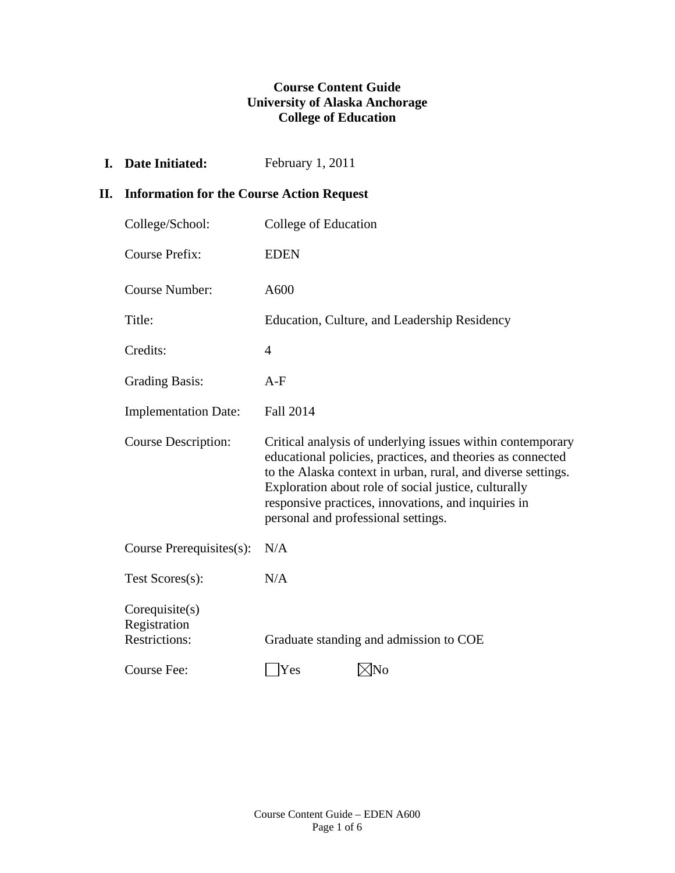## **Course Content Guide University of Alaska Anchorage College of Education**

**I.** Date Initiated: February 1, 2011

## **II. Information for the Course Action Request**

| College/School:                                      | College of Education                                                                                                                                                                                                                                                                                                                           |
|------------------------------------------------------|------------------------------------------------------------------------------------------------------------------------------------------------------------------------------------------------------------------------------------------------------------------------------------------------------------------------------------------------|
| <b>Course Prefix:</b>                                | <b>EDEN</b>                                                                                                                                                                                                                                                                                                                                    |
| <b>Course Number:</b>                                | A600                                                                                                                                                                                                                                                                                                                                           |
| Title:                                               | Education, Culture, and Leadership Residency                                                                                                                                                                                                                                                                                                   |
| Credits:                                             | $\overline{4}$                                                                                                                                                                                                                                                                                                                                 |
| <b>Grading Basis:</b>                                | $A-F$                                                                                                                                                                                                                                                                                                                                          |
| <b>Implementation Date:</b>                          | <b>Fall 2014</b>                                                                                                                                                                                                                                                                                                                               |
| <b>Course Description:</b>                           | Critical analysis of underlying issues within contemporary<br>educational policies, practices, and theories as connected<br>to the Alaska context in urban, rural, and diverse settings.<br>Exploration about role of social justice, culturally<br>responsive practices, innovations, and inquiries in<br>personal and professional settings. |
| Course Prerequisites(s):                             | N/A                                                                                                                                                                                                                                                                                                                                            |
| Test Scores(s):                                      | N/A                                                                                                                                                                                                                                                                                                                                            |
| Corequist(s)<br>Registration<br><b>Restrictions:</b> | Graduate standing and admission to COE                                                                                                                                                                                                                                                                                                         |
| Course Fee:                                          | ⊠No<br>Yes                                                                                                                                                                                                                                                                                                                                     |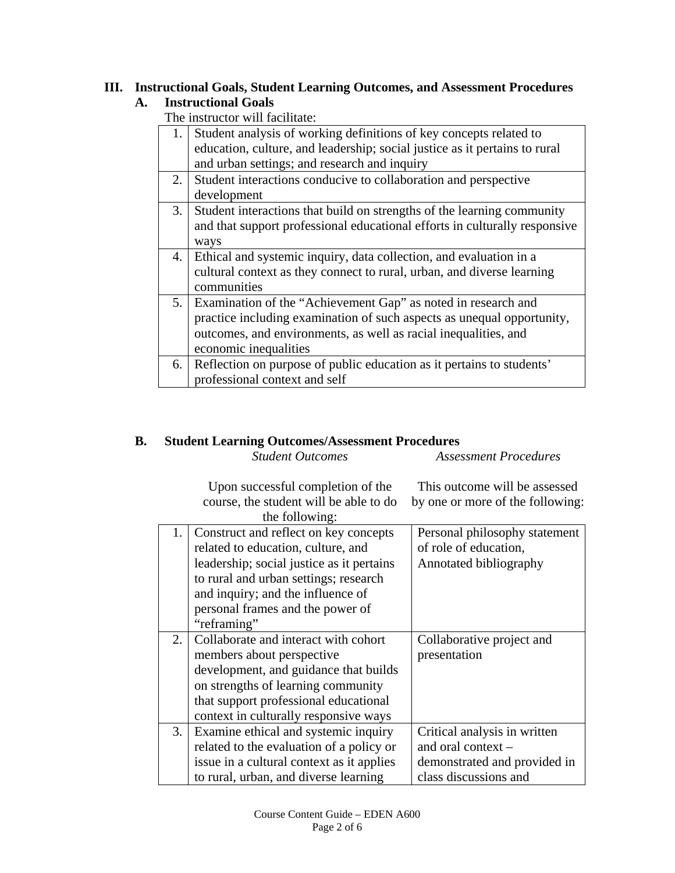#### **III. Instructional Goals, Student Learning Outcomes, and Assessment Procedures A. Instructional Goals**

The instructor will facilitate:

| 1. | Student analysis of working definitions of key concepts related to         |
|----|----------------------------------------------------------------------------|
|    | education, culture, and leadership; social justice as it pertains to rural |
|    | and urban settings; and research and inquiry                               |
| 2. | Student interactions conducive to collaboration and perspective            |
|    | development                                                                |
| 3. | Student interactions that build on strengths of the learning community     |
|    | and that support professional educational efforts in culturally responsive |
|    | ways                                                                       |
| 4. | Ethical and systemic inquiry, data collection, and evaluation in a         |
|    | cultural context as they connect to rural, urban, and diverse learning     |
|    | communities                                                                |
| 5. | Examination of the "Achievement Gap" as noted in research and              |
|    | practice including examination of such aspects as unequal opportunity,     |
|    | outcomes, and environments, as well as racial inequalities, and            |
|    | economic inequalities                                                      |
| 6. | Reflection on purpose of public education as it pertains to students'      |
|    | professional context and self                                              |

# **B. Student Learning Outcomes/Assessment Procedures**

 *Student Outcomes Assessment Procedures* 

Upon successful completion of the course, the student will be able to do This outcome will be assessed by one or more of the following:

|    | the following:                            |                               |
|----|-------------------------------------------|-------------------------------|
| 1. | Construct and reflect on key concepts     | Personal philosophy statement |
|    | related to education, culture, and        | of role of education,         |
|    | leadership; social justice as it pertains | Annotated bibliography        |
|    | to rural and urban settings; research     |                               |
|    | and inquiry; and the influence of         |                               |
|    | personal frames and the power of          |                               |
|    | "reframing"                               |                               |
| 2. | Collaborate and interact with cohort      | Collaborative project and     |
|    | members about perspective                 | presentation                  |
|    | development, and guidance that builds     |                               |
|    | on strengths of learning community        |                               |
|    | that support professional educational     |                               |
|    | context in culturally responsive ways     |                               |
| 3. | Examine ethical and systemic inquiry      | Critical analysis in written  |
|    | related to the evaluation of a policy or  | and oral context -            |
|    | issue in a cultural context as it applies | demonstrated and provided in  |
|    | to rural, urban, and diverse learning     | class discussions and         |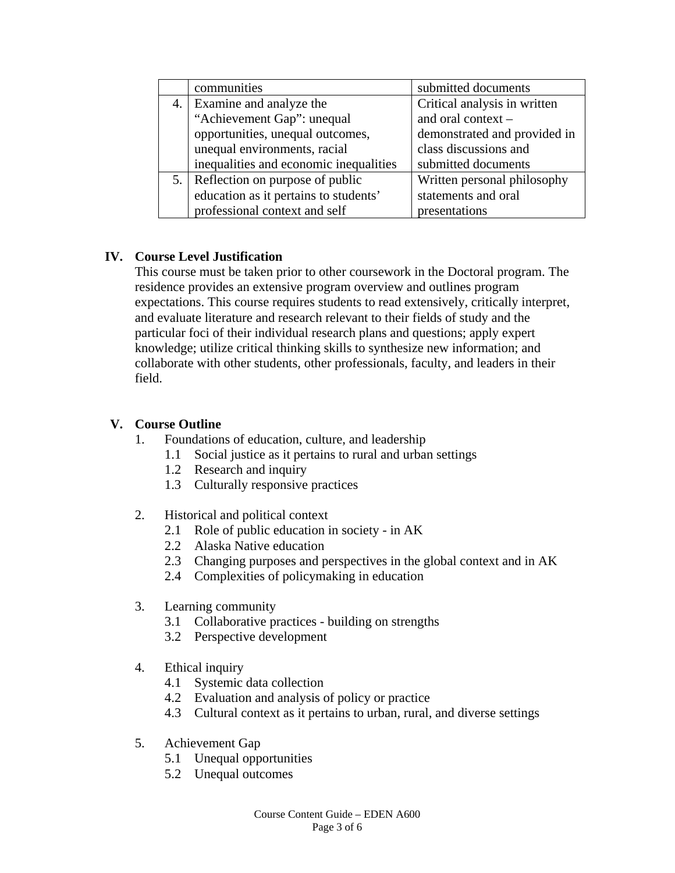|     | communities                            | submitted documents          |
|-----|----------------------------------------|------------------------------|
| 4.  | Examine and analyze the                | Critical analysis in written |
|     | "Achievement Gap": unequal             | and oral context -           |
|     | opportunities, unequal outcomes,       | demonstrated and provided in |
|     | unequal environments, racial           | class discussions and        |
|     | inequalities and economic inequalities | submitted documents          |
| 5.1 | Reflection on purpose of public        | Written personal philosophy  |
|     | education as it pertains to students'  | statements and oral          |
|     | professional context and self          | presentations                |

# **IV. Course Level Justification**

 This course must be taken prior to other coursework in the Doctoral program. The residence provides an extensive program overview and outlines program expectations. This course requires students to read extensively, critically interpret, and evaluate literature and research relevant to their fields of study and the particular foci of their individual research plans and questions; apply expert knowledge; utilize critical thinking skills to synthesize new information; and collaborate with other students, other professionals, faculty, and leaders in their field.

## **V. Course Outline**

- 1. Foundations of education, culture, and leadership
	- 1.1 Social justice as it pertains to rural and urban settings
	- 1.2 Research and inquiry
	- 1.3 Culturally responsive practices
- 2. Historical and political context
	- 2.1 Role of public education in society in AK
	- 2.2 Alaska Native education
	- 2.3 Changing purposes and perspectives in the global context and in AK
	- 2.4 Complexities of policymaking in education
- 3. Learning community
	- 3.1 Collaborative practices building on strengths
	- 3.2 Perspective development
- 4. Ethical inquiry
	- 4.1 Systemic data collection
	- 4.2 Evaluation and analysis of policy or practice
	- 4.3 Cultural context as it pertains to urban, rural, and diverse settings
- 5. Achievement Gap
	- 5.1 Unequal opportunities
	- 5.2 Unequal outcomes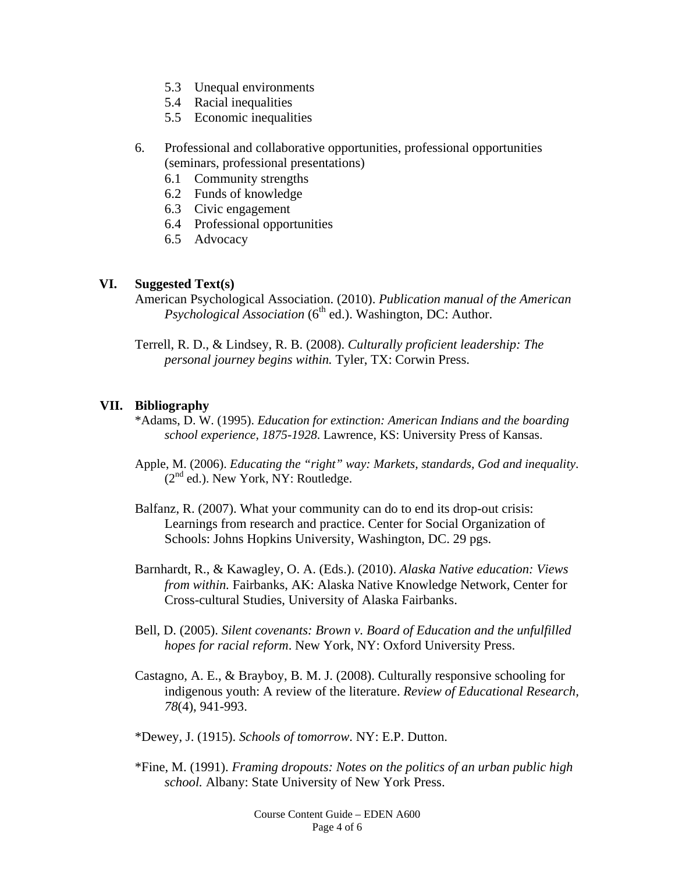- 5.3 Unequal environments
- 5.4 Racial inequalities
- 5.5 Economic inequalities
- 6. Professional and collaborative opportunities, professional opportunities (seminars, professional presentations)
	- 6.1 Community strengths
	- 6.2 Funds of knowledge
	- 6.3 Civic engagement
	- 6.4 Professional opportunities
	- 6.5 Advocacy

#### **VI. Suggested Text(s)**

American Psychological Association. (2010). *Publication manual of the American Psychological Association* (6<sup>th</sup> ed.). Washington, DC: Author.

Terrell, R. D., & Lindsey, R. B. (2008). *Culturally proficient leadership: The personal journey begins within.* Tyler, TX: Corwin Press.

### **VII. Bibliography**

- \*Adams, D. W. (1995). *Education for extinction: American Indians and the boarding school experience, 1875-1928*. Lawrence, KS: University Press of Kansas.
- Apple, M. (2006). *Educating the "right" way: Markets, standards, God and inequality*.  $(2<sup>nd</sup>$  ed.). New York, NY: Routledge.
- Balfanz, R. (2007). What your community can do to end its drop-out crisis: Learnings from research and practice. Center for Social Organization of Schools: Johns Hopkins University, Washington, DC. 29 pgs.
- Barnhardt, R., & Kawagley, O. A. (Eds.). (2010). *Alaska Native education: Views from within.* Fairbanks, AK: Alaska Native Knowledge Network, Center for Cross-cultural Studies, University of Alaska Fairbanks.
- Bell, D. (2005). *Silent covenants: Brown v. Board of Education and the unfulfilled hopes for racial reform*. New York, NY: Oxford University Press.
- Castagno, A. E., & Brayboy, B. M. J. (2008). Culturally responsive schooling for indigenous youth: A review of the literature. *Review of Educational Research, 78*(4), 941-993.
- \*Dewey, J. (1915). *Schools of tomorrow*. NY: E.P. Dutton.
- \*Fine, M. (1991). *Framing dropouts: Notes on the politics of an urban public high school.* Albany: State University of New York Press.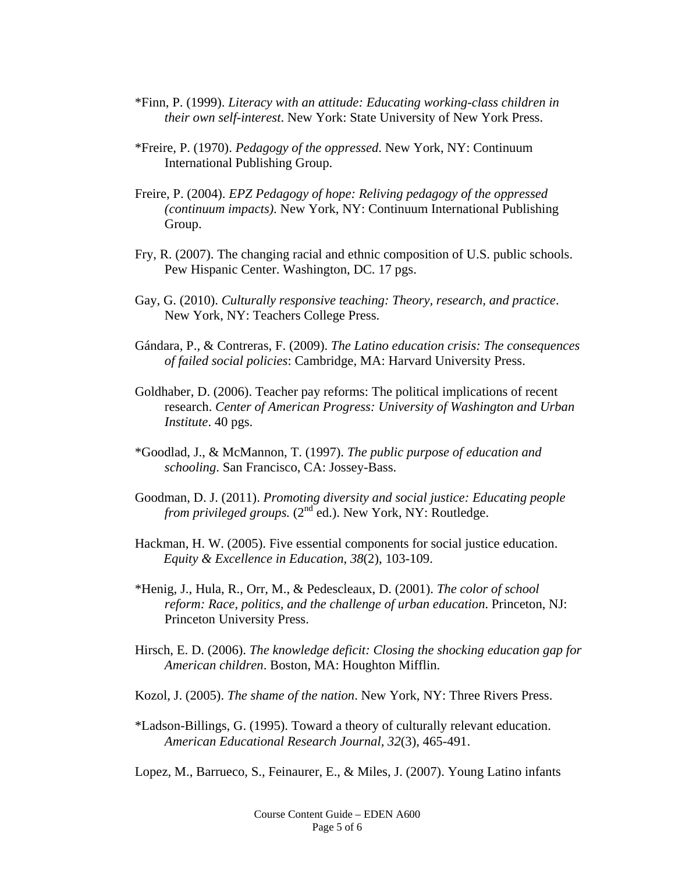- \*Finn, P. (1999). *Literacy with an attitude: Educating working-class children in their own self-interest*. New York: State University of New York Press.
- \*Freire, P. (1970). *Pedagogy of the oppressed*. New York, NY: Continuum International Publishing Group.
- Freire, P. (2004). *EPZ Pedagogy of hope: Reliving pedagogy of the oppressed (continuum impacts)*. New York, NY: Continuum International Publishing Group.
- Fry, R. (2007). The changing racial and ethnic composition of U.S. public schools. Pew Hispanic Center. Washington, DC. 17 pgs.
- Gay, G. (2010). *Culturally responsive teaching: Theory, research, and practice*. New York, NY: Teachers College Press.
- Gándara, P., & Contreras, F. (2009). *The Latino education crisis: The consequences of failed social policies*: Cambridge, MA: Harvard University Press.
- Goldhaber, D. (2006). Teacher pay reforms: The political implications of recent research. *Center of American Progress: University of Washington and Urban Institute*. 40 pgs.
- \*Goodlad, J., & McMannon, T. (1997). *The public purpose of education and schooling*. San Francisco, CA: Jossey-Bass.
- Goodman, D. J. (2011). *Promoting diversity and social justice: Educating people from privileged groups.* (2<sup>nd</sup> ed.). New York, NY: Routledge.
- Hackman, H. W. (2005). Five essential components for social justice education. *Equity & Excellence in Education*, *38*(2), 103-109.
- \*Henig, J., Hula, R., Orr, M., & Pedescleaux, D. (2001). *The color of school reform: Race, politics, and the challenge of urban education*. Princeton, NJ: Princeton University Press.
- Hirsch, E. D. (2006). *The knowledge deficit: Closing the shocking education gap for American children*. Boston, MA: Houghton Mifflin.
- Kozol, J. (2005). *The shame of the nation*. New York, NY: Three Rivers Press.
- \*Ladson-Billings, G. (1995). Toward a theory of culturally relevant education. *American Educational Research Journal, 32*(3), 465-491.

Lopez, M., Barrueco, S., Feinaurer, E., & Miles, J. (2007). Young Latino infants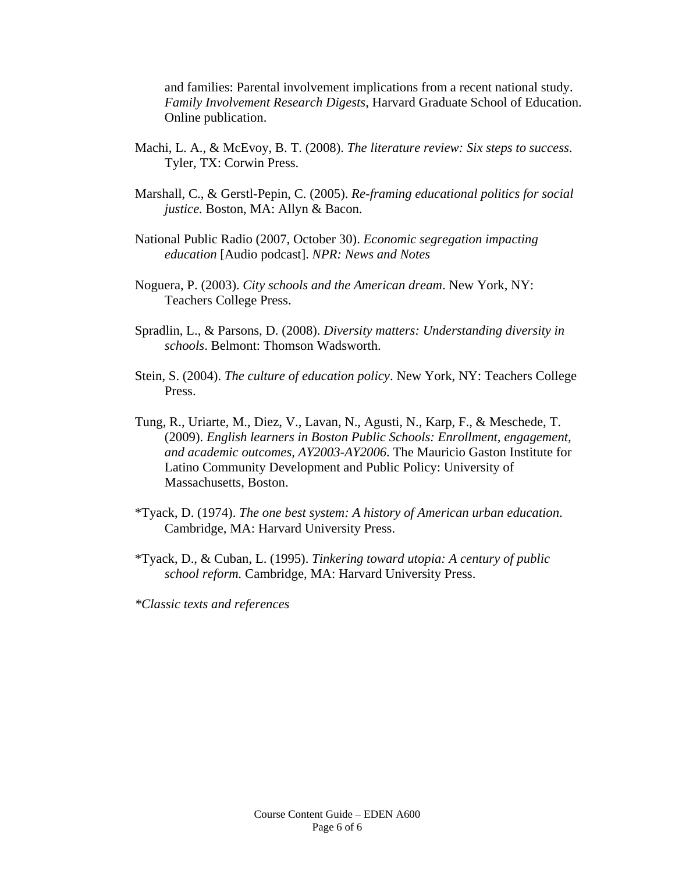and families: Parental involvement implications from a recent national study. *Family Involvement Research Digests*, Harvard Graduate School of Education. Online publication.

- Machi, L. A., & McEvoy, B. T. (2008). *The literature review: Six steps to success*. Tyler, TX: Corwin Press.
- Marshall, C., & Gerstl-Pepin, C. (2005). *Re-framing educational politics for social justice.* Boston, MA: Allyn & Bacon.
- National Public Radio (2007, October 30). *Economic segregation impacting education* [Audio podcast]. *NPR: News and Notes*
- Noguera, P. (2003). *City schools and the American dream*. New York, NY: Teachers College Press.
- Spradlin, L., & Parsons, D. (2008). *Diversity matters: Understanding diversity in schools*. Belmont: Thomson Wadsworth.
- Stein, S. (2004). *The culture of education policy*. New York, NY: Teachers College Press.
- Tung, R., Uriarte, M., Diez, V., Lavan, N., Agusti, N., Karp, F., & Meschede, T. (2009). *English learners in Boston Public Schools: Enrollment, engagement, and academic outcomes, AY2003-AY2006*. The Mauricio Gaston Institute for Latino Community Development and Public Policy: University of Massachusetts, Boston.
- \*Tyack, D. (1974). *The one best system: A history of American urban education*. Cambridge, MA: Harvard University Press.
- \*Tyack, D., & Cuban, L. (1995). *Tinkering toward utopia: A century of public school reform.* Cambridge, MA: Harvard University Press.

*\*Classic texts and references*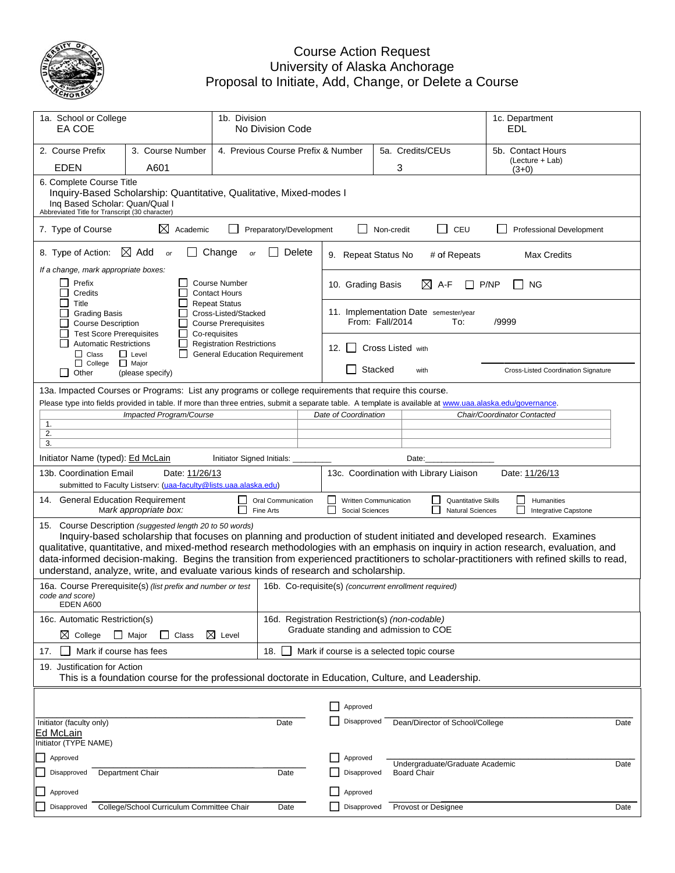

#### Proposa Cou Univers al to Initiate urse Action ity of Alask , Add, Cha Request ka Anchorag nge, or Del ge lete a Course

| 1a. School or College<br>EA COE                                                                                                                                                                                                                                                                                                                                                                                                                                                                                                                               |                                                                                                                                                                                                                                                                                                | 1b. Division                                                             | No Division Code                                      |                                                             |                   |                                        |                                                       | 1c. Department<br>EDL                           |      |
|---------------------------------------------------------------------------------------------------------------------------------------------------------------------------------------------------------------------------------------------------------------------------------------------------------------------------------------------------------------------------------------------------------------------------------------------------------------------------------------------------------------------------------------------------------------|------------------------------------------------------------------------------------------------------------------------------------------------------------------------------------------------------------------------------------------------------------------------------------------------|--------------------------------------------------------------------------|-------------------------------------------------------|-------------------------------------------------------------|-------------------|----------------------------------------|-------------------------------------------------------|-------------------------------------------------|------|
| 2. Course Prefix<br><b>EDEN</b>                                                                                                                                                                                                                                                                                                                                                                                                                                                                                                                               | 3. Course Number<br>A601                                                                                                                                                                                                                                                                       |                                                                          |                                                       | 5a. Credits/CEUs<br>4. Previous Course Prefix & Number<br>3 |                   |                                        |                                                       | 5b. Contact Hours<br>(Lecture + Lab)<br>$(3+0)$ |      |
|                                                                                                                                                                                                                                                                                                                                                                                                                                                                                                                                                               | 6. Complete Course Title<br>Inquiry-Based Scholarship: Quantitative, Qualitative, Mixed-modes I<br>Ing Based Scholar: Quan/Qual I<br>Abbreviated Title for Transcript (30 character)                                                                                                           |                                                                          |                                                       |                                                             |                   |                                        |                                                       |                                                 |      |
| 7. Type of Course                                                                                                                                                                                                                                                                                                                                                                                                                                                                                                                                             | $\boxtimes$ Academic                                                                                                                                                                                                                                                                           |                                                                          | Preparatory/Development                               |                                                             | Non-credit        | $\Box$                                 | CEU                                                   | Professional Development                        |      |
| 8. Type of Action:                                                                                                                                                                                                                                                                                                                                                                                                                                                                                                                                            | $\boxtimes$ Add<br>or                                                                                                                                                                                                                                                                          | Change<br>or                                                             | Delete                                                | 9. Repeat Status No                                         |                   |                                        | # of Repeats                                          | Max Credits                                     |      |
| If a change, mark appropriate boxes:<br>Prefix<br>$\mathsf{L}$<br>Credits<br>П<br>Title                                                                                                                                                                                                                                                                                                                                                                                                                                                                       |                                                                                                                                                                                                                                                                                                | <b>Course Number</b><br><b>Contact Hours</b><br><b>Repeat Status</b>     |                                                       | 10. Grading Basis                                           |                   | $\boxtimes$<br>A-F                     |                                                       | P/NP<br><b>NG</b>                               |      |
| <b>Grading Basis</b><br><b>Course Description</b><br><b>Test Score Prerequisites</b>                                                                                                                                                                                                                                                                                                                                                                                                                                                                          |                                                                                                                                                                                                                                                                                                | Cross-Listed/Stacked<br><b>Course Prerequisites</b><br>Co-requisites     |                                                       |                                                             | From: Fall/2014   | 11. Implementation Date semester/year  | To:                                                   | /9999                                           |      |
| <b>Automatic Restrictions</b><br>$\Box$ Class                                                                                                                                                                                                                                                                                                                                                                                                                                                                                                                 | $\mathsf{L}$<br>$\Box$ Level                                                                                                                                                                                                                                                                   | <b>Registration Restrictions</b><br><b>General Education Requirement</b> |                                                       | 12. $\vert$ $\vert$                                         | Cross Listed with |                                        |                                                       |                                                 |      |
| $\Box$ College<br>$\Box$<br>Other                                                                                                                                                                                                                                                                                                                                                                                                                                                                                                                             | $\Box$ Major<br>(please specify)                                                                                                                                                                                                                                                               |                                                                          |                                                       | $\Box$                                                      | Stacked           | with                                   |                                                       | Cross-Listed Coordination Signature             |      |
| 1.<br>2.                                                                                                                                                                                                                                                                                                                                                                                                                                                                                                                                                      | 13a. Impacted Courses or Programs: List any programs or college requirements that require this course.<br>Please type into fields provided in table. If more than three entries, submit a separate table. A template is available at www.uaa.alaska.edu/governance.<br>Impacted Program/Course |                                                                          |                                                       | Date of Coordination                                        |                   |                                        |                                                       | Chair/Coordinator Contacted                     |      |
| 3.<br>Initiator Name (typed): Ed McLain                                                                                                                                                                                                                                                                                                                                                                                                                                                                                                                       |                                                                                                                                                                                                                                                                                                | Initiator Signed Initials:                                               |                                                       |                                                             |                   | Date:                                  |                                                       |                                                 |      |
| 13b. Coordination Email                                                                                                                                                                                                                                                                                                                                                                                                                                                                                                                                       | Date: 11/26/13<br>submitted to Faculty Listserv: (uaa-faculty@lists.uaa.alaska.edu)                                                                                                                                                                                                            |                                                                          |                                                       |                                                             |                   | 13c. Coordination with Library Liaison |                                                       | Date: 11/26/13                                  |      |
| 14. General Education Requirement                                                                                                                                                                                                                                                                                                                                                                                                                                                                                                                             | Mark appropriate box:                                                                                                                                                                                                                                                                          | ∟<br>Fine Arts                                                           | Oral Communication                                    | Written Communication<br>Social Sciences                    |                   |                                        | <b>Quantitative Skills</b><br><b>Natural Sciences</b> | Humanities<br>Integrative Capstone              |      |
| 15. Course Description (suggested length 20 to 50 words)<br>Inquiry-based scholarship that focuses on planning and production of student initiated and developed research. Examines<br>qualitative, quantitative, and mixed-method research methodologies with an emphasis on inquiry in action research, evaluation, and<br>data-informed decision-making. Begins the transition from experienced practitioners to scholar-practitioners with refined skills to read,<br>understand, analyze, write, and evaluate various kinds of research and scholarship. |                                                                                                                                                                                                                                                                                                |                                                                          |                                                       |                                                             |                   |                                        |                                                       |                                                 |      |
| code and score)<br>EDEN A600                                                                                                                                                                                                                                                                                                                                                                                                                                                                                                                                  | 16a. Course Prerequisite(s) (list prefix and number or test                                                                                                                                                                                                                                    |                                                                          | 16b. Co-requisite(s) (concurrent enrollment required) |                                                             |                   |                                        |                                                       |                                                 |      |
| 16c. Automatic Restriction(s)<br>$\boxtimes$ College                                                                                                                                                                                                                                                                                                                                                                                                                                                                                                          | Major<br>Class<br>$\Box$                                                                                                                                                                                                                                                                       | $\boxtimes$ Level                                                        | 16d. Registration Restriction(s) (non-codable)        | Graduate standing and admission to COE                      |                   |                                        |                                                       |                                                 |      |
| Mark if course has fees<br>17.                                                                                                                                                                                                                                                                                                                                                                                                                                                                                                                                |                                                                                                                                                                                                                                                                                                |                                                                          | 18.                                                   | Mark if course is a selected topic course                   |                   |                                        |                                                       |                                                 |      |
|                                                                                                                                                                                                                                                                                                                                                                                                                                                                                                                                                               | 19. Justification for Action<br>This is a foundation course for the professional doctorate in Education, Culture, and Leadership.                                                                                                                                                              |                                                                          |                                                       |                                                             |                   |                                        |                                                       |                                                 |      |
|                                                                                                                                                                                                                                                                                                                                                                                                                                                                                                                                                               |                                                                                                                                                                                                                                                                                                |                                                                          |                                                       | Approved                                                    |                   |                                        |                                                       |                                                 |      |
| Initiator (faculty only)<br>Ed McLain<br>Initiator (TYPE NAME)                                                                                                                                                                                                                                                                                                                                                                                                                                                                                                |                                                                                                                                                                                                                                                                                                |                                                                          | Date                                                  | Disapproved                                                 |                   | Dean/Director of School/College        |                                                       |                                                 | Date |
| Approved                                                                                                                                                                                                                                                                                                                                                                                                                                                                                                                                                      |                                                                                                                                                                                                                                                                                                |                                                                          |                                                       | Approved                                                    |                   | Undergraduate/Graduate Academic        |                                                       |                                                 | Date |
| Disapproved                                                                                                                                                                                                                                                                                                                                                                                                                                                                                                                                                   | Department Chair                                                                                                                                                                                                                                                                               |                                                                          | Date                                                  | Disapproved                                                 |                   | <b>Board Chair</b>                     |                                                       |                                                 |      |
| Approved                                                                                                                                                                                                                                                                                                                                                                                                                                                                                                                                                      |                                                                                                                                                                                                                                                                                                |                                                                          |                                                       | Approved                                                    |                   |                                        |                                                       |                                                 |      |
| Disapproved                                                                                                                                                                                                                                                                                                                                                                                                                                                                                                                                                   | College/School Curriculum Committee Chair                                                                                                                                                                                                                                                      |                                                                          | Date                                                  | Disapproved                                                 |                   | Provost or Designee                    |                                                       |                                                 | Date |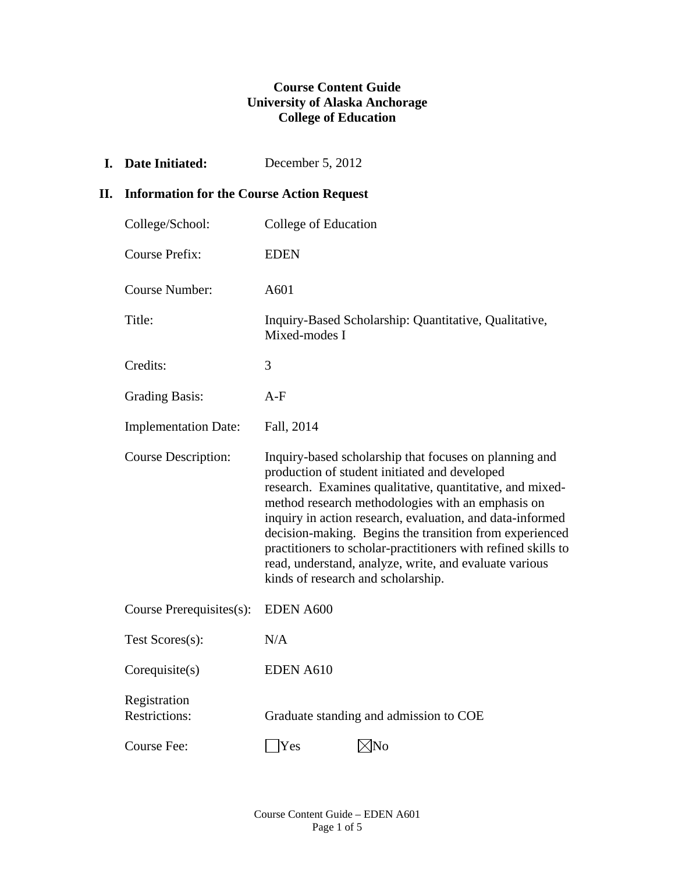## **Course Content Guide University of Alaska Anchorage College of Education**

**I. Date Initiated:** December 5, 2012

## **II. Information for the Course Action Request**

| College/School:                      | College of Education                                                                                                                                                                                                                                                                                                                                                                                                                                                                                              |
|--------------------------------------|-------------------------------------------------------------------------------------------------------------------------------------------------------------------------------------------------------------------------------------------------------------------------------------------------------------------------------------------------------------------------------------------------------------------------------------------------------------------------------------------------------------------|
| <b>Course Prefix:</b>                | <b>EDEN</b>                                                                                                                                                                                                                                                                                                                                                                                                                                                                                                       |
| <b>Course Number:</b>                | A601                                                                                                                                                                                                                                                                                                                                                                                                                                                                                                              |
| Title:                               | Inquiry-Based Scholarship: Quantitative, Qualitative,<br>Mixed-modes I                                                                                                                                                                                                                                                                                                                                                                                                                                            |
| Credits:                             | 3                                                                                                                                                                                                                                                                                                                                                                                                                                                                                                                 |
| <b>Grading Basis:</b>                | $A-F$                                                                                                                                                                                                                                                                                                                                                                                                                                                                                                             |
| <b>Implementation Date:</b>          | Fall, 2014                                                                                                                                                                                                                                                                                                                                                                                                                                                                                                        |
| <b>Course Description:</b>           | Inquiry-based scholarship that focuses on planning and<br>production of student initiated and developed<br>research. Examines qualitative, quantitative, and mixed-<br>method research methodologies with an emphasis on<br>inquiry in action research, evaluation, and data-informed<br>decision-making. Begins the transition from experienced<br>practitioners to scholar-practitioners with refined skills to<br>read, understand, analyze, write, and evaluate various<br>kinds of research and scholarship. |
| Course Prerequisites(s):             | <b>EDEN A600</b>                                                                                                                                                                                                                                                                                                                                                                                                                                                                                                  |
| Test Scores(s):                      | N/A                                                                                                                                                                                                                                                                                                                                                                                                                                                                                                               |
| Corequisite(s)                       | <b>EDEN A610</b>                                                                                                                                                                                                                                                                                                                                                                                                                                                                                                  |
| Registration<br><b>Restrictions:</b> | Graduate standing and admission to COE                                                                                                                                                                                                                                                                                                                                                                                                                                                                            |
| Course Fee:                          | √No<br> Yes                                                                                                                                                                                                                                                                                                                                                                                                                                                                                                       |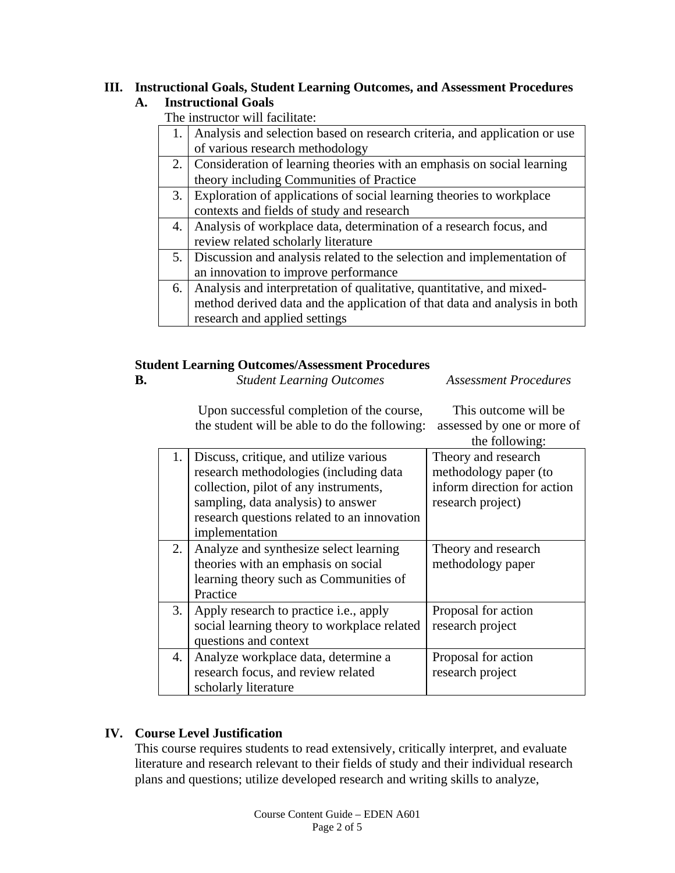#### **III. Instructional Goals, Student Learning Outcomes, and Assessment Procedures A. Instructional Goals**

The instructor will facilitate:

|    | 1. Analysis and selection based on research criteria, and application or use |  |  |  |  |
|----|------------------------------------------------------------------------------|--|--|--|--|
|    | of various research methodology                                              |  |  |  |  |
|    | 2. Consideration of learning theories with an emphasis on social learning    |  |  |  |  |
|    | theory including Communities of Practice                                     |  |  |  |  |
| 3. | Exploration of applications of social learning theories to workplace         |  |  |  |  |
|    | contexts and fields of study and research                                    |  |  |  |  |
| 4. | Analysis of workplace data, determination of a research focus, and           |  |  |  |  |
|    | review related scholarly literature                                          |  |  |  |  |
| 5. | Discussion and analysis related to the selection and implementation of       |  |  |  |  |
|    | an innovation to improve performance                                         |  |  |  |  |
| 6. | Analysis and interpretation of qualitative, quantitative, and mixed-         |  |  |  |  |
|    | method derived data and the application of that data and analysis in both    |  |  |  |  |
|    | research and applied settings                                                |  |  |  |  |

## **Student Learning Outcomes/Assessment Procedures**

| <b>B.</b> | <b>Student Learning Outcomes</b> | Assessme |
|-----------|----------------------------------|----------|
|           |                                  |          |

*Assessment Procedures* 

This outcome will be

Upon successful completion of the course, the student will be able to do the following: assessed by one or more of

|    |                                             | the following:              |
|----|---------------------------------------------|-----------------------------|
| 1. | Discuss, critique, and utilize various      | Theory and research         |
|    | research methodologies (including data      | methodology paper (to       |
|    | collection, pilot of any instruments,       | inform direction for action |
|    | sampling, data analysis) to answer          | research project)           |
|    | research questions related to an innovation |                             |
|    | implementation                              |                             |
| 2. | Analyze and synthesize select learning      | Theory and research         |
|    | theories with an emphasis on social         | methodology paper           |
|    | learning theory such as Communities of      |                             |
|    | Practice                                    |                             |
| 3. | Apply research to practice i.e., apply      | Proposal for action         |
|    | social learning theory to workplace related | research project            |
|    | questions and context                       |                             |
| 4. | Analyze workplace data, determine a         | Proposal for action         |
|    | research focus, and review related          | research project            |
|    | scholarly literature                        |                             |

# **IV. Course Level Justification**

 This course requires students to read extensively, critically interpret, and evaluate literature and research relevant to their fields of study and their individual research plans and questions; utilize developed research and writing skills to analyze,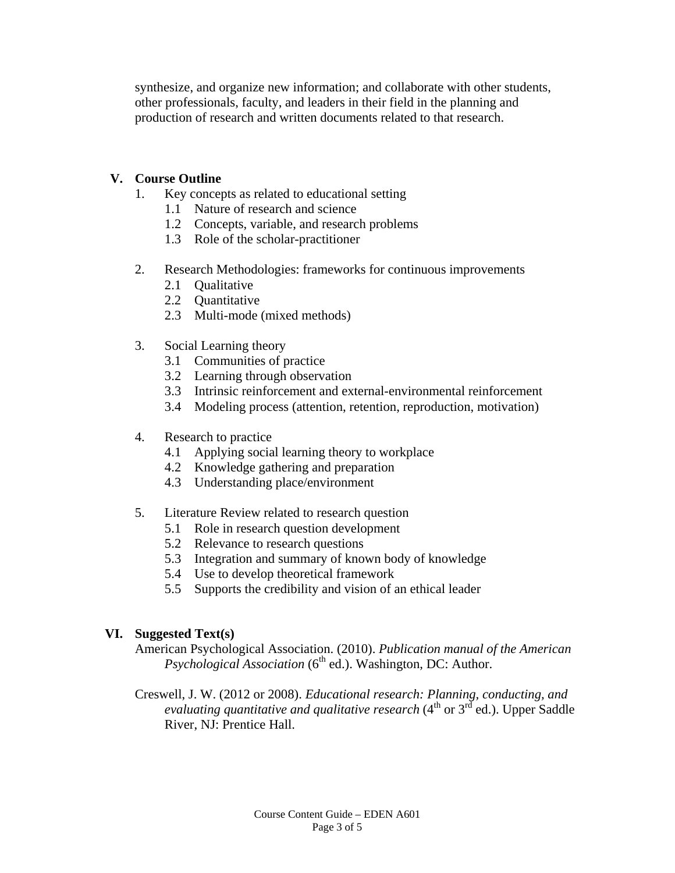synthesize, and organize new information; and collaborate with other students, other professionals, faculty, and leaders in their field in the planning and production of research and written documents related to that research.

## **V. Course Outline**

- 1. Key concepts as related to educational setting
	- 1.1 Nature of research and science
	- 1.2 Concepts, variable, and research problems
	- 1.3 Role of the scholar-practitioner
- 2. Research Methodologies: frameworks for continuous improvements
	- 2.1 Oualitative
	- 2.2 Quantitative
	- 2.3 Multi-mode (mixed methods)
- 3. Social Learning theory
	- 3.1 Communities of practice
	- 3.2 Learning through observation
	- 3.3 Intrinsic reinforcement and external-environmental reinforcement
	- 3.4 Modeling process (attention, retention, reproduction, motivation)
- 4. Research to practice
	- 4.1 Applying social learning theory to workplace
	- 4.2 Knowledge gathering and preparation
	- 4.3 Understanding place/environment
- 5. Literature Review related to research question
	- 5.1 Role in research question development
	- 5.2 Relevance to research questions
	- 5.3 Integration and summary of known body of knowledge
	- 5.4 Use to develop theoretical framework
	- 5.5 Supports the credibility and vision of an ethical leader

# **VI. Suggested Text(s)**

American Psychological Association. (2010). *Publication manual of the American Psychological Association* (6<sup>th</sup> ed.). Washington, DC: Author.

Creswell, J. W. (2012 or 2008). *Educational research: Planning, conducting, and evaluating quantitative and qualitative research* (4<sup>th</sup> or 3<sup>rd</sup> ed.). Upper Saddle River, NJ: Prentice Hall.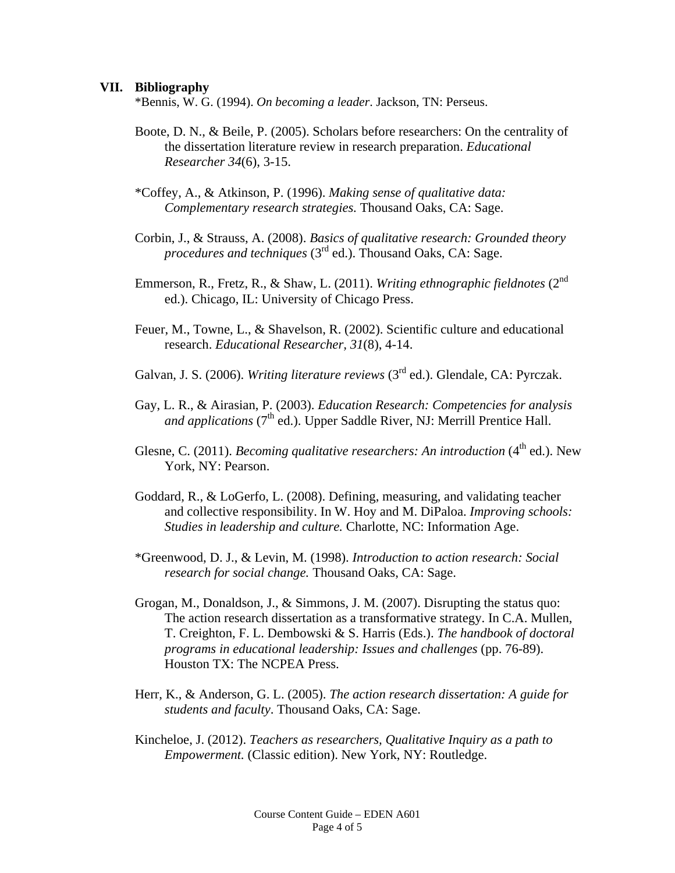#### **VII. Bibliography**

\*Bennis, W. G. (1994). *On becoming a leader*. Jackson, TN: Perseus.

Boote, D. N., & Beile, P. (2005). Scholars before researchers: On the centrality of the dissertation literature review in research preparation. *Educational Researcher 34*(6), 3-15.

\*Coffey, A., & Atkinson, P. (1996). *Making sense of qualitative data: Complementary research strategies.* Thousand Oaks, CA: Sage.

- Corbin, J., & Strauss, A. (2008). *Basics of qualitative research: Grounded theory procedures and techniques* (3<sup>rd</sup> ed.). Thousand Oaks, CA: Sage.
- Emmerson, R., Fretz, R., & Shaw, L. (2011). *Writing ethnographic fieldnotes* (2nd ed.). Chicago, IL: University of Chicago Press.
- Feuer, M., Towne, L., & Shavelson, R. (2002). Scientific culture and educational research. *Educational Researcher, 31*(8), 4-14.
- Galvan, J. S. (2006). *Writing literature reviews* (3<sup>rd</sup> ed.). Glendale, CA: Pyrczak.
- Gay, L. R., & Airasian, P. (2003). *Education Research: Competencies for analysis and applications* (7<sup>th</sup> ed.). Upper Saddle River, NJ: Merrill Prentice Hall.
- Glesne, C. (2011). *Becoming qualitative researchers: An introduction* (4<sup>th</sup> ed.). New York, NY: Pearson.
- Goddard, R., & LoGerfo, L. (2008). Defining, measuring, and validating teacher and collective responsibility. In W. Hoy and M. DiPaloa. *Improving schools: Studies in leadership and culture.* Charlotte, NC: Information Age.
- \*Greenwood, D. J., & Levin, M. (1998). *Introduction to action research: Social research for social change.* Thousand Oaks, CA: Sage.
- Grogan, M., Donaldson, J., & Simmons, J. M. (2007). Disrupting the status quo: The action research dissertation as a transformative strategy. In C.A. Mullen, T. Creighton, F. L. Dembowski & S. Harris (Eds.). *The handbook of doctoral programs in educational leadership: Issues and challenges* (pp. 76-89). Houston TX: The NCPEA Press.
- Herr, K., & Anderson, G. L. (2005). *The action research dissertation: A guide for students and faculty*. Thousand Oaks, CA: Sage.
- Kincheloe, J. (2012). *Teachers as researchers, Qualitative Inquiry as a path to Empowerment.* (Classic edition). New York, NY: Routledge.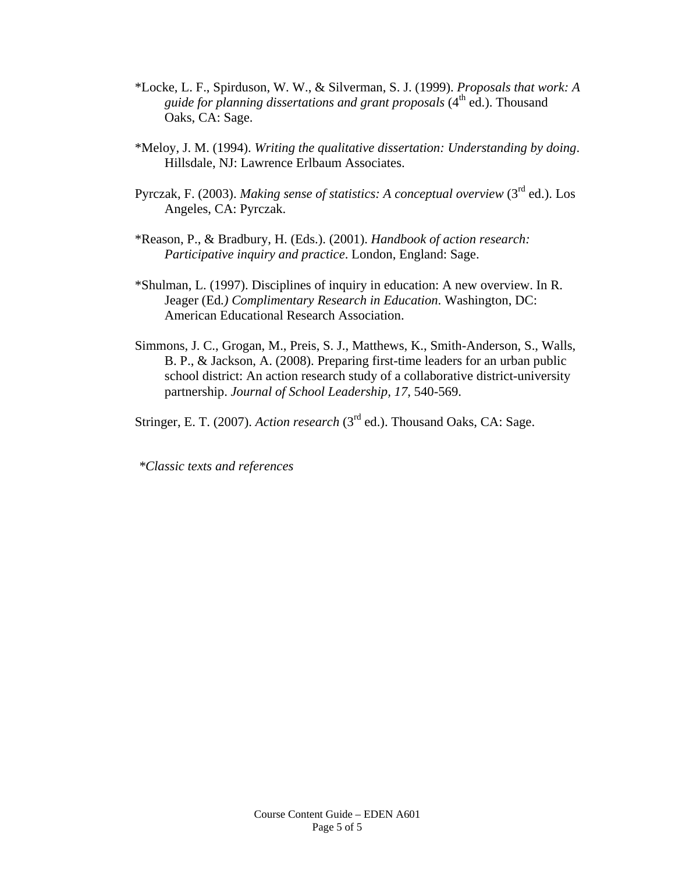- \*Locke, L. F., Spirduson, W. W., & Silverman, S. J. (1999). *Proposals that work: A guide for planning dissertations and grant proposals* (4<sup>th</sup> ed.). Thousand Oaks, CA: Sage.
- \*Meloy, J. M. (1994). *Writing the qualitative dissertation: Understanding by doing*. Hillsdale, NJ: Lawrence Erlbaum Associates.
- Pyrczak, F. (2003). *Making sense of statistics: A conceptual overview* (3rd ed.). Los Angeles, CA: Pyrczak.
- \*Reason, P., & Bradbury, H. (Eds.). (2001). *Handbook of action research: Participative inquiry and practice*. London, England: Sage.
- \*Shulman, L. (1997). Disciplines of inquiry in education: A new overview. In R. Jeager (Ed*.) Complimentary Research in Education*. Washington, DC: American Educational Research Association.
- Simmons, J. C., Grogan, M., Preis, S. J., Matthews, K., Smith-Anderson, S., Walls, B. P., & Jackson, A. (2008). Preparing first-time leaders for an urban public school district: An action research study of a collaborative district-university partnership. *Journal of School Leadership, 17*, 540-569.

Stringer, E. T. (2007). *Action research* (3<sup>rd</sup> ed.). Thousand Oaks, CA: Sage.

*\*Classic texts and references*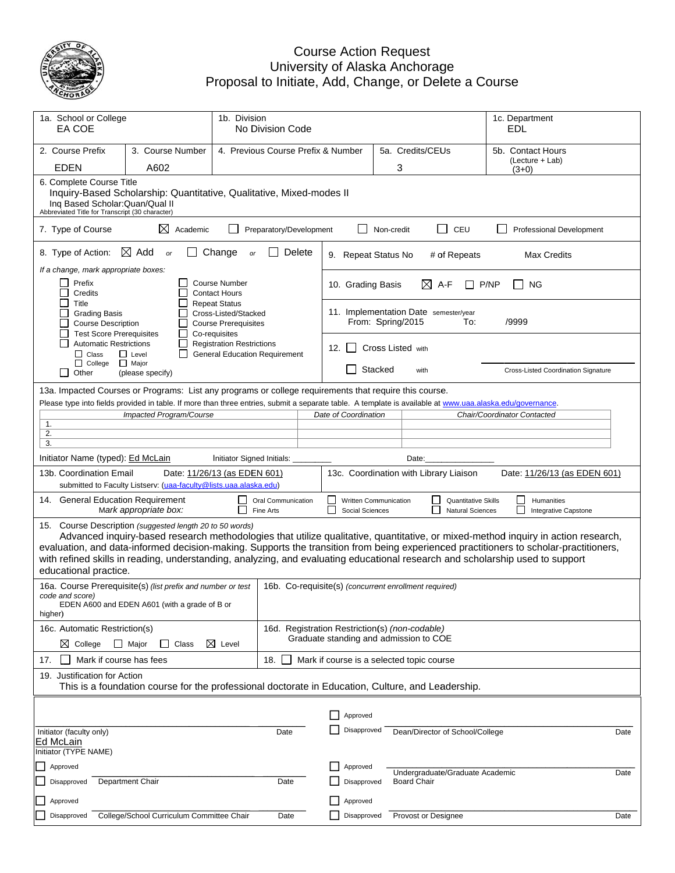

#### Proposa Cou Univers al to Initiate urse Action ity of Alask , Add, Cha Request ka Anchorag nge, or Del ge lete a Course

| 1a. School or College<br>EA COE                                                                                                                                                                                                                                                                                                                                         |                                                                                                                                                                                                   | 1b. Division<br>No Division Code                                                             |        |                                                                                          |                       |                     |                                                       |       | 1c. Department<br>EDL                        |      |
|-------------------------------------------------------------------------------------------------------------------------------------------------------------------------------------------------------------------------------------------------------------------------------------------------------------------------------------------------------------------------|---------------------------------------------------------------------------------------------------------------------------------------------------------------------------------------------------|----------------------------------------------------------------------------------------------|--------|------------------------------------------------------------------------------------------|-----------------------|---------------------|-------------------------------------------------------|-------|----------------------------------------------|------|
| 2. Course Prefix<br><b>EDEN</b>                                                                                                                                                                                                                                                                                                                                         | 3. Course Number<br>A602                                                                                                                                                                          | 4. Previous Course Prefix & Number                                                           |        |                                                                                          | 5a. Credits/CEUs<br>3 |                     |                                                       |       | 5b. Contact Hours<br>(Lecture + Lab)         |      |
|                                                                                                                                                                                                                                                                                                                                                                         | $(3+0)$<br>6. Complete Course Title<br>Inquiry-Based Scholarship: Quantitative, Qualitative, Mixed-modes II<br>Ing Based Scholar: Quan/Qual II<br>Abbreviated Title for Transcript (30 character) |                                                                                              |        |                                                                                          |                       |                     |                                                       |       |                                              |      |
| 7. Type of Course                                                                                                                                                                                                                                                                                                                                                       | ⊠<br>Academic                                                                                                                                                                                     | Preparatory/Development                                                                      |        |                                                                                          | Non-credit            |                     | CEU<br>$\blacksquare$                                 |       | Professional Development                     |      |
| 8. Type of Action:                                                                                                                                                                                                                                                                                                                                                      | $\boxtimes$ Add<br>or                                                                                                                                                                             | Change<br>or                                                                                 | Delete | 9. Repeat Status No                                                                      |                       |                     | # of Repeats                                          |       | Max Credits                                  |      |
| If a change, mark appropriate boxes:<br>Prefix<br>Credits                                                                                                                                                                                                                                                                                                               |                                                                                                                                                                                                   | <b>Course Number</b><br><b>Contact Hours</b>                                                 |        | 10. Grading Basis                                                                        |                       | $\boxtimes$         | A-F                                                   | P/NP  | <b>NG</b>                                    |      |
| Title<br><b>Grading Basis</b><br><b>Course Description</b><br><b>Test Score Prerequisites</b>                                                                                                                                                                                                                                                                           | $\mathsf{L}$                                                                                                                                                                                      | <b>Repeat Status</b><br>Cross-Listed/Stacked<br><b>Course Prerequisites</b><br>Co-requisites |        | 11. Implementation Date semester/year                                                    | From: Spring/2015     |                     | To:                                                   | /9999 |                                              |      |
| <b>Automatic Restrictions</b><br>$\Box$ Class                                                                                                                                                                                                                                                                                                                           | $\mathsf{L}$<br>$\Box$ Level                                                                                                                                                                      | <b>Registration Restrictions</b><br><b>General Education Requirement</b>                     |        | 12. $\vert$ 1                                                                            |                       | Cross Listed with   |                                                       |       |                                              |      |
| $\Box$ College<br>Other                                                                                                                                                                                                                                                                                                                                                 | $\Box$ Major<br>(please specify)                                                                                                                                                                  |                                                                                              |        |                                                                                          | Stacked               | with                |                                                       |       | Cross-Listed Coordination Signature          |      |
| 13a. Impacted Courses or Programs: List any programs or college requirements that require this course.<br>Please type into fields provided in table. If more than three entries, submit a separate table. A template is available at www.uaa.alaska.edu/governance.<br>Impacted Program/Course<br>Date of Coordination<br>Chair/Coordinator Contacted<br>1.<br>2.<br>3. |                                                                                                                                                                                                   |                                                                                              |        |                                                                                          |                       |                     |                                                       |       |                                              |      |
| Initiator Name (typed): Ed McLain                                                                                                                                                                                                                                                                                                                                       |                                                                                                                                                                                                   | Initiator Signed Initials:                                                                   |        |                                                                                          |                       | Date:               |                                                       |       |                                              |      |
| 13b. Coordination Email                                                                                                                                                                                                                                                                                                                                                 | submitted to Faculty Listserv: (uaa-faculty@lists.uaa.alaska.edu)                                                                                                                                 | Date: 11/26/13 (as EDEN 601)                                                                 |        | 13c. Coordination with Library Liaison                                                   |                       |                     |                                                       |       | Date: 11/26/13 (as EDEN 601)                 |      |
| 14. General Education Requirement                                                                                                                                                                                                                                                                                                                                       | Mark appropriate box:                                                                                                                                                                             | Oral Communication<br>Fine Arts                                                              |        | Written Communication<br>Social Sciences                                                 |                       | $\Box$              | <b>Quantitative Skills</b><br><b>Natural Sciences</b> |       | $\Box$<br>Humanities<br>Integrative Capstone |      |
| 15. Course Description (suggested length 20 to 50 words)<br>evaluation, and data-informed decision-making. Supports the transition from being experienced practitioners to scholar-practitioners,<br>with refined skills in reading, understanding, analyzing, and evaluating educational research and scholarship used to support<br>educational practice.             | Advanced inquiry-based research methodologies that utilize qualitative, quantitative, or mixed-method inquiry in action research,                                                                 |                                                                                              |        |                                                                                          |                       |                     |                                                       |       |                                              |      |
| code and score)<br>higher)                                                                                                                                                                                                                                                                                                                                              | 16a. Course Prerequisite(s) (list prefix and number or test<br>EDEN A600 and EDEN A601 (with a grade of B or                                                                                      |                                                                                              |        | 16b. Co-requisite(s) (concurrent enrollment required)                                    |                       |                     |                                                       |       |                                              |      |
| 16c. Automatic Restriction(s)<br>$\boxtimes$ College                                                                                                                                                                                                                                                                                                                    | $\Box$ Major<br>$\Box$ Class                                                                                                                                                                      | $\boxtimes$ Level                                                                            |        | 16d. Registration Restriction(s) (non-codable)<br>Graduate standing and admission to COE |                       |                     |                                                       |       |                                              |      |
| Mark if course has fees<br>17.                                                                                                                                                                                                                                                                                                                                          |                                                                                                                                                                                                   | 18. L                                                                                        |        | Mark if course is a selected topic course                                                |                       |                     |                                                       |       |                                              |      |
| 19. Justification for Action                                                                                                                                                                                                                                                                                                                                            | This is a foundation course for the professional doctorate in Education, Culture, and Leadership.                                                                                                 |                                                                                              |        |                                                                                          |                       |                     |                                                       |       |                                              |      |
|                                                                                                                                                                                                                                                                                                                                                                         |                                                                                                                                                                                                   |                                                                                              |        |                                                                                          |                       |                     |                                                       |       |                                              |      |
| Initiator (faculty only)<br>Ed McLain<br>Initiator (TYPE NAME)                                                                                                                                                                                                                                                                                                          |                                                                                                                                                                                                   | Date                                                                                         |        | Approved<br>Disapproved                                                                  |                       |                     | Dean/Director of School/College                       |       |                                              | Date |
| Approved                                                                                                                                                                                                                                                                                                                                                                |                                                                                                                                                                                                   |                                                                                              |        | Approved                                                                                 |                       |                     |                                                       |       |                                              |      |
| Disapproved                                                                                                                                                                                                                                                                                                                                                             | Department Chair                                                                                                                                                                                  | Date                                                                                         |        | Disapproved                                                                              |                       | <b>Board Chair</b>  | Undergraduate/Graduate Academic                       |       |                                              | Date |
| Approved                                                                                                                                                                                                                                                                                                                                                                |                                                                                                                                                                                                   |                                                                                              |        | Approved                                                                                 |                       |                     |                                                       |       |                                              |      |
| Disapproved                                                                                                                                                                                                                                                                                                                                                             | College/School Curriculum Committee Chair                                                                                                                                                         | Date                                                                                         |        | Disapproved                                                                              |                       | Provost or Designee |                                                       |       |                                              | Date |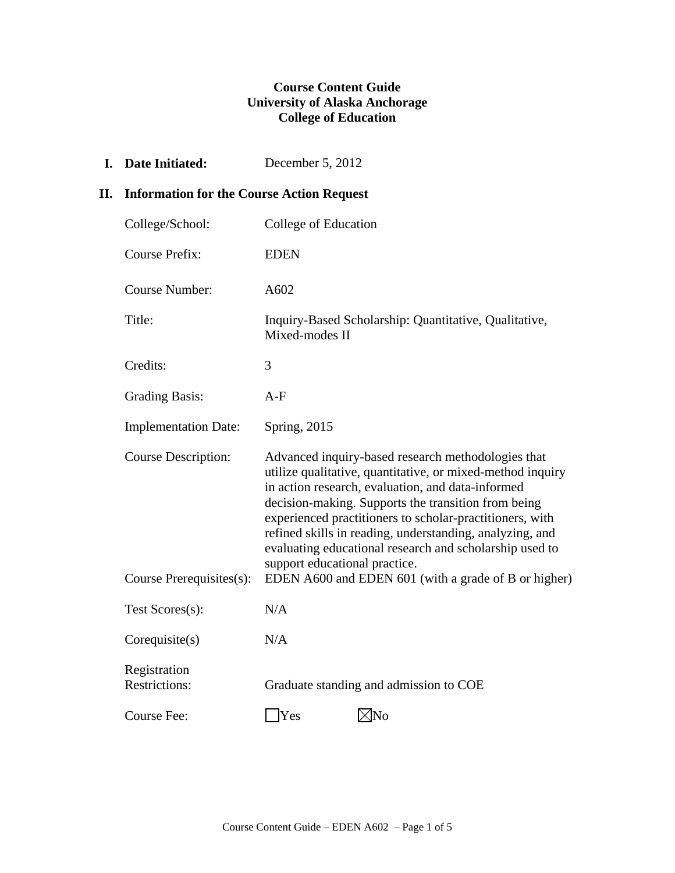## **Course Content Guide University of Alaska Anchorage College of Education**

**I. Date Initiated:** December 5, 2012

## **II. Information for the Course Action Request**

| College/School:                      | College of Education                                                                                                                                                                                                                                                                                                                                                                                                                             |
|--------------------------------------|--------------------------------------------------------------------------------------------------------------------------------------------------------------------------------------------------------------------------------------------------------------------------------------------------------------------------------------------------------------------------------------------------------------------------------------------------|
| <b>Course Prefix:</b>                | <b>EDEN</b>                                                                                                                                                                                                                                                                                                                                                                                                                                      |
| <b>Course Number:</b>                | A602                                                                                                                                                                                                                                                                                                                                                                                                                                             |
| Title:                               | Inquiry-Based Scholarship: Quantitative, Qualitative,<br>Mixed-modes II                                                                                                                                                                                                                                                                                                                                                                          |
| Credits:                             | 3                                                                                                                                                                                                                                                                                                                                                                                                                                                |
| <b>Grading Basis:</b>                | $A-F$                                                                                                                                                                                                                                                                                                                                                                                                                                            |
| <b>Implementation Date:</b>          | <b>Spring</b> , 2015                                                                                                                                                                                                                                                                                                                                                                                                                             |
| <b>Course Description:</b>           | Advanced inquiry-based research methodologies that<br>utilize qualitative, quantitative, or mixed-method inquiry<br>in action research, evaluation, and data-informed<br>decision-making. Supports the transition from being<br>experienced practitioners to scholar-practitioners, with<br>refined skills in reading, understanding, analyzing, and<br>evaluating educational research and scholarship used to<br>support educational practice. |
| Course Prerequisites(s):             | EDEN A600 and EDEN 601 (with a grade of B or higher)                                                                                                                                                                                                                                                                                                                                                                                             |
| Test Scores(s):                      | N/A                                                                                                                                                                                                                                                                                                                                                                                                                                              |
| Corequisite(s)                       | N/A                                                                                                                                                                                                                                                                                                                                                                                                                                              |
| Registration<br><b>Restrictions:</b> | Graduate standing and admission to COE                                                                                                                                                                                                                                                                                                                                                                                                           |
| Course Fee:                          | $\triangleleft$ No<br>Yes                                                                                                                                                                                                                                                                                                                                                                                                                        |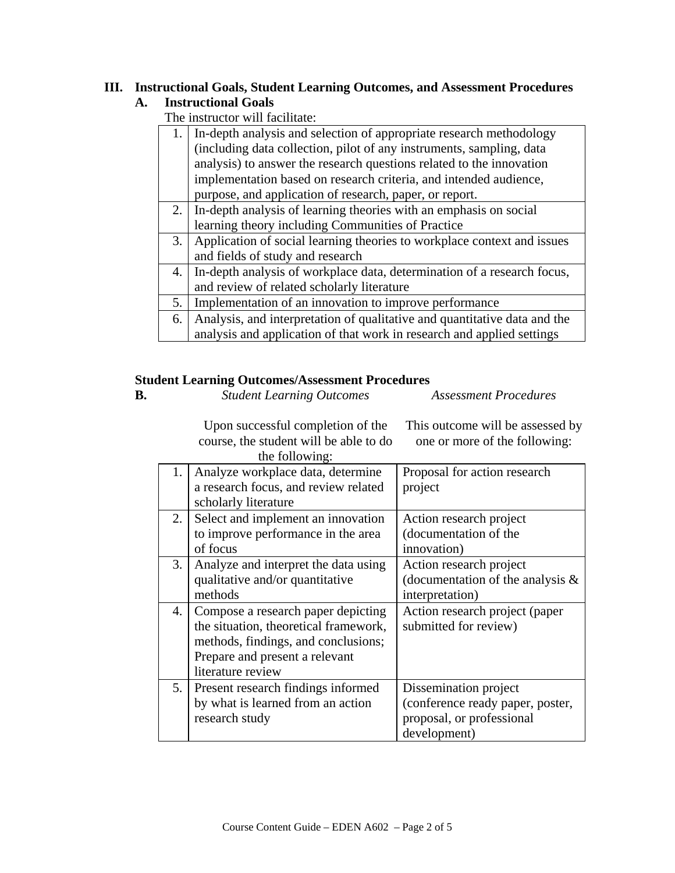#### **III. Instructional Goals, Student Learning Outcomes, and Assessment Procedures A. Instructional Goals**

The instructor will facilitate:

| 1. | In-depth analysis and selection of appropriate research methodology       |
|----|---------------------------------------------------------------------------|
|    | (including data collection, pilot of any instruments, sampling, data      |
|    | analysis) to answer the research questions related to the innovation      |
|    | implementation based on research criteria, and intended audience,         |
|    | purpose, and application of research, paper, or report.                   |
| 2. | In-depth analysis of learning theories with an emphasis on social         |
|    | learning theory including Communities of Practice                         |
| 3. | Application of social learning theories to workplace context and issues   |
|    | and fields of study and research                                          |
| 4. | In-depth analysis of workplace data, determination of a research focus,   |
|    | and review of related scholarly literature                                |
| 5. | Implementation of an innovation to improve performance                    |
| 6. | Analysis, and interpretation of qualitative and quantitative data and the |
|    | analysis and application of that work in research and applied settings    |

## **Student Learning Outcomes/Assessment Procedures**

| Ď. | <b>Student Learning Outcomes</b> | <b>Assessment Procedures</b> |
|----|----------------------------------|------------------------------|

Upon successful completion of the course, the student will be able to do the following: This outcome will be assessed by one or more of the following:

|    | $\mu\mu$ rollowing.                   |                                      |
|----|---------------------------------------|--------------------------------------|
| 1. | Analyze workplace data, determine     | Proposal for action research         |
|    |                                       | project                              |
|    | scholarly literature                  |                                      |
| 2. | Select and implement an innovation    | Action research project              |
|    | to improve performance in the area    | (documentation of the                |
|    | of focus                              | innovation)                          |
| 3. | Analyze and interpret the data using  | Action research project              |
|    | qualitative and/or quantitative       | (documentation of the analysis $\&$  |
|    | methods                               | interpretation)                      |
| 4. | Compose a research paper depicting    | Action research project (paper       |
|    | the situation, theoretical framework, | submitted for review)                |
|    | methods, findings, and conclusions;   |                                      |
|    | Prepare and present a relevant        |                                      |
|    | literature review                     |                                      |
| 5. | Present research findings informed    | Dissemination project                |
|    | by what is learned from an action     | (conference ready paper, poster,     |
|    | research study                        | proposal, or professional            |
|    |                                       | development)                         |
|    |                                       | a research focus, and review related |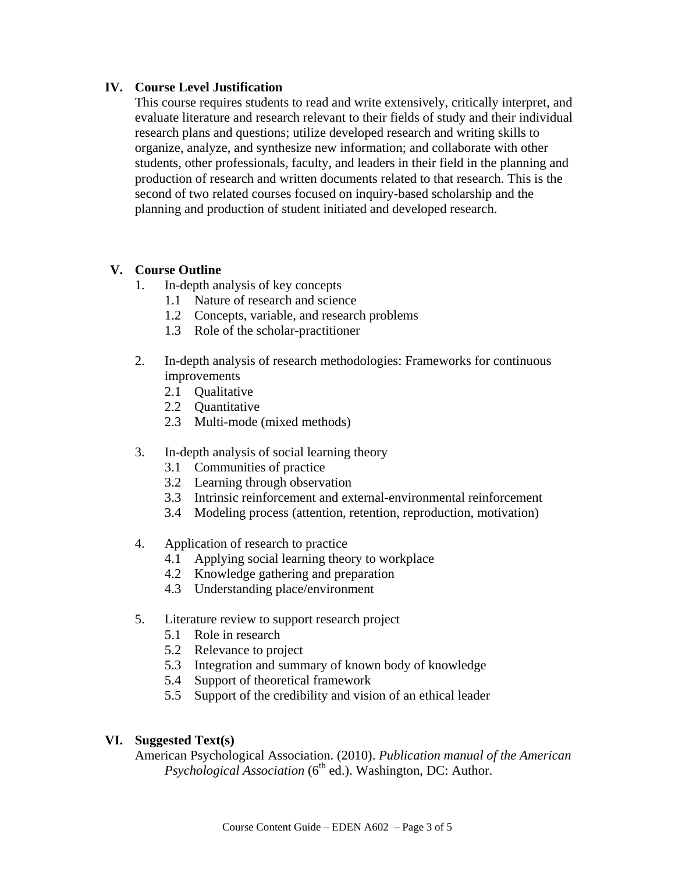## **IV. Course Level Justification**

 This course requires students to read and write extensively, critically interpret, and evaluate literature and research relevant to their fields of study and their individual research plans and questions; utilize developed research and writing skills to organize, analyze, and synthesize new information; and collaborate with other students, other professionals, faculty, and leaders in their field in the planning and production of research and written documents related to that research. This is the second of two related courses focused on inquiry-based scholarship and the planning and production of student initiated and developed research.

## **V. Course Outline**

- 1. In-depth analysis of key concepts
	- 1.1 Nature of research and science
	- 1.2 Concepts, variable, and research problems
	- 1.3 Role of the scholar-practitioner
- 2. In-depth analysis of research methodologies: Frameworks for continuous improvements
	- 2.1 Qualitative
	- 2.2 Quantitative
	- 2.3 Multi-mode (mixed methods)
- 3. In-depth analysis of social learning theory
	- 3.1 Communities of practice
	- 3.2 Learning through observation
	- 3.3 Intrinsic reinforcement and external-environmental reinforcement
	- 3.4 Modeling process (attention, retention, reproduction, motivation)
- 4. Application of research to practice
	- 4.1 Applying social learning theory to workplace
	- 4.2 Knowledge gathering and preparation
	- 4.3 Understanding place/environment
- 5. Literature review to support research project
	- 5.1 Role in research
	- 5.2 Relevance to project
	- 5.3 Integration and summary of known body of knowledge
	- 5.4 Support of theoretical framework
	- 5.5 Support of the credibility and vision of an ethical leader

## **VI. Suggested Text(s)**

American Psychological Association. (2010). *Publication manual of the American Psychological Association* (6<sup>th</sup> ed.). Washington, DC: Author.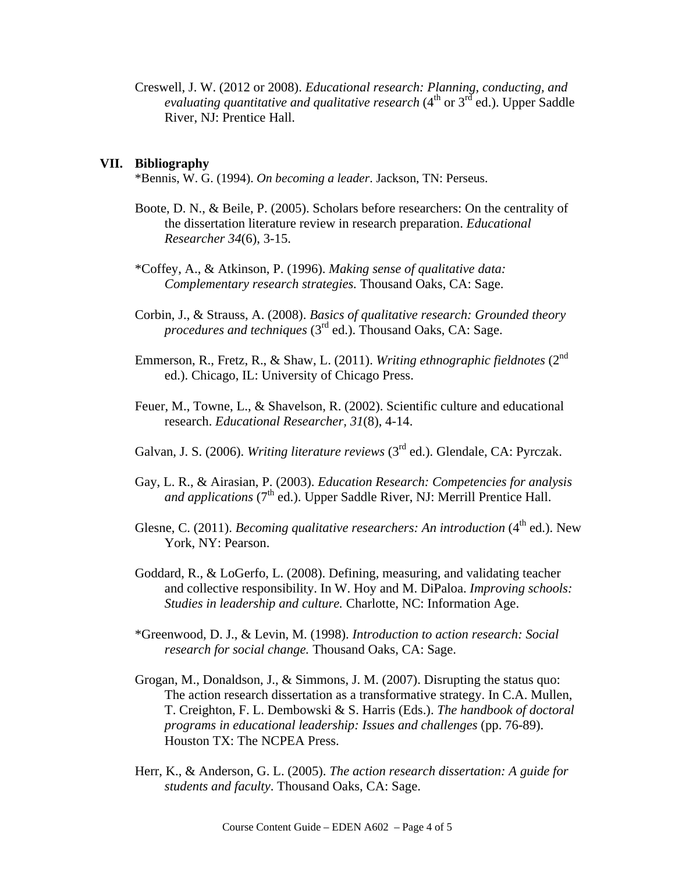Creswell, J. W. (2012 or 2008). *Educational research: Planning, conducting, and evaluating quantitative and qualitative research* (4<sup>th</sup> or 3<sup>rd</sup> ed.). Upper Saddle River, NJ: Prentice Hall.

#### **VII. Bibliography**

\*Bennis, W. G. (1994). *On becoming a leader*. Jackson, TN: Perseus.

- Boote, D. N., & Beile, P. (2005). Scholars before researchers: On the centrality of the dissertation literature review in research preparation. *Educational Researcher 34*(6), 3-15.
- \*Coffey, A., & Atkinson, P. (1996). *Making sense of qualitative data: Complementary research strategies.* Thousand Oaks, CA: Sage.
- Corbin, J., & Strauss, A. (2008). *Basics of qualitative research: Grounded theory procedures and techniques* (3<sup>rd</sup> ed.). Thousand Oaks, CA: Sage.
- Emmerson, R., Fretz, R., & Shaw, L. (2011). *Writing ethnographic fieldnotes* (2nd ed.). Chicago, IL: University of Chicago Press.
- Feuer, M., Towne, L., & Shavelson, R. (2002). Scientific culture and educational research. *Educational Researcher, 31*(8), 4-14.
- Galvan, J. S. (2006). *Writing literature reviews* (3<sup>rd</sup> ed.). Glendale, CA: Pyrczak.
- Gay, L. R., & Airasian, P. (2003). *Education Research: Competencies for analysis and applications* (7<sup>th</sup> ed.). Upper Saddle River, NJ: Merrill Prentice Hall.
- Glesne, C. (2011). *Becoming qualitative researchers: An introduction* (4<sup>th</sup> ed.). New York, NY: Pearson.
- Goddard, R., & LoGerfo, L. (2008). Defining, measuring, and validating teacher and collective responsibility. In W. Hoy and M. DiPaloa. *Improving schools: Studies in leadership and culture.* Charlotte, NC: Information Age.
- \*Greenwood, D. J., & Levin, M. (1998). *Introduction to action research: Social research for social change.* Thousand Oaks, CA: Sage.
- Grogan, M., Donaldson, J., & Simmons, J. M. (2007). Disrupting the status quo: The action research dissertation as a transformative strategy. In C.A. Mullen, T. Creighton, F. L. Dembowski & S. Harris (Eds.). *The handbook of doctoral programs in educational leadership: Issues and challenges* (pp. 76-89). Houston TX: The NCPEA Press.
- Herr, K., & Anderson, G. L. (2005). *The action research dissertation: A guide for students and faculty*. Thousand Oaks, CA: Sage.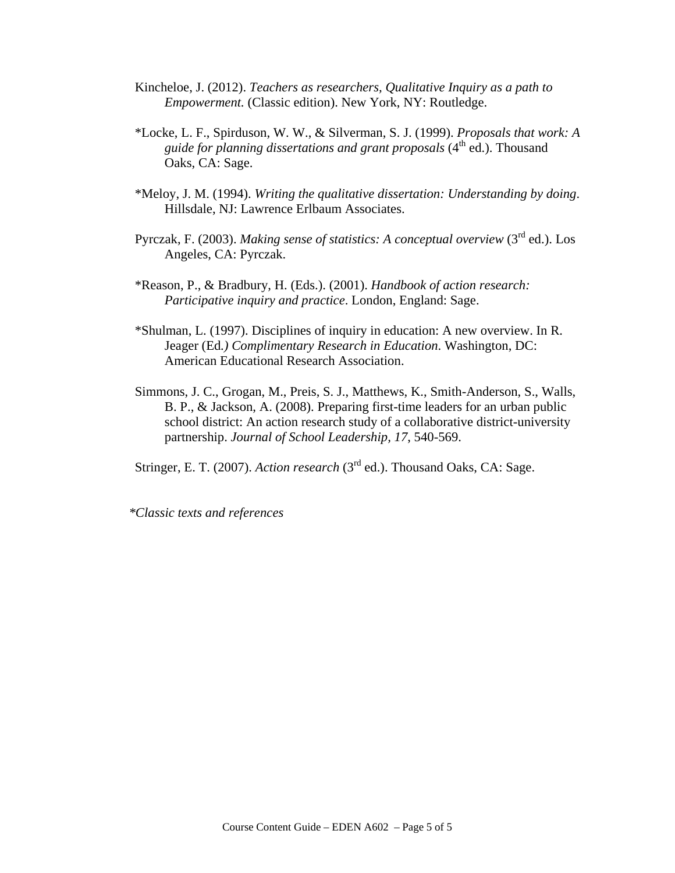- Kincheloe, J. (2012). *Teachers as researchers, Qualitative Inquiry as a path to Empowerment.* (Classic edition). New York, NY: Routledge.
- \*Locke, L. F., Spirduson, W. W., & Silverman, S. J. (1999). *Proposals that work: A guide for planning dissertations and grant proposals* (4<sup>th</sup> ed.). Thousand Oaks, CA: Sage.
- \*Meloy, J. M. (1994). *Writing the qualitative dissertation: Understanding by doing*. Hillsdale, NJ: Lawrence Erlbaum Associates.
- Pyrczak, F. (2003). *Making sense of statistics: A conceptual overview* (3rd ed.). Los Angeles, CA: Pyrczak.
- \*Reason, P., & Bradbury, H. (Eds.). (2001). *Handbook of action research: Participative inquiry and practice*. London, England: Sage.
- \*Shulman, L. (1997). Disciplines of inquiry in education: A new overview. In R. Jeager (Ed*.) Complimentary Research in Education*. Washington, DC: American Educational Research Association.
- Simmons, J. C., Grogan, M., Preis, S. J., Matthews, K., Smith-Anderson, S., Walls, B. P., & Jackson, A. (2008). Preparing first-time leaders for an urban public school district: An action research study of a collaborative district-university partnership. *Journal of School Leadership, 17*, 540-569.

Stringer, E. T. (2007). *Action research* (3<sup>rd</sup> ed.). Thousand Oaks, CA: Sage.

*\*Classic texts and references*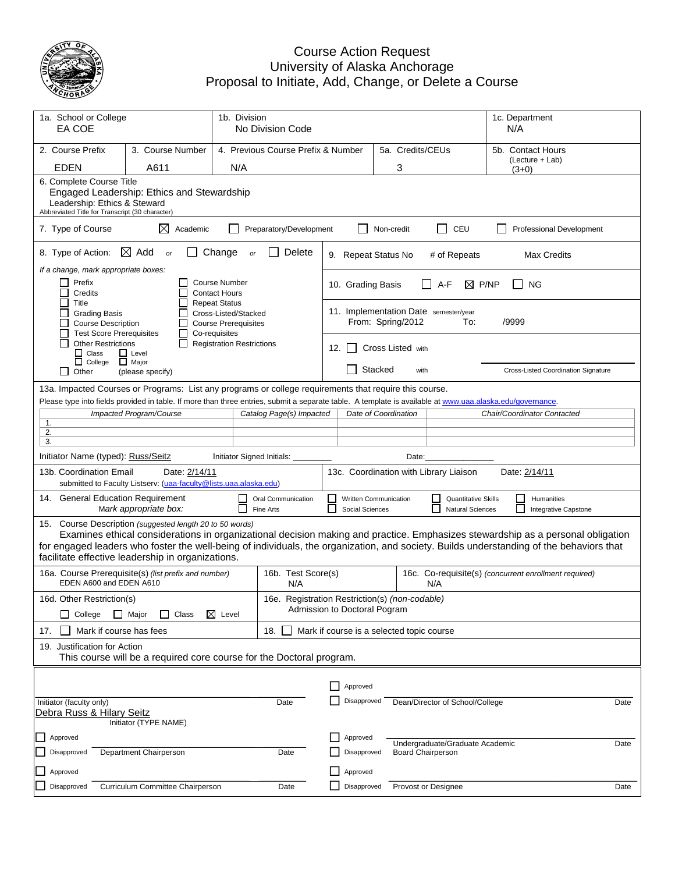

## Course Action Request University of Alaska Anchorage Proposal to Initiate, Add, Change, or Delete a Course

| 1a. School or College<br>1b. Division<br>EA COE<br>No Division Code                                                                                                                                 |                                                                                                                                                                                      |                                                                             |                                                |                                                                                                                                                                                  |                                           |            |                          |                                              |                                      | 1c. Department<br>N/A                                                                                                                                                                                                                                                      |
|-----------------------------------------------------------------------------------------------------------------------------------------------------------------------------------------------------|--------------------------------------------------------------------------------------------------------------------------------------------------------------------------------------|-----------------------------------------------------------------------------|------------------------------------------------|----------------------------------------------------------------------------------------------------------------------------------------------------------------------------------|-------------------------------------------|------------|--------------------------|----------------------------------------------|--------------------------------------|----------------------------------------------------------------------------------------------------------------------------------------------------------------------------------------------------------------------------------------------------------------------------|
| 2. Course Prefix                                                                                                                                                                                    | 3. Course Number                                                                                                                                                                     |                                                                             | 4. Previous Course Prefix & Number             |                                                                                                                                                                                  | 5a. Credits/CEUs                          |            |                          |                                              | 5b. Contact Hours<br>(Lecture + Lab) |                                                                                                                                                                                                                                                                            |
| <b>EDEN</b>                                                                                                                                                                                         | A611                                                                                                                                                                                 | N/A                                                                         |                                                |                                                                                                                                                                                  |                                           |            | 3                        |                                              |                                      | $(3+0)$                                                                                                                                                                                                                                                                    |
| 6. Complete Course Title<br>Engaged Leadership: Ethics and Stewardship<br>Leadership: Ethics & Steward<br>Abbreviated Title for Transcript (30 character)                                           |                                                                                                                                                                                      |                                                                             |                                                |                                                                                                                                                                                  |                                           |            |                          |                                              |                                      |                                                                                                                                                                                                                                                                            |
| 7. Type of Course                                                                                                                                                                                   | ⊠<br>Academic                                                                                                                                                                        |                                                                             | Preparatory/Development                        |                                                                                                                                                                                  |                                           | Non-credit |                          | CEU                                          |                                      | Professional Development                                                                                                                                                                                                                                                   |
| 8. Type of Action:                                                                                                                                                                                  | $\boxtimes$ Add<br><b>or</b>                                                                                                                                                         | Change<br>or                                                                | Delete                                         |                                                                                                                                                                                  | 9. Repeat Status No                       |            |                          | # of Repeats                                 |                                      | <b>Max Credits</b>                                                                                                                                                                                                                                                         |
| If a change, mark appropriate boxes:<br>Prefix<br>ப<br>Credits                                                                                                                                      |                                                                                                                                                                                      | <b>Course Number</b><br><b>Contact Hours</b>                                |                                                |                                                                                                                                                                                  | 10. Grading Basis                         |            |                          | A-F                                          | $\boxtimes$ P/NP                     | ΝG                                                                                                                                                                                                                                                                         |
| Title<br><b>Grading Basis</b><br><b>Course Description</b>                                                                                                                                          |                                                                                                                                                                                      | <b>Repeat Status</b><br>Cross-Listed/Stacked<br><b>Course Prerequisites</b> |                                                |                                                                                                                                                                                  |                                           |            | From: Spring/2012        | 11. Implementation Date semester/year<br>To: | /9999                                |                                                                                                                                                                                                                                                                            |
| <b>Test Score Prerequisites</b><br>Co-requisites<br>$\mathbf{I}$<br><b>Other Restrictions</b><br><b>Registration Restrictions</b><br>$\Box$ Class<br>$\Box$ Level<br>$\Box$ College<br>$\Box$ Major |                                                                                                                                                                                      |                                                                             |                                                |                                                                                                                                                                                  | 12. $\vert$ $\vert$                       |            | <b>Cross Listed with</b> |                                              |                                      |                                                                                                                                                                                                                                                                            |
| Ш<br>Other                                                                                                                                                                                          | (please specify)                                                                                                                                                                     |                                                                             |                                                |                                                                                                                                                                                  |                                           | Stacked    | with                     |                                              |                                      | Cross-Listed Coordination Signature                                                                                                                                                                                                                                        |
|                                                                                                                                                                                                     | 13a. Impacted Courses or Programs: List any programs or college requirements that require this course.                                                                               |                                                                             |                                                |                                                                                                                                                                                  |                                           |            |                          |                                              |                                      |                                                                                                                                                                                                                                                                            |
|                                                                                                                                                                                                     | Please type into fields provided in table. If more than three entries, submit a separate table. A template is available at www.uaa.alaska.edu/governance.<br>Impacted Program/Course |                                                                             | Catalog Page(s) Impacted                       |                                                                                                                                                                                  | Date of Coordination                      |            |                          |                                              |                                      | Chair/Coordinator Contacted                                                                                                                                                                                                                                                |
| 1.                                                                                                                                                                                                  |                                                                                                                                                                                      |                                                                             |                                                |                                                                                                                                                                                  |                                           |            |                          |                                              |                                      |                                                                                                                                                                                                                                                                            |
| 2.<br>3.                                                                                                                                                                                            |                                                                                                                                                                                      |                                                                             |                                                |                                                                                                                                                                                  |                                           |            |                          |                                              |                                      |                                                                                                                                                                                                                                                                            |
| Initiator Name (typed): Russ/Seitz                                                                                                                                                                  |                                                                                                                                                                                      | Initiator Signed Initials:                                                  |                                                |                                                                                                                                                                                  |                                           |            | Date:                    |                                              |                                      |                                                                                                                                                                                                                                                                            |
| 13b. Coordination Email                                                                                                                                                                             | Date: 2/14/11                                                                                                                                                                        |                                                                             |                                                | 13c. Coordination with Library Liaison<br>Date: 2/14/11                                                                                                                          |                                           |            |                          |                                              |                                      |                                                                                                                                                                                                                                                                            |
|                                                                                                                                                                                                     | submitted to Faculty Listserv: (uaa-faculty@lists.uaa.alaska.edu)                                                                                                                    |                                                                             |                                                |                                                                                                                                                                                  |                                           |            |                          |                                              |                                      |                                                                                                                                                                                                                                                                            |
| 14. General Education Requirement                                                                                                                                                                   | Mark appropriate box:                                                                                                                                                                |                                                                             | Oral Communication<br>Fine Arts                | <b>Written Communication</b><br><b>Quantitative Skills</b><br>$\blacksquare$<br>Humanities<br>$\mathbf{I}$<br>Social Sciences<br><b>Natural Sciences</b><br>Integrative Capstone |                                           |            |                          |                                              |                                      |                                                                                                                                                                                                                                                                            |
| facilitate effective leadership in organizations.                                                                                                                                                   | 15. Course Description (suggested length 20 to 50 words)                                                                                                                             |                                                                             |                                                |                                                                                                                                                                                  |                                           |            |                          |                                              |                                      | Examines ethical considerations in organizational decision making and practice. Emphasizes stewardship as a personal obligation<br>for engaged leaders who foster the well-being of individuals, the organization, and society. Builds understanding of the behaviors that |
| EDEN A600 and EDEN A610                                                                                                                                                                             | 16a. Course Prerequisite(s) (list prefix and number)                                                                                                                                 |                                                                             | 16b. Test Score(s)<br>N/A                      | 16c. Co-requisite(s) (concurrent enrollment required)<br>N/A                                                                                                                     |                                           |            |                          |                                              |                                      |                                                                                                                                                                                                                                                                            |
| 16d. Other Restriction(s)                                                                                                                                                                           |                                                                                                                                                                                      |                                                                             | 16e. Registration Restriction(s) (non-codable) |                                                                                                                                                                                  |                                           |            |                          |                                              |                                      |                                                                                                                                                                                                                                                                            |
| College                                                                                                                                                                                             | $\Box$ Major<br>$\Box$ Class                                                                                                                                                         | $\boxtimes$ Level                                                           |                                                |                                                                                                                                                                                  | Admission to Doctoral Pogram              |            |                          |                                              |                                      |                                                                                                                                                                                                                                                                            |
| Mark if course has fees<br>17.                                                                                                                                                                      |                                                                                                                                                                                      |                                                                             | 18.                                            |                                                                                                                                                                                  | Mark if course is a selected topic course |            |                          |                                              |                                      |                                                                                                                                                                                                                                                                            |
| 19. Justification for Action                                                                                                                                                                        | This course will be a required core course for the Doctoral program.                                                                                                                 |                                                                             |                                                |                                                                                                                                                                                  |                                           |            |                          |                                              |                                      |                                                                                                                                                                                                                                                                            |
|                                                                                                                                                                                                     |                                                                                                                                                                                      |                                                                             |                                                |                                                                                                                                                                                  |                                           |            |                          |                                              |                                      |                                                                                                                                                                                                                                                                            |
|                                                                                                                                                                                                     |                                                                                                                                                                                      |                                                                             |                                                | $\mathsf{L}$                                                                                                                                                                     | Approved                                  |            |                          |                                              |                                      |                                                                                                                                                                                                                                                                            |
| Initiator (faculty only)<br>Debra Russ & Hilary Seitz                                                                                                                                               | Initiator (TYPE NAME)                                                                                                                                                                |                                                                             | Date                                           |                                                                                                                                                                                  | Disapproved                               |            |                          | Dean/Director of School/College              |                                      | Date                                                                                                                                                                                                                                                                       |
| Approved                                                                                                                                                                                            |                                                                                                                                                                                      |                                                                             |                                                |                                                                                                                                                                                  | Approved                                  |            |                          |                                              |                                      |                                                                                                                                                                                                                                                                            |
| Disapproved                                                                                                                                                                                         | Department Chairperson                                                                                                                                                               |                                                                             | Date                                           |                                                                                                                                                                                  | Disapproved                               |            | <b>Board Chairperson</b> | Undergraduate/Graduate Academic              |                                      | Date                                                                                                                                                                                                                                                                       |
| Approved                                                                                                                                                                                            |                                                                                                                                                                                      |                                                                             |                                                |                                                                                                                                                                                  | Approved                                  |            |                          |                                              |                                      |                                                                                                                                                                                                                                                                            |
| Disapproved                                                                                                                                                                                         | Curriculum Committee Chairperson                                                                                                                                                     |                                                                             | Date                                           |                                                                                                                                                                                  | Disapproved                               |            |                          | Provost or Designee                          |                                      | Date                                                                                                                                                                                                                                                                       |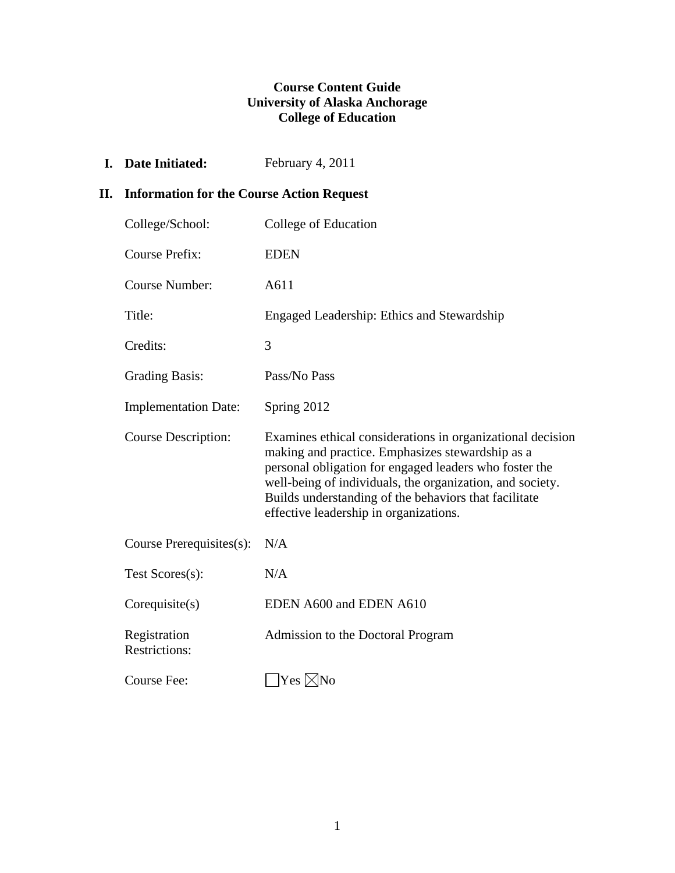## **Course Content Guide University of Alaska Anchorage College of Education**

**I.** Date Initiated: February 4, 2011

## **II. Information for the Course Action Request**

| College/School:                      | College of Education                                                                                                                                                                                                                                                                                                                     |
|--------------------------------------|------------------------------------------------------------------------------------------------------------------------------------------------------------------------------------------------------------------------------------------------------------------------------------------------------------------------------------------|
| <b>Course Prefix:</b>                | <b>EDEN</b>                                                                                                                                                                                                                                                                                                                              |
| Course Number:                       | A611                                                                                                                                                                                                                                                                                                                                     |
| Title:                               | Engaged Leadership: Ethics and Stewardship                                                                                                                                                                                                                                                                                               |
| Credits:                             | 3                                                                                                                                                                                                                                                                                                                                        |
| <b>Grading Basis:</b>                | Pass/No Pass                                                                                                                                                                                                                                                                                                                             |
| <b>Implementation Date:</b>          | Spring 2012                                                                                                                                                                                                                                                                                                                              |
| <b>Course Description:</b>           | Examines ethical considerations in organizational decision<br>making and practice. Emphasizes stewardship as a<br>personal obligation for engaged leaders who foster the<br>well-being of individuals, the organization, and society.<br>Builds understanding of the behaviors that facilitate<br>effective leadership in organizations. |
| Course Prerequisites(s):             | N/A                                                                                                                                                                                                                                                                                                                                      |
| Test Scores(s):                      | N/A                                                                                                                                                                                                                                                                                                                                      |
| Corequisite(s)                       | EDEN A600 and EDEN A610                                                                                                                                                                                                                                                                                                                  |
| Registration<br><b>Restrictions:</b> | Admission to the Doctoral Program                                                                                                                                                                                                                                                                                                        |
| Course Fee:                          | $Yes \times No$                                                                                                                                                                                                                                                                                                                          |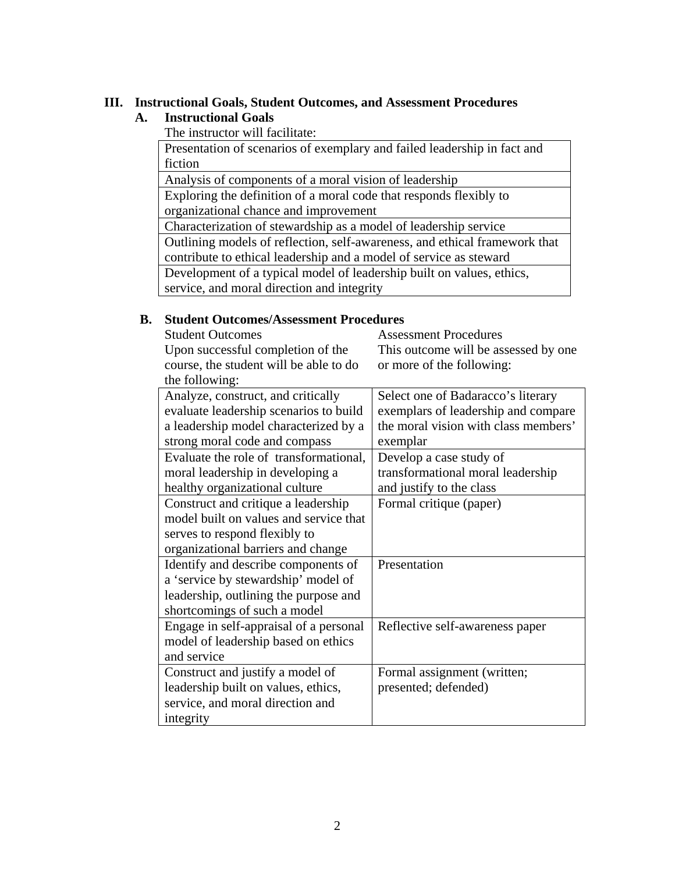## **III. Instructional Goals, Student Outcomes, and Assessment Procedures**

## **A. Instructional Goals**

The instructor will facilitate:

 Presentation of scenarios of exemplary and failed leadership in fact and fiction

Analysis of components of a moral vision of leadership

 Exploring the definition of a moral code that responds flexibly to organizational chance and improvement

Characterization of stewardship as a model of leadership service

 Outlining models of reflection, self-awareness, and ethical framework that contribute to ethical leadership and a model of service as steward

Development of a typical model of leadership built on values, ethics,

service, and moral direction and integrity

### **B. Student Outcomes/Assessment Procedures**

| <b>Student Outcomes</b>                | <b>Assessment Procedures</b>          |
|----------------------------------------|---------------------------------------|
| Upon successful completion of the      | This outcome will be assessed by one. |
| course, the student will be able to do | or more of the following:             |
| the following:                         |                                       |

| Analyze, construct, and critically     | Select one of Badaracco's literary   |
|----------------------------------------|--------------------------------------|
| evaluate leadership scenarios to build | exemplars of leadership and compare  |
| a leadership model characterized by a  | the moral vision with class members' |
| strong moral code and compass          | exemplar                             |
| Evaluate the role of transformational, | Develop a case study of              |
| moral leadership in developing a       | transformational moral leadership    |
| healthy organizational culture         | and justify to the class             |
| Construct and critique a leadership    | Formal critique (paper)              |
| model built on values and service that |                                      |
| serves to respond flexibly to          |                                      |
| organizational barriers and change     |                                      |
| Identify and describe components of    | Presentation                         |
| a 'service by stewardship' model of    |                                      |
| leadership, outlining the purpose and  |                                      |
| shortcomings of such a model           |                                      |
| Engage in self-appraisal of a personal | Reflective self-awareness paper      |
| model of leadership based on ethics    |                                      |
| and service                            |                                      |
| Construct and justify a model of       | Formal assignment (written;          |
| leadership built on values, ethics,    | presented; defended)                 |
| service, and moral direction and       |                                      |
| integrity                              |                                      |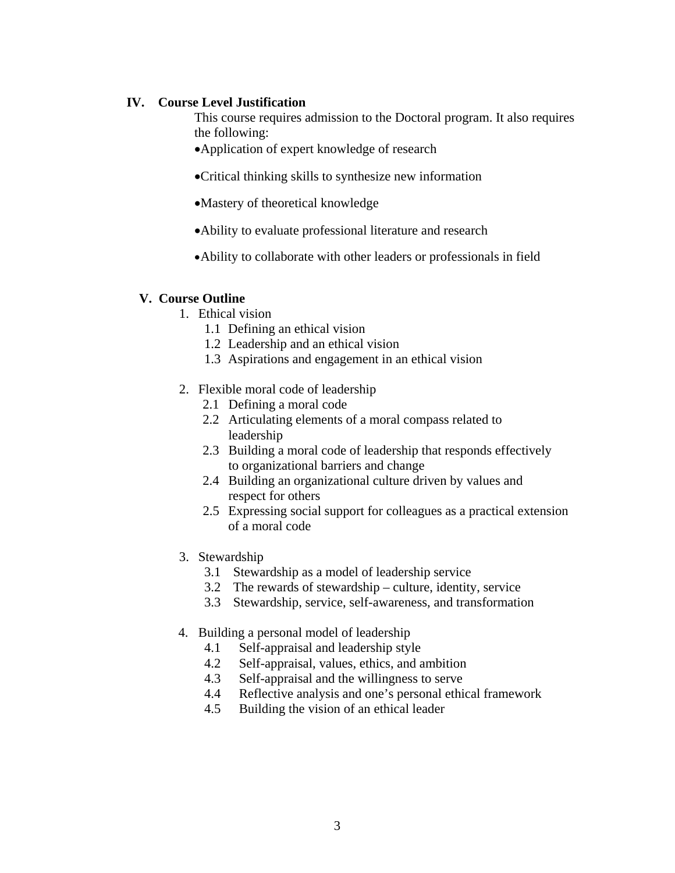## **IV. Course Level Justification**

This course requires admission to the Doctoral program. It also requires the following:

Application of expert knowledge of research

Critical thinking skills to synthesize new information

- Mastery of theoretical knowledge
- Ability to evaluate professional literature and research
- Ability to collaborate with other leaders or professionals in field

#### **V. Course Outline**

- 1. Ethical vision
	- 1.1 Defining an ethical vision
	- 1.2 Leadership and an ethical vision
	- 1.3 Aspirations and engagement in an ethical vision
- 2. Flexible moral code of leadership
	- 2.1 Defining a moral code
	- 2.2 Articulating elements of a moral compass related to leadership
	- 2.3 Building a moral code of leadership that responds effectively to organizational barriers and change
	- 2.4 Building an organizational culture driven by values and respect for others
	- 2.5 Expressing social support for colleagues as a practical extension of a moral code
- 3. Stewardship
	- 3.1 Stewardship as a model of leadership service
	- 3.2 The rewards of stewardship culture, identity, service
	- 3.3 Stewardship, service, self-awareness, and transformation
- 4. Building a personal model of leadership
	- 4.1 Self-appraisal and leadership style
	- 4.2 Self-appraisal, values, ethics, and ambition
	- 4.3 Self-appraisal and the willingness to serve
	- 4.4 Reflective analysis and one's personal ethical framework
	- 4.5 Building the vision of an ethical leader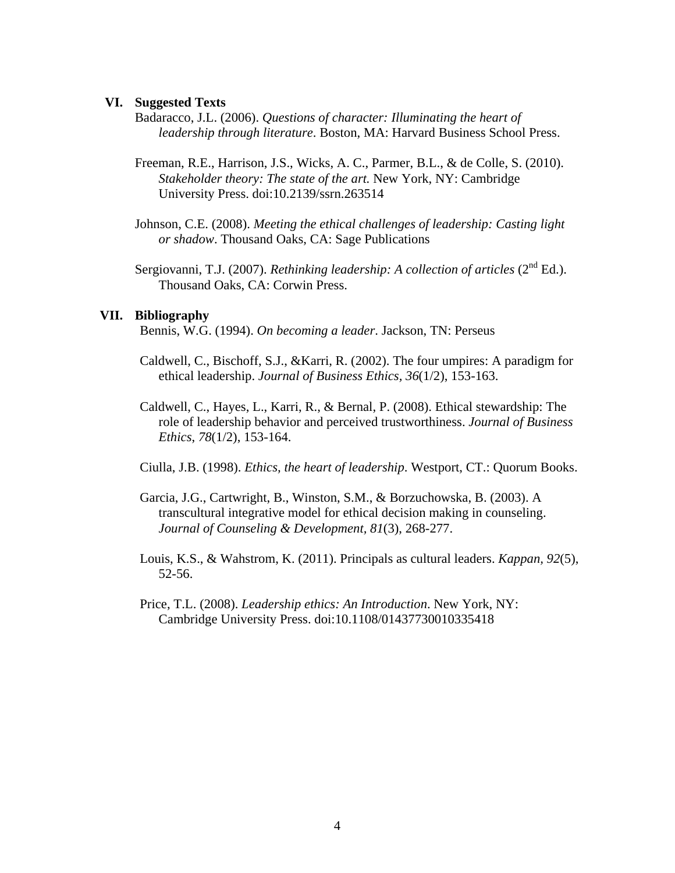#### **VI. Suggested Texts**

- Badaracco, J.L. (2006). *Questions of character: Illuminating the heart of leadership through literature*. Boston, MA: Harvard Business School Press.
- Freeman, R.E., Harrison, J.S., Wicks, A. C., Parmer, B.L., & de Colle, S. (2010). *Stakeholder theory: The state of the art.* New York, NY: Cambridge University Press. doi:10.2139/ssrn.263514
- Johnson, C.E. (2008). *Meeting the ethical challenges of leadership: Casting light or shadow*. Thousand Oaks, CA: Sage Publications
- Sergiovanni, T.J. (2007). *Rethinking leadership: A collection of articles* (2<sup>nd</sup> Ed.). Thousand Oaks, CA: Corwin Press.

#### **VII. Bibliography**

Bennis, W.G. (1994). *On becoming a leader*. Jackson, TN: Perseus

- Caldwell, C., Bischoff, S.J., &Karri, R. (2002). The four umpires: A paradigm for ethical leadership. *Journal of Business Ethics, 36*(1/2), 153-163.
- Caldwell, C., Hayes, L., Karri, R., & Bernal, P. (2008). Ethical stewardship: The role of leadership behavior and perceived trustworthiness. *Journal of Business Ethics*, *78*(1/2), 153-164.

Ciulla, J.B. (1998). *Ethics, the heart of leadership*. Westport, CT.: Quorum Books.

- Garcia, J.G., Cartwright, B., Winston, S.M., & Borzuchowska, B. (2003). A transcultural integrative model for ethical decision making in counseling. *Journal of Counseling & Development, 81*(3), 268-277.
- Louis, K.S., & Wahstrom, K. (2011). Principals as cultural leaders. *Kappan, 92*(5), 52-56.
- Price, T.L. (2008). *Leadership ethics: An Introduction*. New York, NY: Cambridge University Press. doi:10.1108/01437730010335418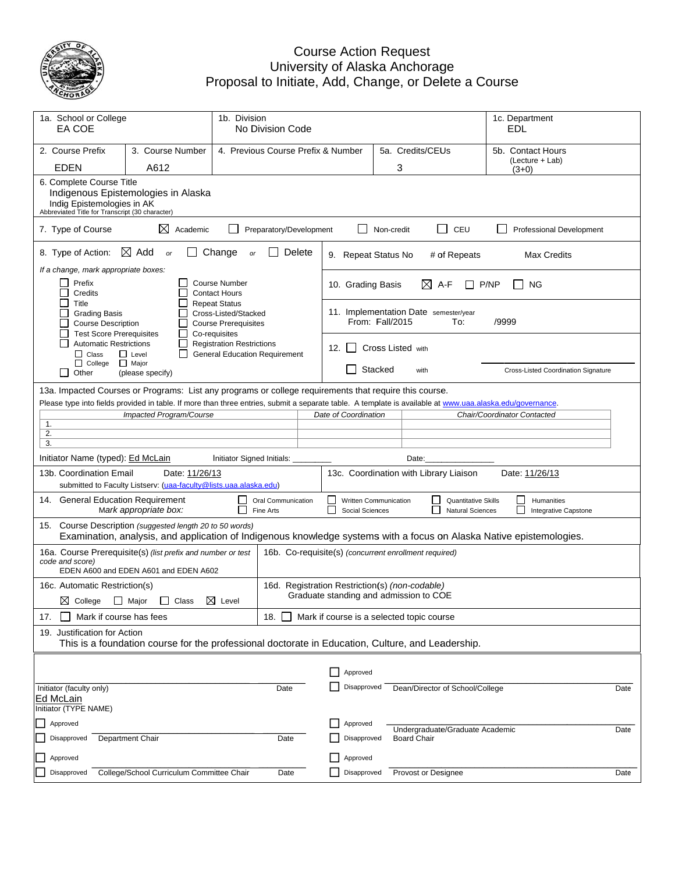

#### Proposa Cou Univers al to Initiate urse Action ity of Alask , Add, Cha Request ka Anchorag nge, or Del ge lete a Course

| 1a. School or College<br>EA COE                                                                        | 1b. Division<br>No Division Code                                                                                                                 |                                                                                              |                                    | 1c. Department<br>EDL |                                                                                          |            |                                                                                                                                                           |                                                                                                                      |      |  |  |
|--------------------------------------------------------------------------------------------------------|--------------------------------------------------------------------------------------------------------------------------------------------------|----------------------------------------------------------------------------------------------|------------------------------------|-----------------------|------------------------------------------------------------------------------------------|------------|-----------------------------------------------------------------------------------------------------------------------------------------------------------|----------------------------------------------------------------------------------------------------------------------|------|--|--|
| 2. Course Prefix                                                                                       | 3. Course Number                                                                                                                                 |                                                                                              | 4. Previous Course Prefix & Number |                       | 5a. Credits/CEUs                                                                         |            |                                                                                                                                                           | 5b. Contact Hours                                                                                                    |      |  |  |
| EDEN                                                                                                   | A612                                                                                                                                             |                                                                                              |                                    |                       |                                                                                          |            | 3                                                                                                                                                         | (Lecture + Lab)<br>$(3+0)$                                                                                           |      |  |  |
|                                                                                                        | 6. Complete Course Title<br>Indigenous Epistemologies in Alaska<br>Indig Epistemologies in AK<br>Abbreviated Title for Transcript (30 character) |                                                                                              |                                    |                       |                                                                                          |            |                                                                                                                                                           |                                                                                                                      |      |  |  |
| 7. Type of Course                                                                                      | ⊠<br>Academic                                                                                                                                    |                                                                                              | Preparatory/Development            |                       |                                                                                          | Non-credit | П<br>CEU                                                                                                                                                  | Professional Development                                                                                             |      |  |  |
| 8. Type of Action:                                                                                     | $\boxtimes$ Add<br>or                                                                                                                            | Change<br>or                                                                                 | Delete                             |                       | 9. Repeat Status No                                                                      |            | # of Repeats                                                                                                                                              | <b>Max Credits</b>                                                                                                   |      |  |  |
| If a change, mark appropriate boxes:<br>Prefix<br>Credits                                              |                                                                                                                                                  | <b>Course Number</b><br><b>Contact Hours</b>                                                 |                                    |                       | 10. Grading Basis                                                                        |            | ⊠<br>A-F                                                                                                                                                  | P/NP<br>ΝG                                                                                                           |      |  |  |
| Title<br><b>Grading Basis</b><br><b>Course Description</b><br><b>Test Score Prerequisites</b>          |                                                                                                                                                  | <b>Repeat Status</b><br>Cross-Listed/Stacked<br><b>Course Prerequisites</b><br>Co-requisites |                                    |                       | From: Fall/2015                                                                          |            | 11. Implementation Date semester/year<br>To:                                                                                                              | /9999                                                                                                                |      |  |  |
| <b>Automatic Restrictions</b><br>$\Box$ Class<br>$\Box$ Level                                          | <b>Registration Restrictions</b><br><b>General Education Requirement</b>                                                                         |                                                                                              | 12. I I                            |                       | Cross Listed with                                                                        |            |                                                                                                                                                           |                                                                                                                      |      |  |  |
| $\Box$ College<br>Other<br>$\mathsf{L}$                                                                | $\Box$ Major<br>(please specify)                                                                                                                 |                                                                                              |                                    |                       |                                                                                          | Stacked    | with                                                                                                                                                      | Cross-Listed Coordination Signature                                                                                  |      |  |  |
| 13a. Impacted Courses or Programs: List any programs or college requirements that require this course. |                                                                                                                                                  |                                                                                              |                                    |                       |                                                                                          |            |                                                                                                                                                           |                                                                                                                      |      |  |  |
|                                                                                                        |                                                                                                                                                  |                                                                                              |                                    |                       |                                                                                          |            | Please type into fields provided in table. If more than three entries, submit a separate table. A template is available at www.uaa.alaska.edu/governance. | Chair/Coordinator Contacted                                                                                          |      |  |  |
| 1.                                                                                                     | Impacted Program/Course                                                                                                                          |                                                                                              |                                    |                       | Date of Coordination                                                                     |            |                                                                                                                                                           |                                                                                                                      |      |  |  |
| 2.                                                                                                     |                                                                                                                                                  |                                                                                              |                                    |                       |                                                                                          |            |                                                                                                                                                           |                                                                                                                      |      |  |  |
| 3.                                                                                                     |                                                                                                                                                  |                                                                                              |                                    |                       |                                                                                          |            |                                                                                                                                                           |                                                                                                                      |      |  |  |
| Initiator Name (typed): Ed McLain                                                                      |                                                                                                                                                  | Initiator Signed Initials:                                                                   |                                    |                       |                                                                                          |            | Date:                                                                                                                                                     |                                                                                                                      |      |  |  |
| 13b. Coordination Email                                                                                | Date: 11/26/13<br>submitted to Faculty Listserv: (uaa-faculty@lists.uaa.alaska.edu)                                                              |                                                                                              |                                    |                       |                                                                                          |            | 13c. Coordination with Library Liaison                                                                                                                    | Date: 11/26/13                                                                                                       |      |  |  |
| 14. General Education Requirement                                                                      | Mark appropriate box:                                                                                                                            |                                                                                              | Oral Communication<br>Fine Arts    |                       | Written Communication<br>Social Sciences                                                 |            | <b>Quantitative Skills</b><br><b>Natural Sciences</b>                                                                                                     | Humanities<br>Integrative Capstone                                                                                   |      |  |  |
| 15. Course Description (suggested length 20 to 50 words)                                               |                                                                                                                                                  |                                                                                              |                                    |                       |                                                                                          |            |                                                                                                                                                           | Examination, analysis, and application of Indigenous knowledge systems with a focus on Alaska Native epistemologies. |      |  |  |
| code and score)                                                                                        | 16a. Course Prerequisite(s) (list prefix and number or test<br>EDEN A600 and EDEN A601 and EDEN A602                                             |                                                                                              |                                    |                       |                                                                                          |            | 16b. Co-requisite(s) (concurrent enrollment required)                                                                                                     |                                                                                                                      |      |  |  |
|                                                                                                        |                                                                                                                                                  |                                                                                              |                                    |                       |                                                                                          |            |                                                                                                                                                           |                                                                                                                      |      |  |  |
| 16c. Automatic Restriction(s)                                                                          | ⊠ College   Major   Class                                                                                                                        | $\boxtimes$ Level                                                                            |                                    |                       | 16d. Registration Restriction(s) (non-codable)<br>Graduate standing and admission to COE |            |                                                                                                                                                           |                                                                                                                      |      |  |  |
| Mark if course has fees<br>17.                                                                         |                                                                                                                                                  |                                                                                              | 18.                                |                       |                                                                                          |            | Mark if course is a selected topic course                                                                                                                 |                                                                                                                      |      |  |  |
| 19. Justification for Action                                                                           | This is a foundation course for the professional doctorate in Education, Culture, and Leadership.                                                |                                                                                              |                                    |                       |                                                                                          |            |                                                                                                                                                           |                                                                                                                      |      |  |  |
|                                                                                                        |                                                                                                                                                  |                                                                                              |                                    |                       |                                                                                          |            |                                                                                                                                                           |                                                                                                                      |      |  |  |
|                                                                                                        |                                                                                                                                                  |                                                                                              |                                    |                       | Approved                                                                                 |            |                                                                                                                                                           |                                                                                                                      |      |  |  |
| Initiator (faculty only)                                                                               |                                                                                                                                                  |                                                                                              | Date                               |                       | Disapproved                                                                              |            | Dean/Director of School/College                                                                                                                           |                                                                                                                      | Date |  |  |
| Ed McLain                                                                                              |                                                                                                                                                  |                                                                                              |                                    |                       |                                                                                          |            |                                                                                                                                                           |                                                                                                                      |      |  |  |
| Initiator (TYPE NAME)                                                                                  |                                                                                                                                                  |                                                                                              |                                    |                       |                                                                                          |            |                                                                                                                                                           |                                                                                                                      |      |  |  |
| Approved                                                                                               |                                                                                                                                                  |                                                                                              |                                    |                       | Approved                                                                                 |            | Undergraduate/Graduate Academic                                                                                                                           |                                                                                                                      | Date |  |  |
| Disapproved                                                                                            | Department Chair                                                                                                                                 |                                                                                              | Date                               |                       | Disapproved                                                                              |            | <b>Board Chair</b>                                                                                                                                        |                                                                                                                      |      |  |  |
| Approved                                                                                               |                                                                                                                                                  |                                                                                              |                                    |                       | Approved                                                                                 |            |                                                                                                                                                           |                                                                                                                      |      |  |  |
| Disapproved                                                                                            | College/School Curriculum Committee Chair                                                                                                        |                                                                                              | Date                               |                       | Disapproved                                                                              |            | Provost or Designee                                                                                                                                       |                                                                                                                      | Date |  |  |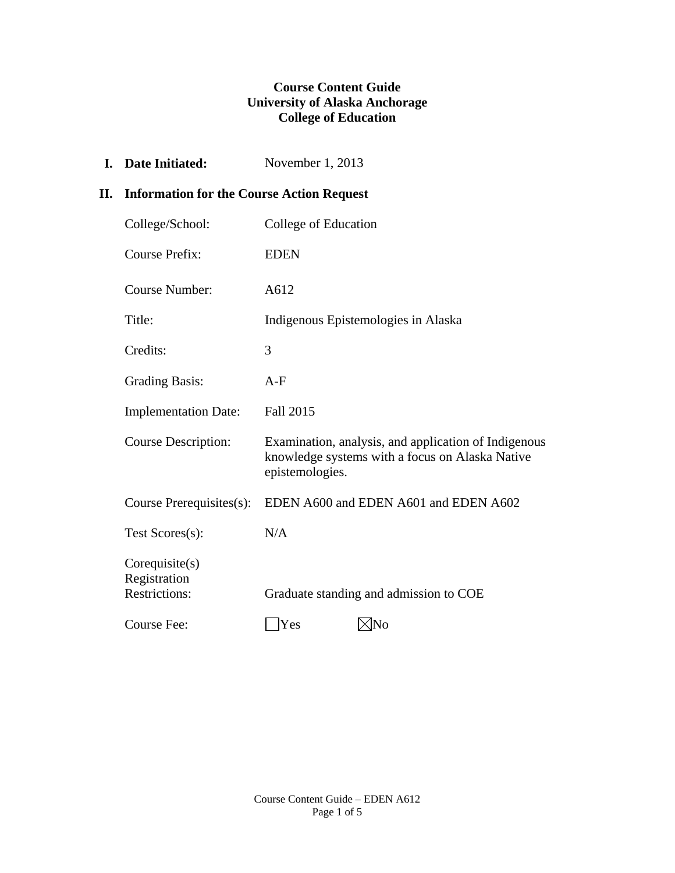## **Course Content Guide University of Alaska Anchorage College of Education**

**I. Date Initiated:** November 1, 2013

# **II. Information for the Course Action Request**

| College/School:                                        | College of Education                                                                                                       |
|--------------------------------------------------------|----------------------------------------------------------------------------------------------------------------------------|
| <b>Course Prefix:</b>                                  | <b>EDEN</b>                                                                                                                |
| <b>Course Number:</b>                                  | A612                                                                                                                       |
| Title:                                                 | Indigenous Epistemologies in Alaska                                                                                        |
| Credits:                                               | 3                                                                                                                          |
| <b>Grading Basis:</b>                                  | $A-F$                                                                                                                      |
| <b>Implementation Date:</b>                            | <b>Fall 2015</b>                                                                                                           |
| <b>Course Description:</b>                             | Examination, analysis, and application of Indigenous<br>knowledge systems with a focus on Alaska Native<br>epistemologies. |
| Course Prerequisites(s):                               | EDEN A600 and EDEN A601 and EDEN A602                                                                                      |
| Test Scores(s):                                        | N/A                                                                                                                        |
| Corequisite(s)<br>Registration<br><b>Restrictions:</b> | Graduate standing and admission to COE                                                                                     |
| Course Fee:                                            | Yes<br>⊲No                                                                                                                 |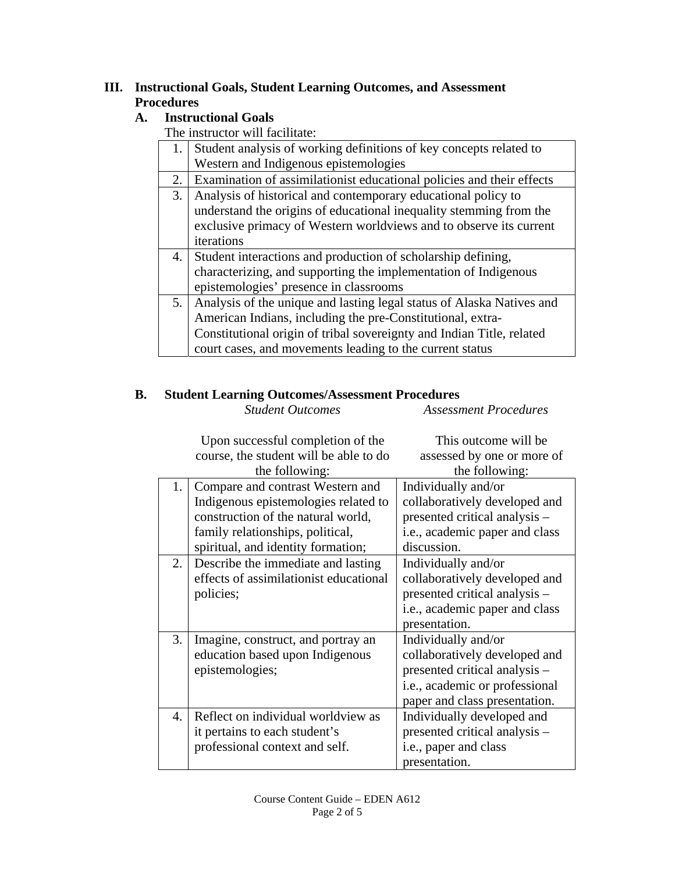# **III. Instructional Goals, Student Learning Outcomes, and Assessment Procedures**

# **A. Instructional Goals**

The instructor will facilitate:

| 1. | Student analysis of working definitions of key concepts related to    |
|----|-----------------------------------------------------------------------|
|    | Western and Indigenous epistemologies                                 |
| 2. | Examination of assimilationist educational policies and their effects |
| 3. | Analysis of historical and contemporary educational policy to         |
|    | understand the origins of educational inequality stemming from the    |
|    | exclusive primacy of Western worldviews and to observe its current    |
|    | iterations                                                            |
| 4. | Student interactions and production of scholarship defining,          |
|    | characterizing, and supporting the implementation of Indigenous       |
|    | epistemologies' presence in classrooms                                |
| 5. | Analysis of the unique and lasting legal status of Alaska Natives and |
|    | American Indians, including the pre-Constitutional, extra-            |
|    | Constitutional origin of tribal sovereignty and Indian Title, related |
|    | court cases, and movements leading to the current status              |
|    |                                                                       |

#### **B. Student Learning Outcomes/Assessment Procedures**  *Student Outcomes Assessment Procedures*

|                | Upon successful completion of the      | This outcome will be           |
|----------------|----------------------------------------|--------------------------------|
|                | course, the student will be able to do | assessed by one or more of     |
|                | the following:                         | the following:                 |
| 1.             | Compare and contrast Western and       | Individually and/or            |
|                | Indigenous epistemologies related to   | collaboratively developed and  |
|                | construction of the natural world,     | presented critical analysis -  |
|                | family relationships, political,       | i.e., academic paper and class |
|                | spiritual, and identity formation;     | discussion.                    |
| 2.             | Describe the immediate and lasting     | Individually and/or            |
|                | effects of assimilationist educational | collaboratively developed and  |
|                | policies;                              | presented critical analysis -  |
|                |                                        | i.e., academic paper and class |
|                |                                        | presentation.                  |
| 3.             | Imagine, construct, and portray an     | Individually and/or            |
|                | education based upon Indigenous        | collaboratively developed and  |
|                | epistemologies;                        | presented critical analysis -  |
|                |                                        | i.e., academic or professional |
|                |                                        | paper and class presentation.  |
| $\mathbf{4}$ . | Reflect on individual worldview as     | Individually developed and     |
|                | it pertains to each student's          | presented critical analysis -  |
|                | professional context and self.         | i.e., paper and class          |
|                |                                        | presentation.                  |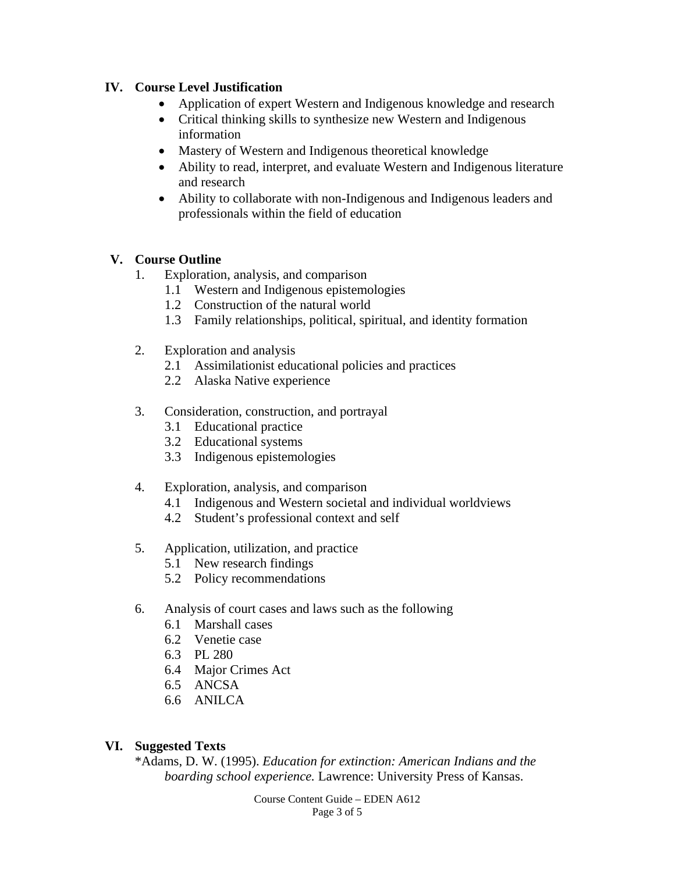## **IV. Course Level Justification**

- Application of expert Western and Indigenous knowledge and research
- Critical thinking skills to synthesize new Western and Indigenous information
- Mastery of Western and Indigenous theoretical knowledge
- Ability to read, interpret, and evaluate Western and Indigenous literature and research
- Ability to collaborate with non-Indigenous and Indigenous leaders and professionals within the field of education

## **V. Course Outline**

- 1. Exploration, analysis, and comparison
	- 1.1 Western and Indigenous epistemologies
	- 1.2 Construction of the natural world
	- 1.3 Family relationships, political, spiritual, and identity formation
- 2. Exploration and analysis
	- 2.1 Assimilationist educational policies and practices
	- 2.2 Alaska Native experience
- 3. Consideration, construction, and portrayal
	- 3.1 Educational practice
	- 3.2 Educational systems
	- 3.3 Indigenous epistemologies
- 4. Exploration, analysis, and comparison
	- 4.1 Indigenous and Western societal and individual worldviews
	- 4.2 Student's professional context and self
- 5. Application, utilization, and practice
	- 5.1 New research findings
	- 5.2 Policy recommendations
- 6. Analysis of court cases and laws such as the following
	- 6.1 Marshall cases
	- 6.2 Venetie case
	- 6.3 PL 280
	- 6.4 Major Crimes Act
	- 6.5 ANCSA
	- 6.6 ANILCA

# **VI. Suggested Texts**

 \*Adams, D. W. (1995). *Education for extinction: American Indians and the boarding school experience.* Lawrence: University Press of Kansas.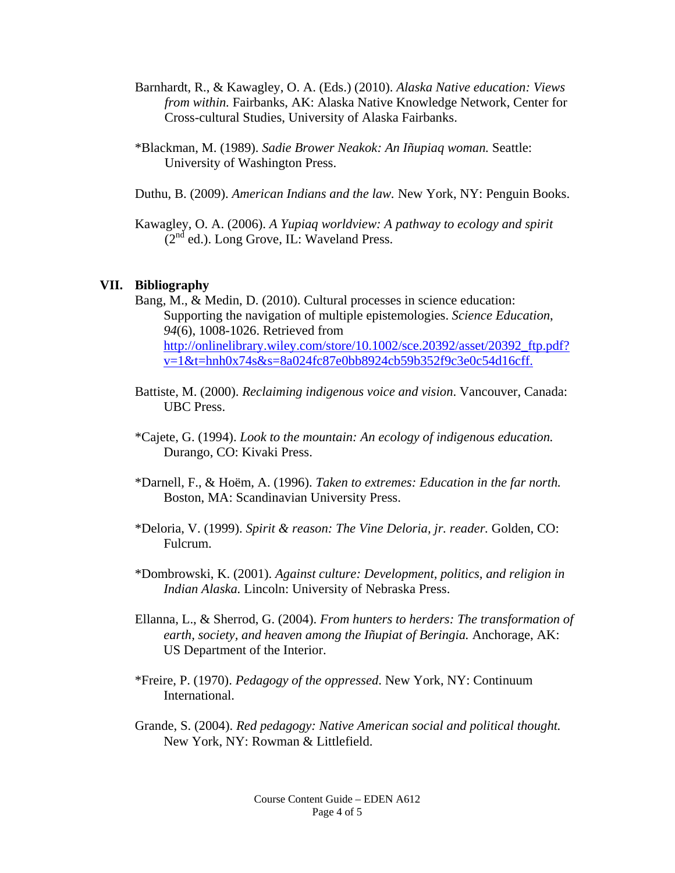- Barnhardt, R., & Kawagley, O. A. (Eds.) (2010). *Alaska Native education: Views from within.* Fairbanks, AK: Alaska Native Knowledge Network, Center for Cross-cultural Studies, University of Alaska Fairbanks.
- \*Blackman, M. (1989). *Sadie Brower Neakok: An Iñupiaq woman.* Seattle: University of Washington Press.
- Duthu, B. (2009). *American Indians and the law.* New York, NY: Penguin Books.

Kawagley, O. A. (2006). *A Yupiaq worldview: A pathway to ecology and spirit*  $(2<sup>nd</sup>$  ed.). Long Grove, IL: Waveland Press.

#### **VII. Bibliography**

- Bang, M., & Medin, D. (2010). Cultural processes in science education: Supporting the navigation of multiple epistemologies. *Science Education*, *94*(6), 1008-1026. Retrieved from http://onlinelibrary.wiley.com/store/10.1002/sce.20392/asset/20392\_ftp.pdf? v=1&t=hnh0x74s&s=8a024fc87e0bb8924cb59b352f9c3e0c54d16cff.
- Battiste, M. (2000). *Reclaiming indigenous voice and vision*. Vancouver, Canada: UBC Press.
- \*Cajete, G. (1994). *Look to the mountain: An ecology of indigenous education.*  Durango, CO: Kivaki Press.
- \*Darnell, F., & Hoëm, A. (1996). *Taken to extremes: Education in the far north.*  Boston, MA: Scandinavian University Press.
- \*Deloria, V. (1999). *Spirit & reason: The Vine Deloria, jr. reader.* Golden, CO: Fulcrum.
- \*Dombrowski, K. (2001). *Against culture: Development, politics, and religion in Indian Alaska.* Lincoln: University of Nebraska Press.
- Ellanna, L., & Sherrod, G. (2004). *From hunters to herders: The transformation of*  earth, society, and heaven among the Iñupiat of Beringia. Anchorage, AK: US Department of the Interior.
- \*Freire, P. (1970). *Pedagogy of the oppressed*. New York, NY: Continuum International.
- Grande, S. (2004). *Red pedagogy: Native American social and political thought.*  New York, NY: Rowman & Littlefield.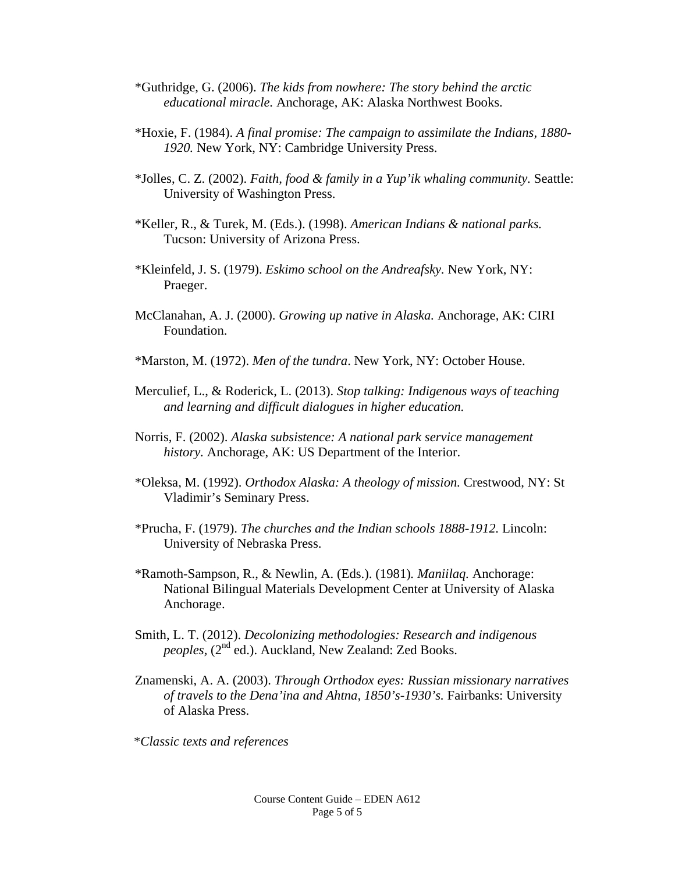- \*Guthridge, G. (2006). *The kids from nowhere: The story behind the arctic educational miracle.* Anchorage, AK: Alaska Northwest Books.
- \*Hoxie, F. (1984). *A final promise: The campaign to assimilate the Indians, 1880- 1920.* New York, NY: Cambridge University Press.
- \*Jolles, C. Z. (2002). *Faith, food & family in a Yup'ik whaling community.* Seattle: University of Washington Press.
- \*Keller, R., & Turek, M. (Eds.). (1998). *American Indians & national parks.* Tucson: University of Arizona Press.
- \*Kleinfeld, J. S. (1979). *Eskimo school on the Andreafsky.* New York, NY: Praeger.
- McClanahan, A. J. (2000). *Growing up native in Alaska.* Anchorage, AK: CIRI Foundation.
- \*Marston, M. (1972). *Men of the tundra*. New York, NY: October House.
- Merculief, L., & Roderick, L. (2013). *Stop talking: Indigenous ways of teaching and learning and difficult dialogues in higher education.*
- Norris, F. (2002). *Alaska subsistence: A national park service management history.* Anchorage, AK: US Department of the Interior.
- \*Oleksa, M. (1992). *Orthodox Alaska: A theology of mission.* Crestwood, NY: St Vladimir's Seminary Press.
- \*Prucha, F. (1979). *The churches and the Indian schools 1888-1912.* Lincoln: University of Nebraska Press.
- \*Ramoth-Sampson, R., & Newlin, A. (Eds.). (1981)*. Maniilaq.* Anchorage: National Bilingual Materials Development Center at University of Alaska Anchorage.
- Smith, L. T. (2012). *Decolonizing methodologies: Research and indigenous peoples, (2<sup>nd</sup> ed.).* Auckland, New Zealand: Zed Books.
- Znamenski, A. A. (2003). *Through Orthodox eyes: Russian missionary narratives of travels to the Dena'ina and Ahtna, 1850's-1930's.* Fairbanks: University of Alaska Press.

\**Classic texts and references*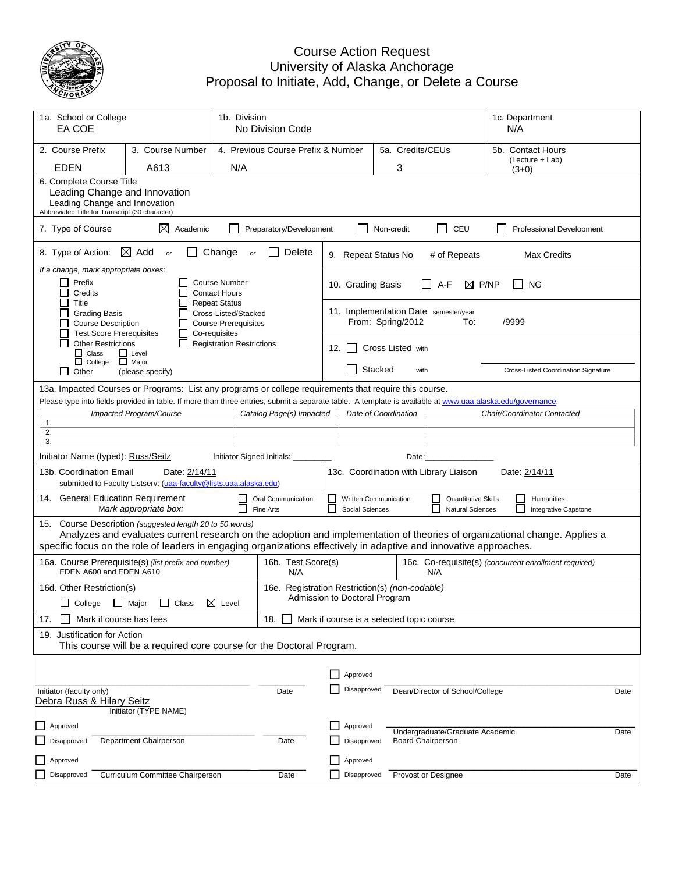

## Course Action Request University of Alaska Anchorage Proposal to Initiate, Add, Change, or Delete a Course

| 1a. School or College<br>EA COE                                                                                                                                                                                                                                     |                                                                                                                                               | 1b. Division<br>No Division Code                                                             |                                                  |                                                              |                                          |         |                          |                                                       | 1c. Department<br>N/A                                                                                                      |      |
|---------------------------------------------------------------------------------------------------------------------------------------------------------------------------------------------------------------------------------------------------------------------|-----------------------------------------------------------------------------------------------------------------------------------------------|----------------------------------------------------------------------------------------------|--------------------------------------------------|--------------------------------------------------------------|------------------------------------------|---------|--------------------------|-------------------------------------------------------|----------------------------------------------------------------------------------------------------------------------------|------|
| 2. Course Prefix<br><b>EDEN</b>                                                                                                                                                                                                                                     | 3. Course Number<br>A613                                                                                                                      | N/A                                                                                          | 4. Previous Course Prefix & Number               |                                                              | 5a. Credits/CEUs<br>3                    |         |                          |                                                       | 5b. Contact Hours<br>(Lecture + Lab)                                                                                       |      |
|                                                                                                                                                                                                                                                                     | 6. Complete Course Title<br>Leading Change and Innovation<br>Leading Change and Innovation<br>Abbreviated Title for Transcript (30 character) |                                                                                              |                                                  |                                                              |                                          |         |                          |                                                       | $(3+0)$                                                                                                                    |      |
| 7. Type of Course                                                                                                                                                                                                                                                   | ⊠<br>Academic                                                                                                                                 |                                                                                              | Preparatory/Development                          |                                                              |                                          |         | Non-credit               | $\Box$<br>CEU                                         | <b>Professional Development</b>                                                                                            |      |
| 8. Type of Action:                                                                                                                                                                                                                                                  | $\boxtimes$ Add<br>or                                                                                                                         | Change<br>or                                                                                 | Delete                                           |                                                              | 9. Repeat Status No                      |         |                          | # of Repeats                                          | Max Credits                                                                                                                |      |
| If a change, mark appropriate boxes:<br>Prefix<br>Credits                                                                                                                                                                                                           |                                                                                                                                               | <b>Course Number</b><br><b>Contact Hours</b>                                                 |                                                  |                                                              | 10. Grading Basis                        |         |                          | A-F<br>⋈                                              | P/NP<br><b>NG</b>                                                                                                          |      |
| Title<br><b>Grading Basis</b><br><b>Course Description</b><br><b>Test Score Prerequisites</b>                                                                                                                                                                       |                                                                                                                                               | <b>Repeat Status</b><br>Cross-Listed/Stacked<br><b>Course Prerequisites</b><br>Co-requisites |                                                  |                                                              |                                          |         | From: Spring/2012        | 11. Implementation Date semester/year<br>To:          | /9999                                                                                                                      |      |
| <b>Other Restrictions</b><br>$\Box$ Class<br>$\Box$ College                                                                                                                                                                                                         | $\Box$ Level<br>$\Box$ Major                                                                                                                  | <b>Registration Restrictions</b>                                                             |                                                  |                                                              | 12. $\vert$ 1                            |         | Cross Listed with        |                                                       |                                                                                                                            |      |
| $\perp$<br>Other                                                                                                                                                                                                                                                    | (please specify)                                                                                                                              |                                                                                              |                                                  |                                                              | $\mathsf{L}$                             | Stacked | with                     |                                                       | Cross-Listed Coordination Signature                                                                                        |      |
| 13a. Impacted Courses or Programs: List any programs or college requirements that require this course.<br>Please type into fields provided in table. If more than three entries, submit a separate table. A template is available at www.uaa.alaska.edu/governance. |                                                                                                                                               |                                                                                              |                                                  |                                                              |                                          |         |                          |                                                       |                                                                                                                            |      |
|                                                                                                                                                                                                                                                                     | Impacted Program/Course                                                                                                                       |                                                                                              | Catalog Page(s) Impacted                         |                                                              | Date of Coordination                     |         |                          |                                                       | Chair/Coordinator Contacted                                                                                                |      |
| 1.<br>2.                                                                                                                                                                                                                                                            |                                                                                                                                               |                                                                                              |                                                  |                                                              |                                          |         |                          |                                                       |                                                                                                                            |      |
| 3.                                                                                                                                                                                                                                                                  |                                                                                                                                               |                                                                                              |                                                  |                                                              |                                          |         |                          |                                                       |                                                                                                                            |      |
| Initiator Name (typed): Russ/Seitz                                                                                                                                                                                                                                  |                                                                                                                                               | Initiator Signed Initials:                                                                   |                                                  | Date:<br>13c. Coordination with Library Liaison              |                                          |         |                          |                                                       |                                                                                                                            |      |
| 13b. Coordination Email                                                                                                                                                                                                                                             | Date: 2/14/11<br>submitted to Faculty Listserv: (uaa-faculty@lists.uaa.alaska.edu)                                                            |                                                                                              |                                                  |                                                              |                                          |         |                          |                                                       | Date: 2/14/11                                                                                                              |      |
| 14. General Education Requirement                                                                                                                                                                                                                                   | Mark appropriate box:                                                                                                                         |                                                                                              | Oral Communication<br>Fine Arts                  |                                                              | Written Communication<br>Social Sciences |         |                          | <b>Quantitative Skills</b><br><b>Natural Sciences</b> | Humanities<br>$\overline{\phantom{0}}$<br>Integrative Capstone                                                             |      |
| 15. Course Description (suggested length 20 to 50 words)<br>specific focus on the role of leaders in engaging organizations effectively in adaptive and innovative approaches.                                                                                      |                                                                                                                                               |                                                                                              |                                                  |                                                              |                                          |         |                          |                                                       | Analyzes and evaluates current research on the adoption and implementation of theories of organizational change. Applies a |      |
| 16a. Course Prerequisite(s) (list prefix and number)<br>EDEN A600 and EDEN A610                                                                                                                                                                                     |                                                                                                                                               |                                                                                              | 16b. Test Score(s)<br>N/A                        | 16c. Co-requisite(s) (concurrent enrollment required)<br>N/A |                                          |         |                          |                                                       |                                                                                                                            |      |
| 16d. Other Restriction(s)                                                                                                                                                                                                                                           |                                                                                                                                               |                                                                                              | 16e. Registration Restriction(s) (non-codable)   |                                                              | Admission to Doctoral Program            |         |                          |                                                       |                                                                                                                            |      |
| Mark if course has fees<br>17.                                                                                                                                                                                                                                      | □ College □ Major □ Class 区 Level                                                                                                             |                                                                                              | 18.<br>Mark if course is a selected topic course |                                                              |                                          |         |                          |                                                       |                                                                                                                            |      |
| 19. Justification for Action                                                                                                                                                                                                                                        |                                                                                                                                               |                                                                                              |                                                  |                                                              |                                          |         |                          |                                                       |                                                                                                                            |      |
|                                                                                                                                                                                                                                                                     | This course will be a required core course for the Doctoral Program.                                                                          |                                                                                              |                                                  |                                                              |                                          |         |                          |                                                       |                                                                                                                            |      |
|                                                                                                                                                                                                                                                                     |                                                                                                                                               |                                                                                              |                                                  |                                                              |                                          |         |                          |                                                       |                                                                                                                            |      |
|                                                                                                                                                                                                                                                                     |                                                                                                                                               |                                                                                              |                                                  |                                                              | Approved<br>Disapproved                  |         |                          | Dean/Director of School/College                       |                                                                                                                            |      |
| Initiator (faculty only)<br>Debra Russ & Hilary Seitz<br>Initiator (TYPE NAME)                                                                                                                                                                                      |                                                                                                                                               |                                                                                              | Date                                             |                                                              |                                          |         |                          |                                                       |                                                                                                                            | Date |
| Approved                                                                                                                                                                                                                                                            |                                                                                                                                               |                                                                                              |                                                  |                                                              | Approved                                 |         |                          |                                                       |                                                                                                                            |      |
| Department Chairperson<br>Disapproved<br>Date                                                                                                                                                                                                                       |                                                                                                                                               |                                                                                              |                                                  |                                                              | Disapproved                              |         | <b>Board Chairperson</b> | Undergraduate/Graduate Academic                       |                                                                                                                            | Date |
| Approved                                                                                                                                                                                                                                                            |                                                                                                                                               |                                                                                              |                                                  |                                                              | Approved                                 |         |                          |                                                       |                                                                                                                            |      |
| Disapproved                                                                                                                                                                                                                                                         | Curriculum Committee Chairperson                                                                                                              |                                                                                              | Date                                             |                                                              | Disapproved                              |         |                          | Provost or Designee                                   |                                                                                                                            | Date |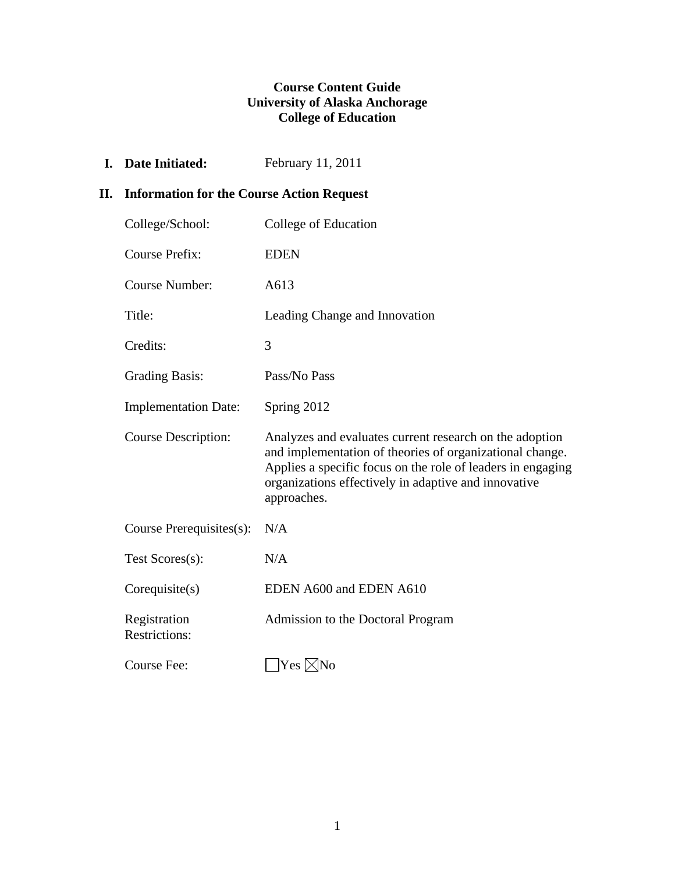## **Course Content Guide University of Alaska Anchorage College of Education**

**I.** Date Initiated: February 11, 2011

## **II. Information for the Course Action Request**

| College/School:                      | College of Education                                                                                                                                                                                                                                      |
|--------------------------------------|-----------------------------------------------------------------------------------------------------------------------------------------------------------------------------------------------------------------------------------------------------------|
| <b>Course Prefix:</b>                | <b>EDEN</b>                                                                                                                                                                                                                                               |
| <b>Course Number:</b>                | A613                                                                                                                                                                                                                                                      |
| Title:                               | Leading Change and Innovation                                                                                                                                                                                                                             |
| Credits:                             | 3                                                                                                                                                                                                                                                         |
| <b>Grading Basis:</b>                | Pass/No Pass                                                                                                                                                                                                                                              |
| <b>Implementation Date:</b>          | Spring 2012                                                                                                                                                                                                                                               |
| <b>Course Description:</b>           | Analyzes and evaluates current research on the adoption<br>and implementation of theories of organizational change.<br>Applies a specific focus on the role of leaders in engaging<br>organizations effectively in adaptive and innovative<br>approaches. |
| Course Prerequisites(s):             | N/A                                                                                                                                                                                                                                                       |
| Test Scores(s):                      | N/A                                                                                                                                                                                                                                                       |
| Corequisite(s)                       | EDEN A600 and EDEN A610                                                                                                                                                                                                                                   |
| Registration<br><b>Restrictions:</b> | Admission to the Doctoral Program                                                                                                                                                                                                                         |
| Course Fee:                          | Yes ⊠No                                                                                                                                                                                                                                                   |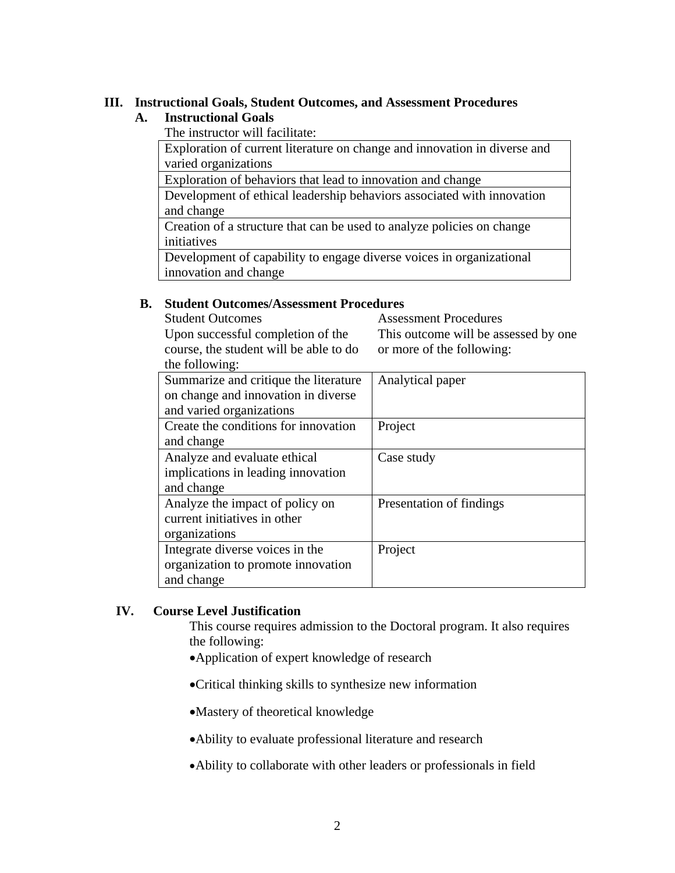## **III. Instructional Goals, Student Outcomes, and Assessment Procedures**

## **A. Instructional Goals**

The instructor will facilitate:

 Exploration of current literature on change and innovation in diverse and varied organizations

Exploration of behaviors that lead to innovation and change

 Development of ethical leadership behaviors associated with innovation and change

 Creation of a structure that can be used to analyze policies on change initiatives

 Development of capability to engage diverse voices in organizational innovation and change

## **B. Student Outcomes/Assessment Procedures**

| <b>Student Outcomes</b>                | <b>Assessment Procedures</b>         |
|----------------------------------------|--------------------------------------|
| Upon successful completion of the      | This outcome will be assessed by one |
| course, the student will be able to do | or more of the following:            |
| the following:                         |                                      |
| Summarize and critique the literature  | Analytical paper                     |
| on change and innovation in diverse    |                                      |
| and varied organizations               |                                      |
| Create the conditions for innovation   | Project                              |
| and change                             |                                      |
| Analyze and evaluate ethical           | Case study                           |
| implications in leading innovation     |                                      |
| and change                             |                                      |
| Analyze the impact of policy on        | Presentation of findings             |
| current initiatives in other           |                                      |
| organizations                          |                                      |
| Integrate diverse voices in the        | Project                              |
| organization to promote innovation     |                                      |
| and change                             |                                      |

## **IV. Course Level Justification**

This course requires admission to the Doctoral program. It also requires the following:

- Application of expert knowledge of research
- Critical thinking skills to synthesize new information
- Mastery of theoretical knowledge
- Ability to evaluate professional literature and research
- Ability to collaborate with other leaders or professionals in field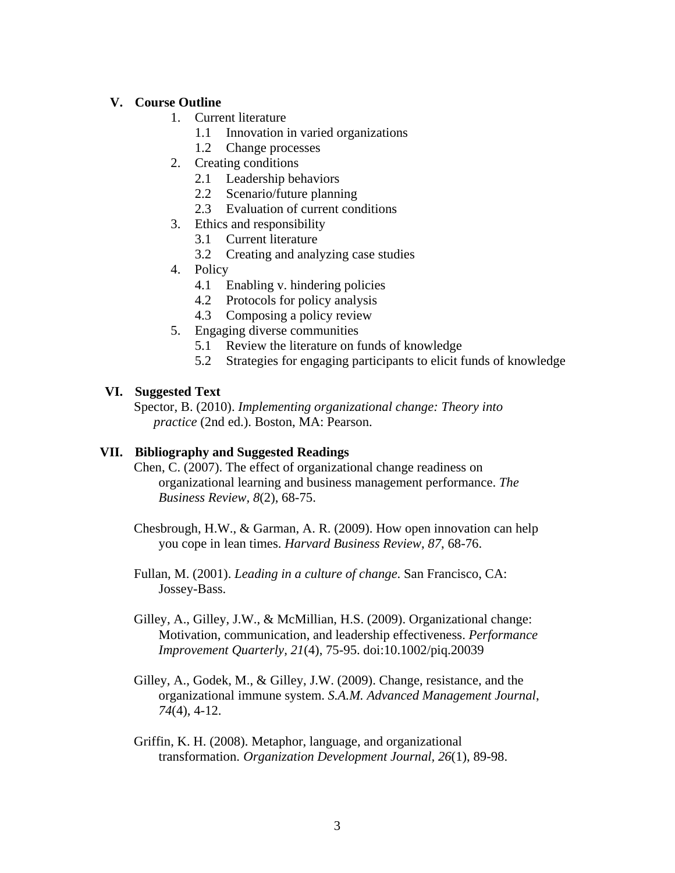## **V. Course Outline**

- 1. Current literature
	- 1.1 Innovation in varied organizations
	- 1.2 Change processes
- 2. Creating conditions
	- 2.1 Leadership behaviors
	- 2.2 Scenario/future planning
	- 2.3 Evaluation of current conditions
- 3. Ethics and responsibility
	- 3.1 Current literature
	- 3.2 Creating and analyzing case studies
- 4. Policy
	- 4.1 Enabling v. hindering policies
	- 4.2 Protocols for policy analysis
	- 4.3 Composing a policy review
- 5. Engaging diverse communities
	- 5.1 Review the literature on funds of knowledge
	- 5.2 Strategies for engaging participants to elicit funds of knowledge

## **VI. Suggested Text**

Spector, B. (2010). *Implementing organizational change: Theory into practice* (2nd ed.). Boston, MA: Pearson.

## **VII. Bibliography and Suggested Readings**

Chen, C. (2007). The effect of organizational change readiness on organizational learning and business management performance. *The Business Review, 8*(2), 68-75.

- Chesbrough, H.W., & Garman, A. R. (2009). How open innovation can help you cope in lean times. *Harvard Business Review*, *87*, 68-76.
- Fullan, M. (2001). *Leading in a culture of change*. San Francisco, CA: Jossey-Bass.
- Gilley, A., Gilley, J.W., & McMillian, H.S. (2009). Organizational change: Motivation, communication, and leadership effectiveness. *Performance Improvement Quarterly, 21*(4), 75-95. doi:10.1002/piq.20039
- Gilley, A., Godek, M., & Gilley, J.W. (2009). Change, resistance, and the organizational immune system. *S.A.M. Advanced Management Journal*, *74*(4), 4-12.
- Griffin, K. H. (2008). Metaphor, language, and organizational transformation. *Organization Development Journal, 26*(1), 89-98.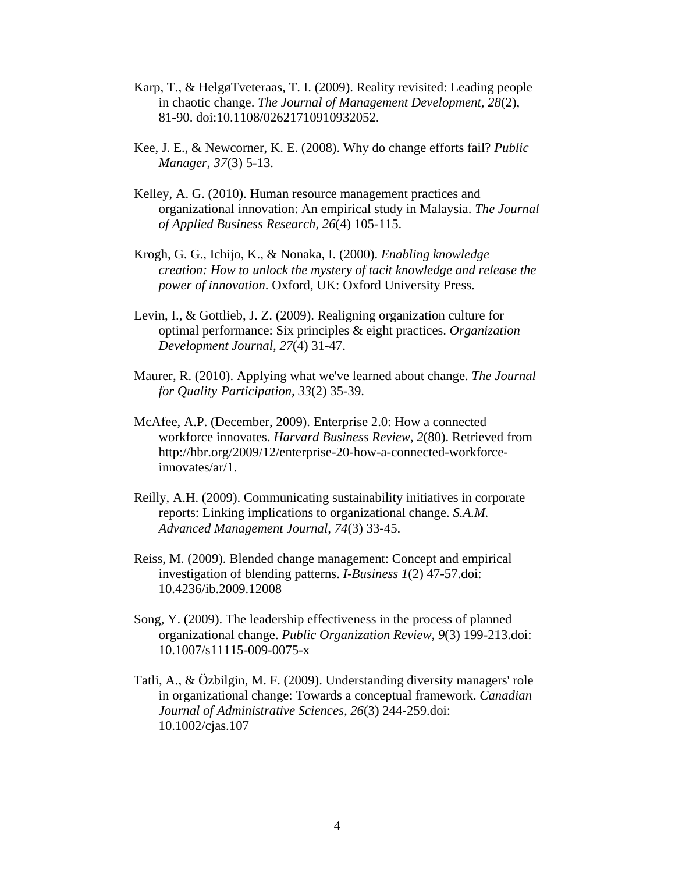- Karp, T., & HelgøTveteraas, T. I. (2009). Reality revisited: Leading people in chaotic change. *The Journal of Management Development, 28*(2), 81-90. doi:10.1108/02621710910932052.
- Kee, J. E., & Newcorner, K. E. (2008). Why do change efforts fail? *Public Manager, 37(3)* 5-13.
- Kelley, A. G. (2010). Human resource management practices and organizational innovation: An empirical study in Malaysia. *The Journal of Applied Business Research, 26*(4) 105-115.
- Krogh, G. G., Ichijo, K., & Nonaka, I. (2000). *Enabling knowledge creation: How to unlock the mystery of tacit knowledge and release the power of innovation*. Oxford, UK: Oxford University Press.
- Levin, I., & Gottlieb, J. Z. (2009). Realigning organization culture for optimal performance: Six principles & eight practices. *Organization Development Journal, 27*(4) 31-47.
- Maurer, R. (2010). Applying what we've learned about change. *The Journal for Quality Participation, 33*(2) 35-39.
- McAfee, A.P. (December, 2009). Enterprise 2.0: How a connected workforce innovates. *Harvard Business Review*, *2*(80). Retrieved from http://hbr.org/2009/12/enterprise-20-how-a-connected-workforceinnovates/ar/1.
- Reilly, A.H. (2009). Communicating sustainability initiatives in corporate reports: Linking implications to organizational change. *S.A.M. Advanced Management Journal, 74*(3) 33-45.
- Reiss, M. (2009). Blended change management: Concept and empirical investigation of blending patterns. *I-Business 1*(2) 47-57.doi: 10.4236/ib.2009.12008
- Song, Y. (2009). The leadership effectiveness in the process of planned organizational change. *Public Organization Review, 9*(3) 199-213.doi: 10.1007/s11115-009-0075-x
- Tatli, A., & Özbilgin, M. F. (2009). Understanding diversity managers' role in organizational change: Towards a conceptual framework. *Canadian Journal of Administrative Sciences, 26*(3) 244-259.doi: 10.1002/cjas.107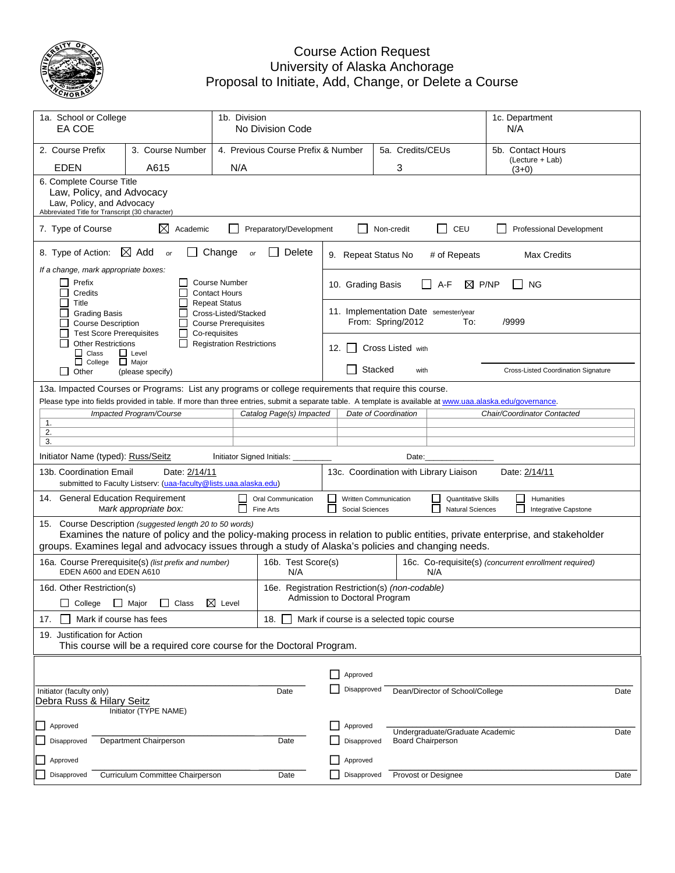

## Course Action Request University of Alaska Anchorage Proposal to Initiate, Add, Change, or Delete a Course

| 1a. School or College<br>EA COE                                                                                                                           |                                                                                                                                                                                         |                                                                                              | 1b. Division<br>No Division Code               |                                                              |                                          |         |                          |                                                       | N/A                                             | 1c. Department                      |      |
|-----------------------------------------------------------------------------------------------------------------------------------------------------------|-----------------------------------------------------------------------------------------------------------------------------------------------------------------------------------------|----------------------------------------------------------------------------------------------|------------------------------------------------|--------------------------------------------------------------|------------------------------------------|---------|--------------------------|-------------------------------------------------------|-------------------------------------------------|-------------------------------------|------|
| 2. Course Prefix<br><b>EDEN</b>                                                                                                                           | 3. Course Number<br>A615                                                                                                                                                                | N/A                                                                                          | 4. Previous Course Prefix & Number             | 5a. Credits/CEUs<br>3                                        |                                          |         |                          |                                                       | 5b. Contact Hours<br>(Lecture + Lab)<br>$(3+0)$ |                                     |      |
| 6. Complete Course Title<br>Law, Policy, and Advocacy<br>Law, Policy, and Advocacy<br>Abbreviated Title for Transcript (30 character)                     |                                                                                                                                                                                         |                                                                                              |                                                |                                                              |                                          |         |                          |                                                       |                                                 |                                     |      |
| 7. Type of Course                                                                                                                                         | ⊠<br>Academic                                                                                                                                                                           |                                                                                              | Preparatory/Development                        |                                                              |                                          |         | Non-credit               | $\Box$<br>CEU                                         |                                                 | Professional Development            |      |
| 8. Type of Action:                                                                                                                                        | $\boxtimes$ Add<br>or                                                                                                                                                                   | Change<br>or                                                                                 | Delete                                         |                                                              | 9. Repeat Status No                      |         |                          | # of Repeats                                          |                                                 | Max Credits                         |      |
| If a change, mark appropriate boxes:<br>Prefix<br>Credits                                                                                                 |                                                                                                                                                                                         | <b>Course Number</b><br><b>Contact Hours</b>                                                 |                                                |                                                              | 10. Grading Basis                        |         |                          | A-F<br>⊠                                              | P/NP                                            | <b>NG</b>                           |      |
| Title<br><b>Grading Basis</b><br><b>Course Description</b><br><b>Test Score Prerequisites</b>                                                             |                                                                                                                                                                                         | <b>Repeat Status</b><br>Cross-Listed/Stacked<br><b>Course Prerequisites</b><br>Co-requisites |                                                |                                                              |                                          |         | From: Spring/2012        | 11. Implementation Date semester/year<br>To:          | /9999                                           |                                     |      |
| <b>Other Restrictions</b><br>$\Box$ Class<br>$\Box$ College                                                                                               | $\Box$ Level<br>$\Box$ Major                                                                                                                                                            | <b>Registration Restrictions</b>                                                             |                                                | 12.                                                          | $\mathbf{1}$                             |         | Cross Listed with        |                                                       |                                                 |                                     |      |
| Other                                                                                                                                                     | (please specify)                                                                                                                                                                        |                                                                                              |                                                |                                                              |                                          | Stacked | with                     |                                                       |                                                 | Cross-Listed Coordination Signature |      |
| 13a. Impacted Courses or Programs: List any programs or college requirements that require this course.                                                    |                                                                                                                                                                                         |                                                                                              |                                                |                                                              |                                          |         |                          |                                                       |                                                 |                                     |      |
| Please type into fields provided in table. If more than three entries, submit a separate table. A template is available at www.uaa.alaska.edu/governance. | Impacted Program/Course                                                                                                                                                                 |                                                                                              | Catalog Page(s) Impacted                       |                                                              |                                          |         | Date of Coordination     |                                                       |                                                 | Chair/Coordinator Contacted         |      |
| 1.<br>2.                                                                                                                                                  |                                                                                                                                                                                         |                                                                                              |                                                |                                                              |                                          |         |                          |                                                       |                                                 |                                     |      |
| 3.                                                                                                                                                        |                                                                                                                                                                                         |                                                                                              |                                                |                                                              |                                          |         |                          |                                                       |                                                 |                                     |      |
| Initiator Name (typed): Russ/Seitz                                                                                                                        |                                                                                                                                                                                         | Initiator Signed Initials:                                                                   |                                                |                                                              |                                          |         | Date:                    |                                                       |                                                 |                                     |      |
| 13b. Coordination Email                                                                                                                                   | Date: 2/14/11<br>submitted to Faculty Listserv: (uaa-faculty@lists.uaa.alaska.edu)                                                                                                      |                                                                                              |                                                | 13c. Coordination with Library Liaison<br>Date: 2/14/11      |                                          |         |                          |                                                       |                                                 |                                     |      |
| 14. General Education Requirement                                                                                                                         | Mark appropriate box:                                                                                                                                                                   | $\Box$                                                                                       | Oral Communication<br>Fine Arts                |                                                              | Written Communication<br>Social Sciences |         |                          | <b>Quantitative Skills</b><br><b>Natural Sciences</b> | L<br>$\mathbf{I}$                               | Humanities<br>Integrative Capstone  |      |
| 15.<br>groups. Examines legal and advocacy issues through a study of Alaska's policies and changing needs.                                                | Course Description (suggested length 20 to 50 words)<br>Examines the nature of policy and the policy-making process in relation to public entities, private enterprise, and stakeholder |                                                                                              |                                                |                                                              |                                          |         |                          |                                                       |                                                 |                                     |      |
| EDEN A600 and EDEN A610                                                                                                                                   | 16a. Course Prerequisite(s) (list prefix and number)                                                                                                                                    |                                                                                              | 16b. Test Score(s)<br>N/A                      | 16c. Co-requisite(s) (concurrent enrollment required)<br>N/A |                                          |         |                          |                                                       |                                                 |                                     |      |
| 16d. Other Restriction(s)                                                                                                                                 |                                                                                                                                                                                         |                                                                                              | 16e. Registration Restriction(s) (non-codable) |                                                              | Admission to Doctoral Program            |         |                          |                                                       |                                                 |                                     |      |
| Mark if course has fees                                                                                                                                   | □ College □ Major □ Class 区 Level                                                                                                                                                       |                                                                                              |                                                | Mark if course is a selected topic course                    |                                          |         |                          |                                                       |                                                 |                                     |      |
| 17.<br>19. Justification for Action                                                                                                                       |                                                                                                                                                                                         |                                                                                              | 18.                                            |                                                              |                                          |         |                          |                                                       |                                                 |                                     |      |
|                                                                                                                                                           | This course will be a required core course for the Doctoral Program.                                                                                                                    |                                                                                              |                                                |                                                              |                                          |         |                          |                                                       |                                                 |                                     |      |
|                                                                                                                                                           |                                                                                                                                                                                         |                                                                                              |                                                |                                                              | Approved                                 |         |                          |                                                       |                                                 |                                     |      |
| Initiator (faculty only)<br>Date                                                                                                                          |                                                                                                                                                                                         |                                                                                              |                                                |                                                              | Disapproved                              |         |                          | Dean/Director of School/College                       |                                                 |                                     | Date |
| Debra Russ & Hilary Seitz<br>Initiator (TYPE NAME)                                                                                                        |                                                                                                                                                                                         |                                                                                              |                                                |                                                              |                                          |         |                          |                                                       |                                                 |                                     |      |
| Approved                                                                                                                                                  |                                                                                                                                                                                         |                                                                                              |                                                |                                                              | Approved                                 |         |                          |                                                       |                                                 |                                     |      |
| Department Chairperson<br>Disapproved<br>Date                                                                                                             |                                                                                                                                                                                         |                                                                                              |                                                |                                                              | Disapproved                              |         | <b>Board Chairperson</b> | Undergraduate/Graduate Academic                       |                                                 |                                     | Date |
| Approved                                                                                                                                                  |                                                                                                                                                                                         |                                                                                              |                                                |                                                              | Approved                                 |         |                          |                                                       |                                                 |                                     |      |
| Disapproved                                                                                                                                               | Curriculum Committee Chairperson                                                                                                                                                        |                                                                                              | Date                                           |                                                              | Disapproved                              |         |                          | Provost or Designee                                   |                                                 |                                     | Date |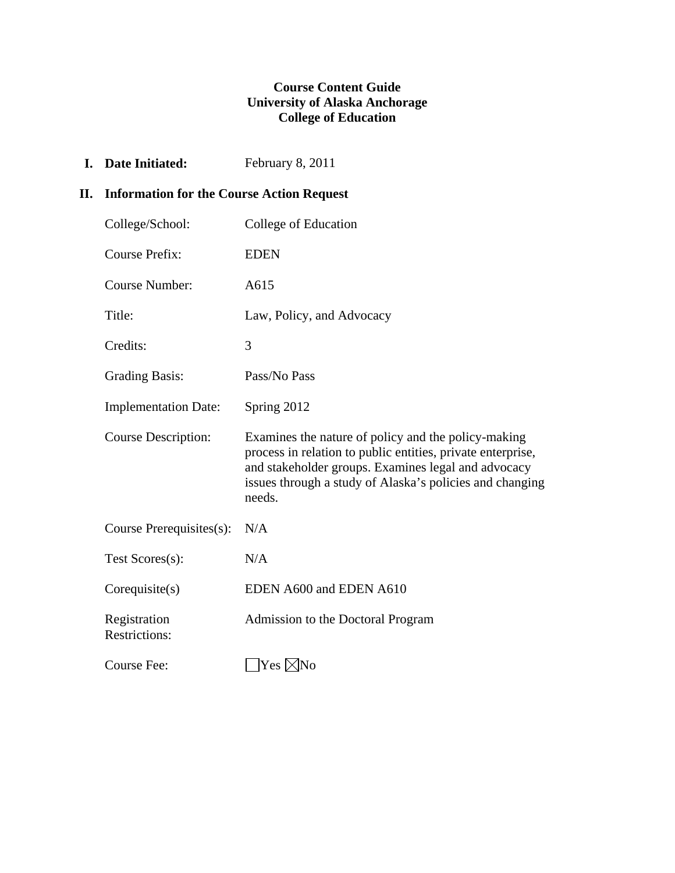## **Course Content Guide University of Alaska Anchorage College of Education**

**I.** Date Initiated: February 8, 2011

# **II. Information for the Course Action Request**

| College/School:                      | College of Education                                                                                                                                                                                                                            |
|--------------------------------------|-------------------------------------------------------------------------------------------------------------------------------------------------------------------------------------------------------------------------------------------------|
| <b>Course Prefix:</b>                | <b>EDEN</b>                                                                                                                                                                                                                                     |
| <b>Course Number:</b>                | A615                                                                                                                                                                                                                                            |
| Title:                               | Law, Policy, and Advocacy                                                                                                                                                                                                                       |
| Credits:                             | 3                                                                                                                                                                                                                                               |
| <b>Grading Basis:</b>                | Pass/No Pass                                                                                                                                                                                                                                    |
| <b>Implementation Date:</b>          | Spring 2012                                                                                                                                                                                                                                     |
| Course Description:                  | Examines the nature of policy and the policy-making<br>process in relation to public entities, private enterprise,<br>and stakeholder groups. Examines legal and advocacy<br>issues through a study of Alaska's policies and changing<br>needs. |
| Course Prerequisites(s):             | N/A                                                                                                                                                                                                                                             |
| Test Scores(s):                      | N/A                                                                                                                                                                                                                                             |
| Corequisite(s)                       | EDEN A600 and EDEN A610                                                                                                                                                                                                                         |
| Registration<br><b>Restrictions:</b> | Admission to the Doctoral Program                                                                                                                                                                                                               |
| Course Fee:                          | Yes ⊠No                                                                                                                                                                                                                                         |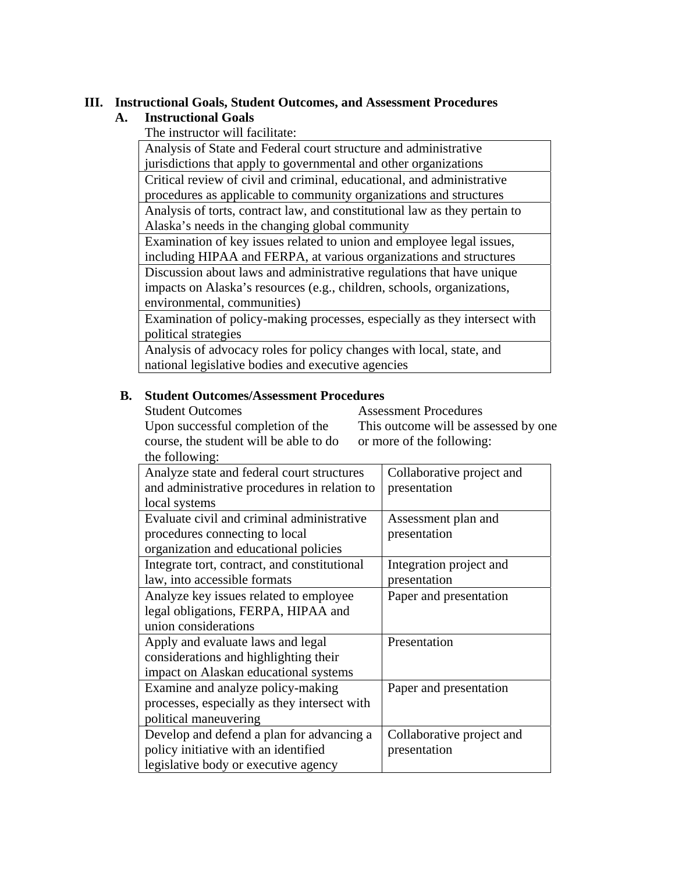## **III. Instructional Goals, Student Outcomes, and Assessment Procedures**

## **A. Instructional Goals**

The instructor will facilitate:

 Analysis of State and Federal court structure and administrative jurisdictions that apply to governmental and other organizations Critical review of civil and criminal, educational, and administrative procedures as applicable to community organizations and structures Analysis of torts, contract law, and constitutional law as they pertain to Alaska's needs in the changing global community

 Examination of key issues related to union and employee legal issues, including HIPAA and FERPA, at various organizations and structures Discussion about laws and administrative regulations that have unique impacts on Alaska's resources (e.g., children, schools, organizations, environmental, communities)

 Examination of policy-making processes, especially as they intersect with political strategies

 Analysis of advocacy roles for policy changes with local, state, and national legislative bodies and executive agencies

### **B. Student Outcomes/Assessment Procedures**

Student Outcomes

Assessment Procedures

Upon successful completion of the course, the student will be able to do the following:

This outcome will be assessed by one or more of the following:

| the following:                               |                           |
|----------------------------------------------|---------------------------|
| Analyze state and federal court structures   | Collaborative project and |
| and administrative procedures in relation to | presentation              |
| local systems                                |                           |
| Evaluate civil and criminal administrative   | Assessment plan and       |
| procedures connecting to local               | presentation              |
| organization and educational policies        |                           |
| Integrate tort, contract, and constitutional | Integration project and   |
| law, into accessible formats                 | presentation              |
| Analyze key issues related to employee       | Paper and presentation    |
| legal obligations, FERPA, HIPAA and          |                           |
| union considerations                         |                           |
| Apply and evaluate laws and legal            | Presentation              |
| considerations and highlighting their        |                           |
| impact on Alaskan educational systems        |                           |
| Examine and analyze policy-making            | Paper and presentation    |
| processes, especially as they intersect with |                           |
| political maneuvering                        |                           |
| Develop and defend a plan for advancing a    | Collaborative project and |
| policy initiative with an identified         | presentation              |
| legislative body or executive agency         |                           |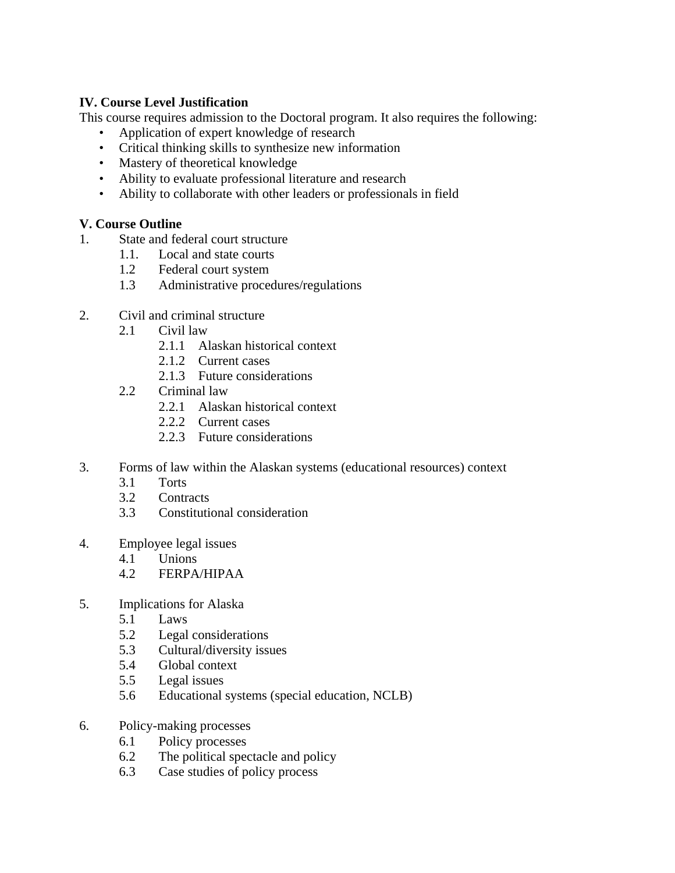## **IV. Course Level Justification**

This course requires admission to the Doctoral program. It also requires the following:

- Application of expert knowledge of research
- Critical thinking skills to synthesize new information
- Mastery of theoretical knowledge
- Ability to evaluate professional literature and research
- Ability to collaborate with other leaders or professionals in field

## **V. Course Outline**

- 1. State and federal court structure
	- 1.1. Local and state courts
	- 1.2 Federal court system
	- 1.3 Administrative procedures/regulations
- 2. Civil and criminal structure
	- 2.1 Civil law
		- 2.1.1 Alaskan historical context
		- 2.1.2 Current cases
			- 2.1.3 Future considerations
	- 2.2 Criminal law
		- 2.2.1 Alaskan historical context
		- 2.2.2 Current cases
		- 2.2.3 Future considerations
- 3. Forms of law within the Alaskan systems (educational resources) context
	- 3.1 Torts
	- 3.2 Contracts
	- 3.3 Constitutional consideration
- 4. Employee legal issues
	- 4.1 Unions
	- 4.2 FERPA/HIPAA
- 5. Implications for Alaska
	- 5.1 Laws
	- 5.2 Legal considerations
	- 5.3 Cultural/diversity issues
	- 5.4 Global context
	- 5.5 Legal issues
	- 5.6 Educational systems (special education, NCLB)
- 6. Policy-making processes
	- 6.1 Policy processes
	- 6.2 The political spectacle and policy
	- 6.3 Case studies of policy process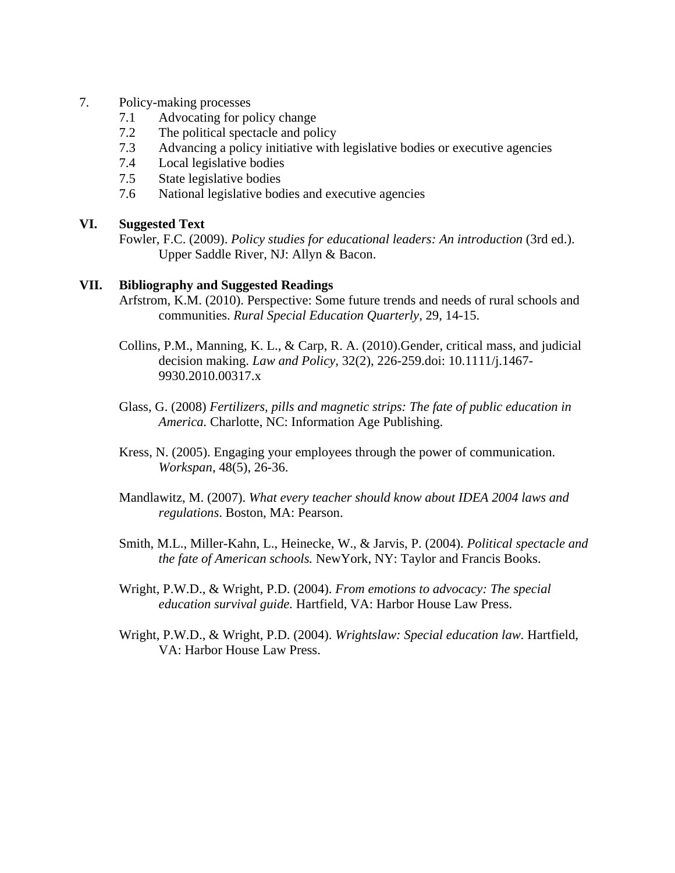#### 7. Policy-making processes

- 7.1 Advocating for policy change
- 7.2 The political spectacle and policy
- 7.3 Advancing a policy initiative with legislative bodies or executive agencies
- 7.4 Local legislative bodies
- 7.5 State legislative bodies
- 7.6 National legislative bodies and executive agencies

### **VI. Suggested Text**

 Fowler, F.C. (2009). *Policy studies for educational leaders: An introduction* (3rd ed.). Upper Saddle River, NJ: Allyn & Bacon.

### **VII. Bibliography and Suggested Readings**

- Arfstrom, K.M. (2010). Perspective: Some future trends and needs of rural schools and communities. *Rural Special Education Quarterly,* 29, 14-15.
	- Collins, P.M., Manning, K. L., & Carp, R. A. (2010).Gender, critical mass, and judicial decision making. *Law and Policy,* 32(2), 226-259.doi: 10.1111/j.1467- 9930.2010.00317.x
	- Glass, G. (2008) *Fertilizers, pills and magnetic strips: The fate of public education in America.* Charlotte, NC: Information Age Publishing.
	- Kress, N. (2005). Engaging your employees through the power of communication. *Workspan*, 48(5), 26-36.
	- Mandlawitz, M. (2007). *What every teacher should know about IDEA 2004 laws and regulations*. Boston, MA: Pearson.
	- Smith, M.L., Miller-Kahn, L., Heinecke, W., & Jarvis, P. (2004). *Political spectacle and the fate of American schools.* NewYork, NY: Taylor and Francis Books.
	- Wright, P.W.D., & Wright, P.D. (2004). *From emotions to advocacy: The special education survival guide.* Hartfield, VA: Harbor House Law Press.
	- Wright, P.W.D., & Wright, P.D. (2004). *Wrightslaw: Special education law.* Hartfield, VA: Harbor House Law Press.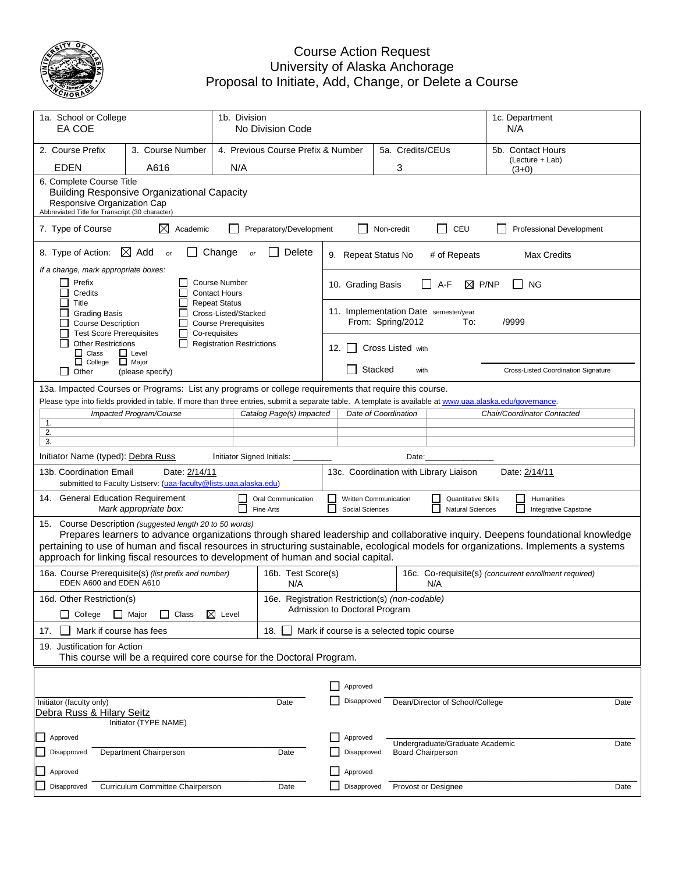

## Course Action Request University of Alaska Anchorage Proposal to Initiate, Add, Change, or Delete a Course

| 1a. School or College<br>EA COE                                                                            |                                                                                                                                                                                      | 1b. Division                                                                                 | No Division Code                               |                                                              |                                                                                                                                                                |            |                          |              |                                      | N/A   | 1c. Department                                                                                                                                                                                                                                                          |  |
|------------------------------------------------------------------------------------------------------------|--------------------------------------------------------------------------------------------------------------------------------------------------------------------------------------|----------------------------------------------------------------------------------------------|------------------------------------------------|--------------------------------------------------------------|----------------------------------------------------------------------------------------------------------------------------------------------------------------|------------|--------------------------|--------------|--------------------------------------|-------|-------------------------------------------------------------------------------------------------------------------------------------------------------------------------------------------------------------------------------------------------------------------------|--|
| 2. Course Prefix                                                                                           | 3. Course Number                                                                                                                                                                     |                                                                                              | 4. Previous Course Prefix & Number             |                                                              | 5a. Credits/CEUs                                                                                                                                               |            |                          |              | 5b. Contact Hours<br>(Lecture + Lab) |       |                                                                                                                                                                                                                                                                         |  |
| <b>EDEN</b>                                                                                                | A616                                                                                                                                                                                 | N/A                                                                                          |                                                |                                                              |                                                                                                                                                                |            | 3                        |              |                                      |       | $(3+0)$                                                                                                                                                                                                                                                                 |  |
| 6. Complete Course Title<br>Responsive Organization Cap<br>Abbreviated Title for Transcript (30 character) | <b>Building Responsive Organizational Capacity</b>                                                                                                                                   |                                                                                              |                                                |                                                              |                                                                                                                                                                |            |                          |              |                                      |       |                                                                                                                                                                                                                                                                         |  |
| 7. Type of Course                                                                                          | ⊠<br>Academic                                                                                                                                                                        |                                                                                              | Preparatory/Development                        |                                                              |                                                                                                                                                                | Non-credit |                          |              | CEU                                  |       | <b>Professional Development</b>                                                                                                                                                                                                                                         |  |
| 8. Type of Action:                                                                                         | $\boxtimes$ Add<br><b>or</b>                                                                                                                                                         | Change<br>or                                                                                 | Delete                                         |                                                              | 9. Repeat Status No                                                                                                                                            |            |                          | # of Repeats |                                      |       | <b>Max Credits</b>                                                                                                                                                                                                                                                      |  |
| If a change, mark appropriate boxes:<br>Prefix                                                             |                                                                                                                                                                                      | <b>Course Number</b>                                                                         |                                                |                                                              |                                                                                                                                                                |            |                          |              |                                      |       |                                                                                                                                                                                                                                                                         |  |
| Credits                                                                                                    |                                                                                                                                                                                      | <b>Contact Hours</b>                                                                         |                                                |                                                              | 10. Grading Basis                                                                                                                                              |            |                          | A-F          | $\boxtimes$ P/NP                     |       | ΝG                                                                                                                                                                                                                                                                      |  |
| Title<br><b>Grading Basis</b><br><b>Course Description</b><br><b>Test Score Prerequisites</b>              | $\mathsf{L}$                                                                                                                                                                         | <b>Repeat Status</b><br>Cross-Listed/Stacked<br><b>Course Prerequisites</b><br>Co-requisites |                                                |                                                              | 11. Implementation Date semester/year                                                                                                                          |            | From: Spring/2012        |              | To:                                  | /9999 |                                                                                                                                                                                                                                                                         |  |
| <b>Other Restrictions</b><br>$\Box$ Class                                                                  | $\Box$ Level                                                                                                                                                                         | <b>Registration Restrictions</b>                                                             |                                                |                                                              | 12. $\vert$ $\vert$                                                                                                                                            |            | <b>Cross Listed with</b> |              |                                      |       |                                                                                                                                                                                                                                                                         |  |
| $\Box$ College<br>Ш<br>Other                                                                               | $\Box$ Major<br>(please specify)                                                                                                                                                     |                                                                                              |                                                |                                                              |                                                                                                                                                                | Stacked    | with                     |              |                                      |       | Cross-Listed Coordination Signature                                                                                                                                                                                                                                     |  |
|                                                                                                            | 13a. Impacted Courses or Programs: List any programs or college requirements that require this course.                                                                               |                                                                                              |                                                |                                                              |                                                                                                                                                                |            |                          |              |                                      |       |                                                                                                                                                                                                                                                                         |  |
|                                                                                                            | Please type into fields provided in table. If more than three entries, submit a separate table. A template is available at www.uaa.alaska.edu/governance.<br>Impacted Program/Course |                                                                                              | Catalog Page(s) Impacted                       |                                                              | Date of Coordination                                                                                                                                           |            |                          |              |                                      |       | Chair/Coordinator Contacted                                                                                                                                                                                                                                             |  |
| 1.                                                                                                         |                                                                                                                                                                                      |                                                                                              |                                                |                                                              |                                                                                                                                                                |            |                          |              |                                      |       |                                                                                                                                                                                                                                                                         |  |
| 2.<br>3.                                                                                                   |                                                                                                                                                                                      |                                                                                              |                                                |                                                              |                                                                                                                                                                |            |                          |              |                                      |       |                                                                                                                                                                                                                                                                         |  |
| Initiator Name (typed): Debra Russ                                                                         |                                                                                                                                                                                      | Initiator Signed Initials:                                                                   |                                                |                                                              |                                                                                                                                                                |            | Date:                    |              |                                      |       |                                                                                                                                                                                                                                                                         |  |
| 13b. Coordination Email                                                                                    | Date: 2/14/11                                                                                                                                                                        |                                                                                              |                                                | 13c. Coordination with Library Liaison<br>Date: 2/14/11      |                                                                                                                                                                |            |                          |              |                                      |       |                                                                                                                                                                                                                                                                         |  |
| 14. General Education Requirement                                                                          | submitted to Faculty Listserv: (uaa-faculty@lists.uaa.alaska.edu)                                                                                                                    |                                                                                              | Oral Communication                             | $\mathsf{L}$                                                 |                                                                                                                                                                |            |                          |              |                                      |       |                                                                                                                                                                                                                                                                         |  |
|                                                                                                            | Mark appropriate box:                                                                                                                                                                |                                                                                              | Fine Arts                                      |                                                              | <b>Written Communication</b><br><b>Quantitative Skills</b><br>Humanities<br>$\mathbf{I}$<br>Social Sciences<br><b>Natural Sciences</b><br>Integrative Capstone |            |                          |              |                                      |       |                                                                                                                                                                                                                                                                         |  |
|                                                                                                            | 15. Course Description (suggested length 20 to 50 words)<br>approach for linking fiscal resources to development of human and social capital.                                        |                                                                                              |                                                |                                                              |                                                                                                                                                                |            |                          |              |                                      |       | Prepares learners to advance organizations through shared leadership and collaborative inquiry. Deepens foundational knowledge<br>pertaining to use of human and fiscal resources in structuring sustainable, ecological models for organizations. Implements a systems |  |
| EDEN A600 and EDEN A610                                                                                    | 16a. Course Prerequisite(s) (list prefix and number)                                                                                                                                 |                                                                                              | 16b. Test Score(s)<br>N/A                      | 16c. Co-requisite(s) (concurrent enrollment required)<br>N/A |                                                                                                                                                                |            |                          |              |                                      |       |                                                                                                                                                                                                                                                                         |  |
| 16d. Other Restriction(s)                                                                                  |                                                                                                                                                                                      |                                                                                              | 16e. Registration Restriction(s) (non-codable) |                                                              |                                                                                                                                                                |            |                          |              |                                      |       |                                                                                                                                                                                                                                                                         |  |
| College                                                                                                    | $\Box$ Major<br>$\Box$ Class                                                                                                                                                         | $\boxtimes$ Level                                                                            |                                                | Admission to Doctoral Program                                |                                                                                                                                                                |            |                          |              |                                      |       |                                                                                                                                                                                                                                                                         |  |
| Mark if course has fees<br>17.                                                                             |                                                                                                                                                                                      |                                                                                              | 18.                                            |                                                              | Mark if course is a selected topic course                                                                                                                      |            |                          |              |                                      |       |                                                                                                                                                                                                                                                                         |  |
| 19. Justification for Action                                                                               | This course will be a required core course for the Doctoral Program.                                                                                                                 |                                                                                              |                                                |                                                              |                                                                                                                                                                |            |                          |              |                                      |       |                                                                                                                                                                                                                                                                         |  |
|                                                                                                            |                                                                                                                                                                                      |                                                                                              |                                                |                                                              |                                                                                                                                                                |            |                          |              |                                      |       |                                                                                                                                                                                                                                                                         |  |
|                                                                                                            |                                                                                                                                                                                      |                                                                                              |                                                | ΙI                                                           | Approved                                                                                                                                                       |            |                          |              |                                      |       |                                                                                                                                                                                                                                                                         |  |
| Initiator (faculty only)<br>Date<br>Debra Russ & Hilary Seitz<br>Initiator (TYPE NAME)                     |                                                                                                                                                                                      |                                                                                              |                                                |                                                              | Disapproved                                                                                                                                                    |            |                          |              | Dean/Director of School/College      |       | Date                                                                                                                                                                                                                                                                    |  |
| Approved                                                                                                   |                                                                                                                                                                                      |                                                                                              |                                                |                                                              | Approved                                                                                                                                                       |            |                          |              |                                      |       |                                                                                                                                                                                                                                                                         |  |
| Disapproved                                                                                                | Department Chairperson                                                                                                                                                               |                                                                                              | Date                                           |                                                              | Disapproved                                                                                                                                                    |            | <b>Board Chairperson</b> |              | Undergraduate/Graduate Academic      |       | Date                                                                                                                                                                                                                                                                    |  |
| Approved                                                                                                   |                                                                                                                                                                                      |                                                                                              |                                                |                                                              | Approved                                                                                                                                                       |            |                          |              |                                      |       |                                                                                                                                                                                                                                                                         |  |
| Disapproved                                                                                                | Curriculum Committee Chairperson                                                                                                                                                     |                                                                                              | Date                                           |                                                              | Disapproved                                                                                                                                                    |            | Provost or Designee      |              |                                      |       | Date                                                                                                                                                                                                                                                                    |  |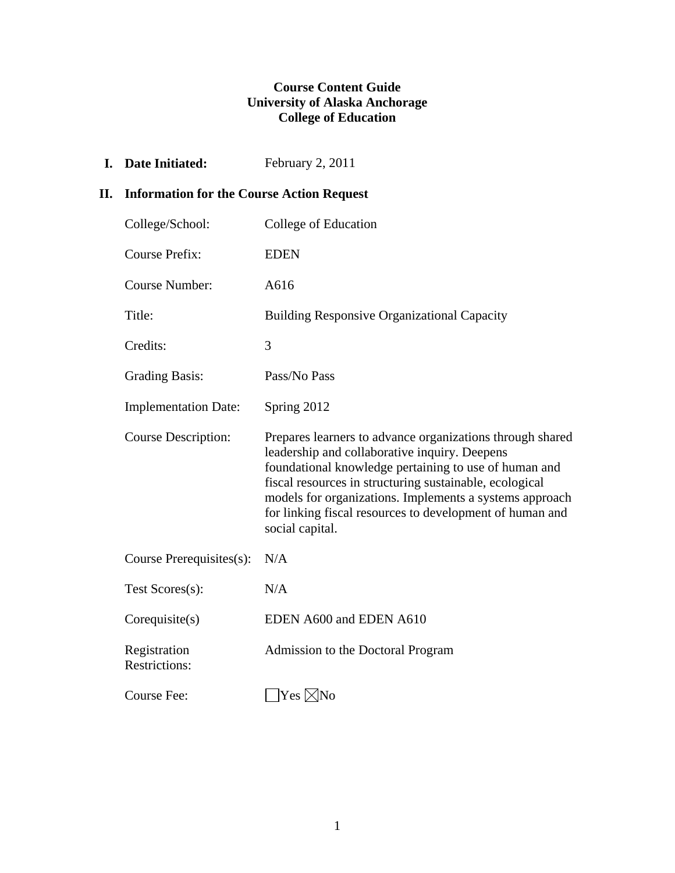## **Course Content Guide University of Alaska Anchorage College of Education**

**I.** Date Initiated: February 2, 2011

## **II. Information for the Course Action Request**

| College/School:                      | College of Education                                                                                                                                                                                                                                                                                                                                                     |
|--------------------------------------|--------------------------------------------------------------------------------------------------------------------------------------------------------------------------------------------------------------------------------------------------------------------------------------------------------------------------------------------------------------------------|
| <b>Course Prefix:</b>                | <b>EDEN</b>                                                                                                                                                                                                                                                                                                                                                              |
| <b>Course Number:</b>                | A616                                                                                                                                                                                                                                                                                                                                                                     |
| Title:                               | <b>Building Responsive Organizational Capacity</b>                                                                                                                                                                                                                                                                                                                       |
| Credits:                             | 3                                                                                                                                                                                                                                                                                                                                                                        |
| <b>Grading Basis:</b>                | Pass/No Pass                                                                                                                                                                                                                                                                                                                                                             |
| <b>Implementation Date:</b>          | Spring 2012                                                                                                                                                                                                                                                                                                                                                              |
| <b>Course Description:</b>           | Prepares learners to advance organizations through shared<br>leadership and collaborative inquiry. Deepens<br>foundational knowledge pertaining to use of human and<br>fiscal resources in structuring sustainable, ecological<br>models for organizations. Implements a systems approach<br>for linking fiscal resources to development of human and<br>social capital. |
| Course Prerequisites(s):             | N/A                                                                                                                                                                                                                                                                                                                                                                      |
| Test Scores(s):                      | N/A                                                                                                                                                                                                                                                                                                                                                                      |
| Corequisite(s)                       | EDEN A600 and EDEN A610                                                                                                                                                                                                                                                                                                                                                  |
| Registration<br><b>Restrictions:</b> | Admission to the Doctoral Program                                                                                                                                                                                                                                                                                                                                        |
| Course Fee:                          | $ {\rm Yes}\>\!\hskip -1pt \times \ \hskip -1pt {\rm No}\>\hskip -1pt$                                                                                                                                                                                                                                                                                                   |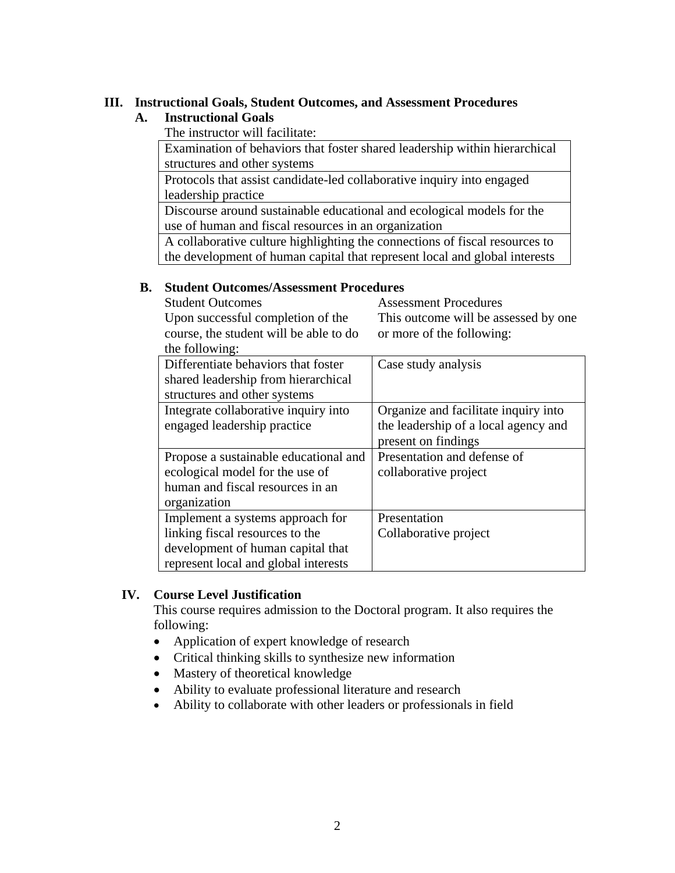## **III. Instructional Goals, Student Outcomes, and Assessment Procedures**

## **A. Instructional Goals**

The instructor will facilitate:

 Examination of behaviors that foster shared leadership within hierarchical structures and other systems

 Protocols that assist candidate-led collaborative inquiry into engaged leadership practice

 Discourse around sustainable educational and ecological models for the use of human and fiscal resources in an organization

 A collaborative culture highlighting the connections of fiscal resources to the development of human capital that represent local and global interests

## **B. Student Outcomes/Assessment Procedures**

 Student Outcomes Upon successful completion of the course, the student will be able to do the following:

Assessment Procedures This outcome will be assessed by one or more of the following:

| the following: |                                       |                                      |
|----------------|---------------------------------------|--------------------------------------|
|                | Differentiate behaviors that foster   | Case study analysis                  |
|                | shared leadership from hierarchical   |                                      |
|                | structures and other systems          |                                      |
|                | Integrate collaborative inquiry into  | Organize and facilitate inquiry into |
|                | engaged leadership practice           | the leadership of a local agency and |
|                |                                       | present on findings                  |
|                | Propose a sustainable educational and | Presentation and defense of          |
|                | ecological model for the use of       | collaborative project                |
|                | human and fiscal resources in an      |                                      |
| organization   |                                       |                                      |
|                | Implement a systems approach for      | Presentation                         |
|                | linking fiscal resources to the       | Collaborative project                |
|                | development of human capital that     |                                      |
|                | represent local and global interests  |                                      |

## **IV. Course Level Justification**

This course requires admission to the Doctoral program. It also requires the following:

- Application of expert knowledge of research
- Critical thinking skills to synthesize new information
- Mastery of theoretical knowledge
- Ability to evaluate professional literature and research
- Ability to collaborate with other leaders or professionals in field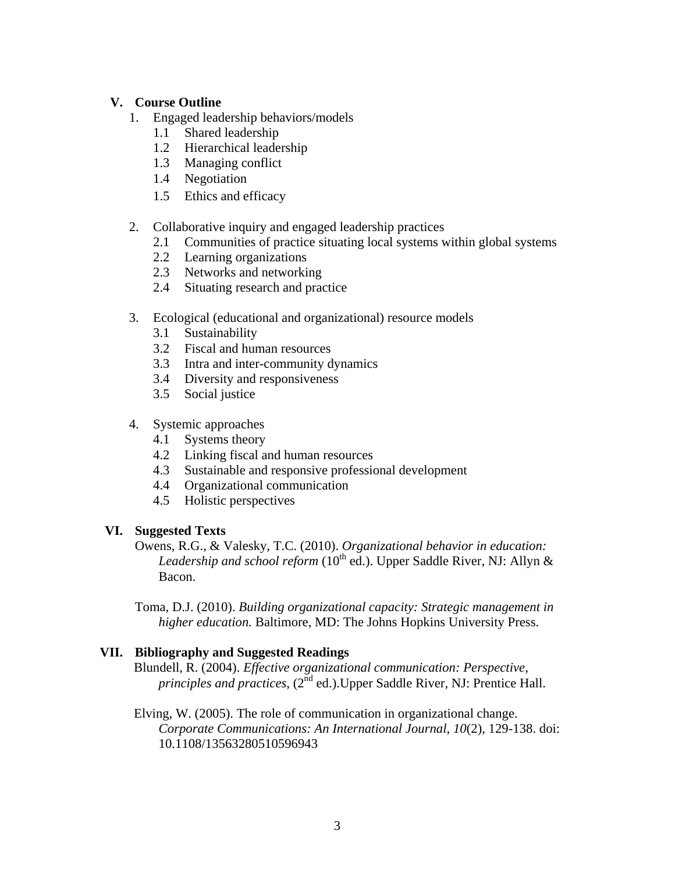## **V. Course Outline**

- 1. Engaged leadership behaviors/models
	- 1.1 Shared leadership
	- 1.2 Hierarchical leadership
	- 1.3 Managing conflict
	- 1.4 Negotiation
	- 1.5 Ethics and efficacy
- 2. Collaborative inquiry and engaged leadership practices
	- 2.1 Communities of practice situating local systems within global systems
	- 2.2 Learning organizations
	- 2.3 Networks and networking
	- 2.4 Situating research and practice
- 3. Ecological (educational and organizational) resource models
	- 3.1 Sustainability
	- 3.2 Fiscal and human resources
	- 3.3 Intra and inter-community dynamics
	- 3.4 Diversity and responsiveness
	- 3.5 Social justice
- 4. Systemic approaches
	- 4.1 Systems theory
	- 4.2 Linking fiscal and human resources
	- 4.3 Sustainable and responsive professional development
	- 4.4 Organizational communication
	- 4.5 Holistic perspectives

### **VI. Suggested Texts**

Owens, R.G., & Valesky, T.C. (2010). *Organizational behavior in education:*  Leadership and school reform (10<sup>th</sup> ed.). Upper Saddle River, NJ: Allyn & Bacon.

Toma, D.J. (2010). *Building organizational capacity: Strategic management in higher education.* Baltimore, MD: The Johns Hopkins University Press.

## **VII. Bibliography and Suggested Readings**

Blundell, R. (2004). *Effective organizational communication: Perspective, principles and practices*, (2nd ed.).Upper Saddle River, NJ: Prentice Hall.

Elving, W. (2005). The role of communication in organizational change. *Corporate Communications: An International Journal*, *10*(2), 129-138. doi: 10.1108/13563280510596943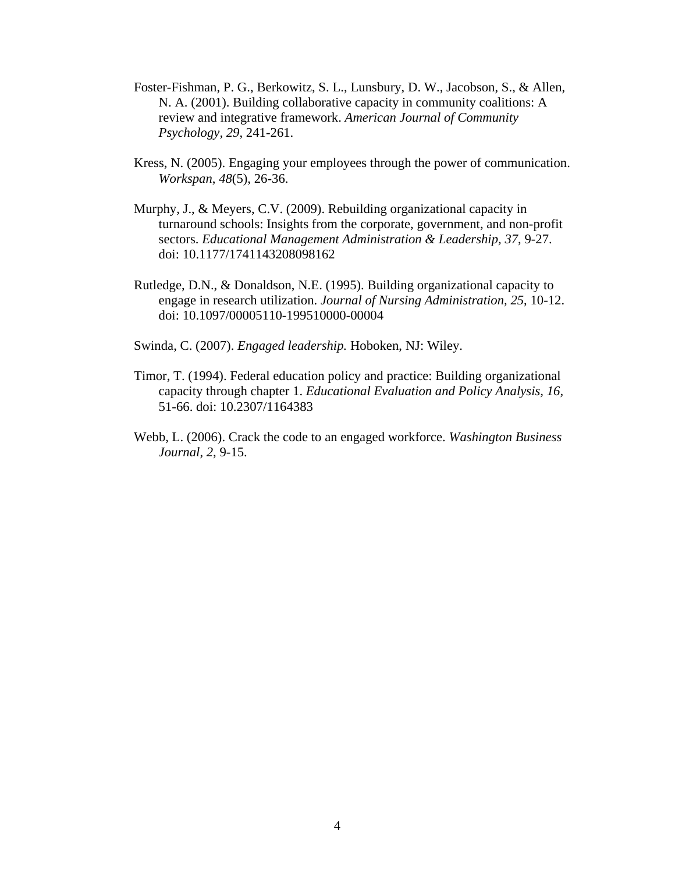- Foster-Fishman, P. G., Berkowitz, S. L., Lunsbury, D. W., Jacobson, S., & Allen, N. A. (2001). Building collaborative capacity in community coalitions: A review and integrative framework. *American Journal of Community Psychology, 29*, 241-261.
- Kress, N. (2005). Engaging your employees through the power of communication. *Workspan*, *48*(5), 26-36.
- Murphy, J., & Meyers, C.V. (2009). Rebuilding organizational capacity in turnaround schools: Insights from the corporate, government, and non-profit sectors. *Educational Management Administration & Leadership, 37*, 9-27. doi: 10.1177/1741143208098162
- Rutledge, D.N., & Donaldson, N.E. (1995). Building organizational capacity to engage in research utilization. *Journal of Nursing Administration, 25*, 10-12. doi: 10.1097/00005110-199510000-00004

Swinda, C. (2007). *Engaged leadership.* Hoboken, NJ: Wiley.

- Timor, T. (1994). Federal education policy and practice: Building organizational capacity through chapter 1. *Educational Evaluation and Policy Analysis, 16*, 51-66. doi: 10.2307/1164383
- Webb, L. (2006). Crack the code to an engaged workforce. *Washington Business Journal*, *2*, 9-15.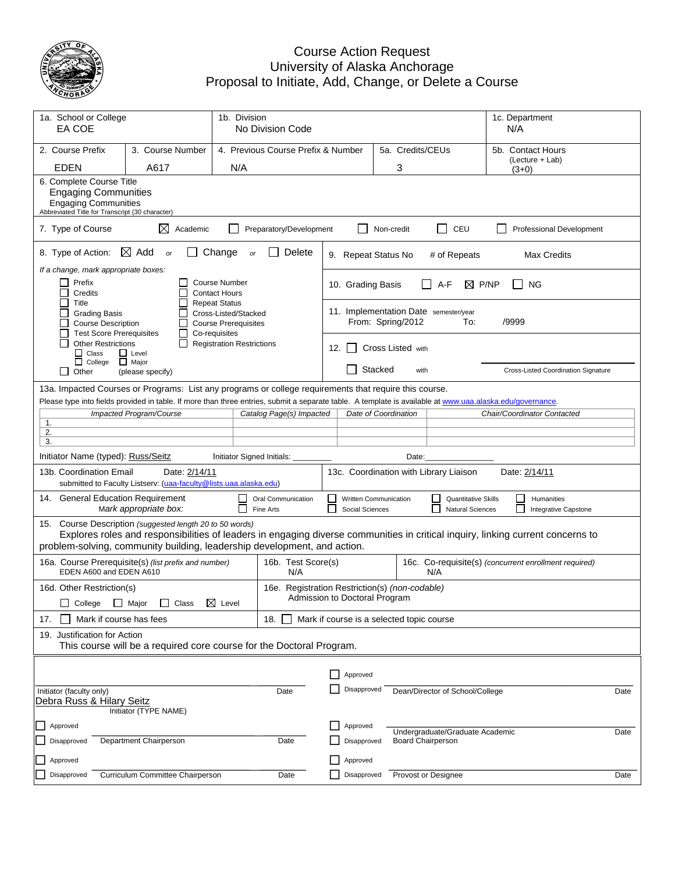

## Course Action Request University of Alaska Anchorage Proposal to Initiate, Add, Change, or Delete a Course

| 1a. School or College<br>EA COE                                                                                                                                                                                                                                            | 1b. Division<br>No Division Code                                                                                                                                                     |                                                            |                                                                                 |                                                                                    |                                                                            |                      | 1c. Department<br>N/A |                                                       |                                      |                                            |  |  |
|----------------------------------------------------------------------------------------------------------------------------------------------------------------------------------------------------------------------------------------------------------------------------|--------------------------------------------------------------------------------------------------------------------------------------------------------------------------------------|------------------------------------------------------------|---------------------------------------------------------------------------------|------------------------------------------------------------------------------------|----------------------------------------------------------------------------|----------------------|-----------------------|-------------------------------------------------------|--------------------------------------|--------------------------------------------|--|--|
| 2. Course Prefix                                                                                                                                                                                                                                                           | 3. Course Number                                                                                                                                                                     |                                                            | 4. Previous Course Prefix & Number                                              |                                                                                    | 5a. Credits/CEUs                                                           |                      |                       |                                                       | 5b. Contact Hours<br>(Lecture + Lab) |                                            |  |  |
| <b>EDEN</b>                                                                                                                                                                                                                                                                | A617                                                                                                                                                                                 | N/A                                                        |                                                                                 |                                                                                    |                                                                            | 3                    |                       |                                                       | $(3+0)$                              |                                            |  |  |
| 6. Complete Course Title<br><b>Engaging Communities</b><br><b>Engaging Communities</b><br>Abbreviated Title for Transcript (30 character)                                                                                                                                  |                                                                                                                                                                                      |                                                            |                                                                                 |                                                                                    |                                                                            |                      |                       |                                                       |                                      |                                            |  |  |
| 7. Type of Course                                                                                                                                                                                                                                                          | ⊠<br>Academic                                                                                                                                                                        |                                                            | Preparatory/Development                                                         |                                                                                    |                                                                            | Non-credit           |                       | $\Box$<br>CEU                                         |                                      | <b>Professional Development</b>            |  |  |
| 8. Type of Action:<br>$\boxtimes$ Add<br>Change<br>Delete<br>or<br>or                                                                                                                                                                                                      |                                                                                                                                                                                      |                                                            |                                                                                 |                                                                                    | 9. Repeat Status No<br># of Repeats<br>Max Credits                         |                      |                       |                                                       |                                      |                                            |  |  |
| If a change, mark appropriate boxes:<br>Prefix<br><b>Course Number</b><br>$\mathsf{L}$<br>Credits<br><b>Contact Hours</b>                                                                                                                                                  |                                                                                                                                                                                      |                                                            |                                                                                 |                                                                                    | 10. Grading Basis<br>A-F<br>P/NP<br><b>NG</b><br>⊠                         |                      |                       |                                                       |                                      |                                            |  |  |
| П<br>Title<br><b>Grading Basis</b><br><b>Course Description</b>                                                                                                                                                                                                            | Cross-Listed/Stacked<br><b>Course Prerequisites</b>                                                                                                                                  | 11. Implementation Date semester/year<br>From: Spring/2012 |                                                                                 |                                                                                    |                                                                            |                      | /9999<br>To:          |                                                       |                                      |                                            |  |  |
| <b>Test Score Prerequisites</b><br>Co-requisites<br><b>Other Restrictions</b><br><b>Registration Restrictions</b><br>$\Box$ Class<br>$\Box$ Level                                                                                                                          |                                                                                                                                                                                      |                                                            |                                                                                 | 12. I I                                                                            | <b>Cross Listed with</b>                                                   |                      |                       |                                                       |                                      |                                            |  |  |
| $\Box$ College<br>l 1<br>Other                                                                                                                                                                                                                                             | $\Box$ Major<br>(please specify)                                                                                                                                                     |                                                            |                                                                                 |                                                                                    | Stacked                                                                    |                      | with                  |                                                       |                                      | <b>Cross-Listed Coordination Signature</b> |  |  |
|                                                                                                                                                                                                                                                                            | 13a. Impacted Courses or Programs: List any programs or college requirements that require this course.                                                                               |                                                            |                                                                                 |                                                                                    |                                                                            |                      |                       |                                                       |                                      |                                            |  |  |
|                                                                                                                                                                                                                                                                            | Please type into fields provided in table. If more than three entries, submit a separate table. A template is available at www.uaa.alaska.edu/governance.<br>Impacted Program/Course |                                                            |                                                                                 |                                                                                    |                                                                            | Date of Coordination |                       |                                                       | Chair/Coordinator Contacted          |                                            |  |  |
| 1.                                                                                                                                                                                                                                                                         |                                                                                                                                                                                      |                                                            | Catalog Page(s) Impacted                                                        |                                                                                    |                                                                            |                      |                       |                                                       |                                      |                                            |  |  |
| 2.                                                                                                                                                                                                                                                                         |                                                                                                                                                                                      |                                                            |                                                                                 |                                                                                    |                                                                            |                      |                       |                                                       |                                      |                                            |  |  |
| 3.                                                                                                                                                                                                                                                                         |                                                                                                                                                                                      |                                                            |                                                                                 |                                                                                    |                                                                            |                      |                       |                                                       |                                      |                                            |  |  |
| Initiator Name (typed): Russ/Seitz<br>Initiator Signed Initials:<br>Date:                                                                                                                                                                                                  |                                                                                                                                                                                      |                                                            |                                                                                 |                                                                                    |                                                                            |                      |                       |                                                       |                                      |                                            |  |  |
| Date: 2/14/11<br>13b. Coordination Email<br>submitted to Faculty Listserv: (uaa-faculty@lists.uaa.alaska.edu)                                                                                                                                                              |                                                                                                                                                                                      |                                                            |                                                                                 |                                                                                    | 13c. Coordination with Library Liaison<br>Date: 2/14/11                    |                      |                       |                                                       |                                      |                                            |  |  |
| 14. General Education Requirement<br>Mark appropriate box:                                                                                                                                                                                                                 |                                                                                                                                                                                      |                                                            | Oral Communication<br>Fine Arts                                                 | $\Box$<br>$\mathsf{L}$                                                             | Written Communication<br>Social Sciences                                   |                      |                       | <b>Quantitative Skills</b><br><b>Natural Sciences</b> | $\Box$<br>Humanities<br>$\mathsf{L}$ | Integrative Capstone                       |  |  |
| Course Description (suggested length 20 to 50 words)<br>15.<br>Explores roles and responsibilities of leaders in engaging diverse communities in critical inquiry, linking current concerns to<br>problem-solving, community building, leadership development, and action. |                                                                                                                                                                                      |                                                            |                                                                                 |                                                                                    |                                                                            |                      |                       |                                                       |                                      |                                            |  |  |
| EDEN A600 and EDEN A610                                                                                                                                                                                                                                                    | 16a. Course Prerequisite(s) (list prefix and number)                                                                                                                                 |                                                            | N/A                                                                             | 16b. Test Score(s)<br>16c. Co-requisite(s) (concurrent enrollment required)<br>N/A |                                                                            |                      |                       |                                                       |                                      |                                            |  |  |
| 16d. Other Restriction(s)                                                                                                                                                                                                                                                  |                                                                                                                                                                                      |                                                            | 16e. Registration Restriction(s) (non-codable)<br>Admission to Doctoral Program |                                                                                    |                                                                            |                      |                       |                                                       |                                      |                                            |  |  |
|                                                                                                                                                                                                                                                                            | □ College □ Major □ Class 区 Level                                                                                                                                                    |                                                            |                                                                                 |                                                                                    |                                                                            |                      |                       |                                                       |                                      |                                            |  |  |
| 17.                                                                                                                                                                                                                                                                        | Mark if course has fees<br>Mark if course is a selected topic course<br>18.                                                                                                          |                                                            |                                                                                 |                                                                                    |                                                                            |                      |                       |                                                       |                                      |                                            |  |  |
|                                                                                                                                                                                                                                                                            | 19. Justification for Action<br>This course will be a required core course for the Doctoral Program.                                                                                 |                                                            |                                                                                 |                                                                                    |                                                                            |                      |                       |                                                       |                                      |                                            |  |  |
|                                                                                                                                                                                                                                                                            |                                                                                                                                                                                      |                                                            |                                                                                 |                                                                                    |                                                                            |                      |                       |                                                       |                                      |                                            |  |  |
|                                                                                                                                                                                                                                                                            |                                                                                                                                                                                      |                                                            |                                                                                 |                                                                                    | Approved                                                                   |                      |                       |                                                       |                                      |                                            |  |  |
| Initiator (faculty only)<br>Debra Russ & Hilary Seitz<br>Initiator (TYPE NAME)                                                                                                                                                                                             |                                                                                                                                                                                      |                                                            | Date                                                                            |                                                                                    | Disapproved                                                                |                      |                       | Dean/Director of School/College                       |                                      | Date                                       |  |  |
|                                                                                                                                                                                                                                                                            |                                                                                                                                                                                      |                                                            |                                                                                 |                                                                                    | Approved                                                                   |                      |                       |                                                       |                                      |                                            |  |  |
| Approved<br>Department Chairperson<br>Disapproved                                                                                                                                                                                                                          |                                                                                                                                                                                      |                                                            | Date                                                                            |                                                                                    | Undergraduate/Graduate Academic<br><b>Board Chairperson</b><br>Disapproved |                      |                       |                                                       | Date                                 |                                            |  |  |
| Approved                                                                                                                                                                                                                                                                   |                                                                                                                                                                                      |                                                            | Approved                                                                        |                                                                                    |                                                                            |                      |                       |                                                       |                                      |                                            |  |  |
| Curriculum Committee Chairperson<br>Disapproved<br>Date                                                                                                                                                                                                                    |                                                                                                                                                                                      |                                                            |                                                                                 |                                                                                    | Disapproved                                                                |                      |                       | Provost or Designee                                   |                                      | Date                                       |  |  |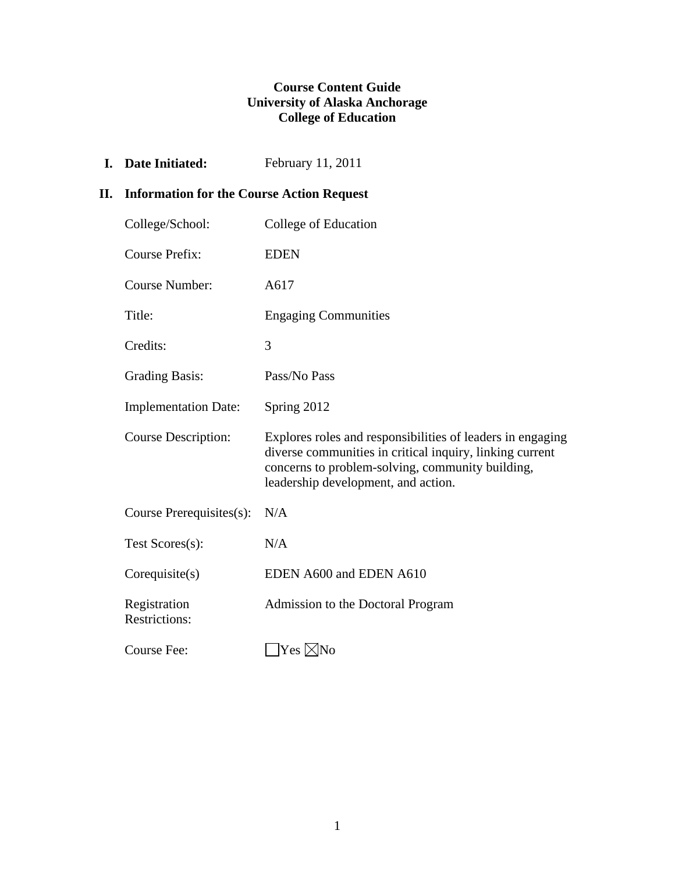## **Course Content Guide University of Alaska Anchorage College of Education**

**I.** Date Initiated: February 11, 2011

## **II. Information for the Course Action Request**

| College/School:                      | College of Education                                                                                                                                                                                              |
|--------------------------------------|-------------------------------------------------------------------------------------------------------------------------------------------------------------------------------------------------------------------|
| <b>Course Prefix:</b>                | <b>EDEN</b>                                                                                                                                                                                                       |
| <b>Course Number:</b>                | A617                                                                                                                                                                                                              |
| Title:                               | <b>Engaging Communities</b>                                                                                                                                                                                       |
| Credits:                             | 3                                                                                                                                                                                                                 |
| <b>Grading Basis:</b>                | Pass/No Pass                                                                                                                                                                                                      |
| <b>Implementation Date:</b>          | Spring 2012                                                                                                                                                                                                       |
| <b>Course Description:</b>           | Explores roles and responsibilities of leaders in engaging<br>diverse communities in critical inquiry, linking current<br>concerns to problem-solving, community building,<br>leadership development, and action. |
| Course Prerequisites(s):             | N/A                                                                                                                                                                                                               |
| Test Scores(s):                      | N/A                                                                                                                                                                                                               |
| Corequisite(s)                       | EDEN A600 and EDEN A610                                                                                                                                                                                           |
| Registration<br><b>Restrictions:</b> | Admission to the Doctoral Program                                                                                                                                                                                 |
| Course Fee:                          | Yes ⊠No                                                                                                                                                                                                           |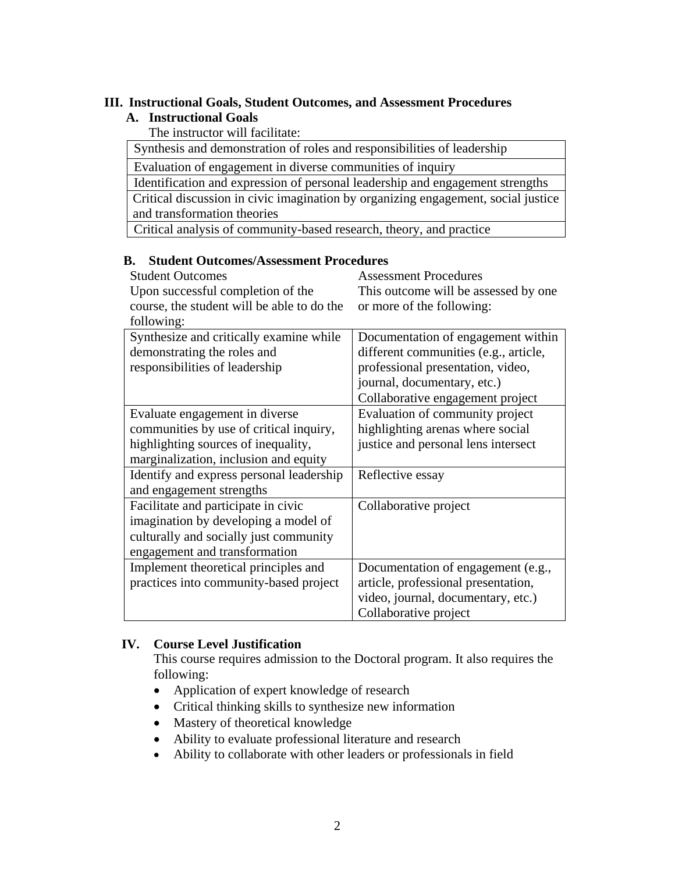## **III. Instructional Goals, Student Outcomes, and Assessment Procedures**

## **A. Instructional Goals**

The instructor will facilitate:

Synthesis and demonstration of roles and responsibilities of leadership

Evaluation of engagement in diverse communities of inquiry

Identification and expression of personal leadership and engagement strengths

 Critical discussion in civic imagination by organizing engagement, social justice and transformation theories

Critical analysis of community-based research, theory, and practice

### **B. Student Outcomes/Assessment Procedures**

| <b>Student Outcomes</b>                    | <b>Assessment Procedures</b>          |
|--------------------------------------------|---------------------------------------|
| Upon successful completion of the          | This outcome will be assessed by one  |
| course, the student will be able to do the | or more of the following:             |
| following:                                 |                                       |
| Synthesize and critically examine while    | Documentation of engagement within    |
| demonstrating the roles and                | different communities (e.g., article, |
| responsibilities of leadership             | professional presentation, video,     |
|                                            | journal, documentary, etc.)           |
|                                            | Collaborative engagement project      |
| Evaluate engagement in diverse             | Evaluation of community project       |
| communities by use of critical inquiry,    | highlighting arenas where social      |
| highlighting sources of inequality,        | justice and personal lens intersect   |
| marginalization, inclusion and equity      |                                       |
| Identify and express personal leadership   | Reflective essay                      |
| and engagement strengths                   |                                       |
| Facilitate and participate in civic        | Collaborative project                 |
| imagination by developing a model of       |                                       |
| culturally and socially just community     |                                       |
| engagement and transformation              |                                       |
| Implement theoretical principles and       | Documentation of engagement (e.g.,    |
| practices into community-based project     | article, professional presentation,   |
|                                            | video, journal, documentary, etc.)    |
|                                            | Collaborative project                 |

## **IV. Course Level Justification**

This course requires admission to the Doctoral program. It also requires the following:

- Application of expert knowledge of research
- Critical thinking skills to synthesize new information
- Mastery of theoretical knowledge
- Ability to evaluate professional literature and research
- Ability to collaborate with other leaders or professionals in field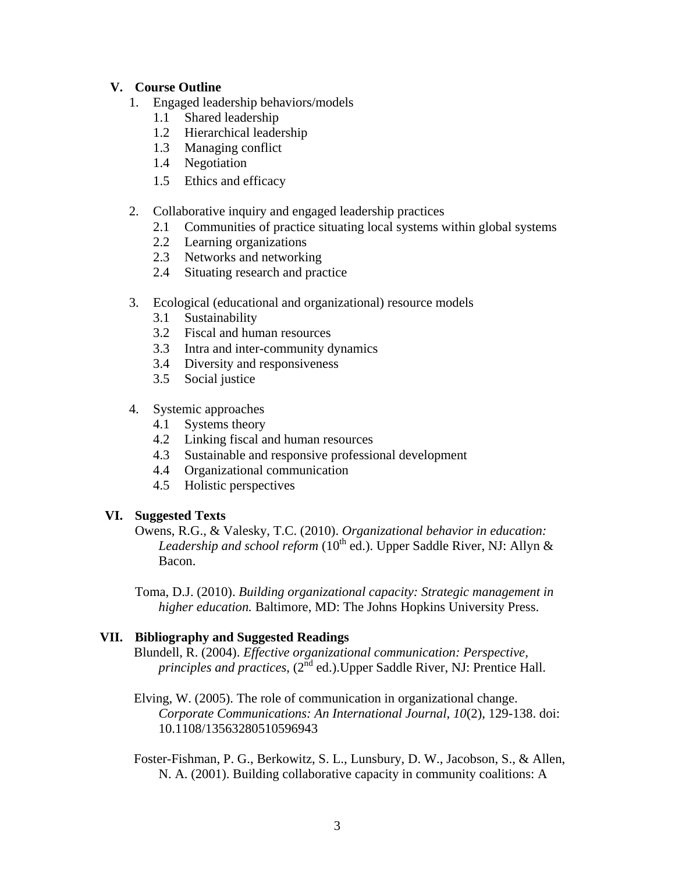## **V. Course Outline**

- 1. Engaged leadership behaviors/models
	- 1.1 Shared leadership
	- 1.2 Hierarchical leadership
	- 1.3 Managing conflict
	- 1.4 Negotiation
	- 1.5 Ethics and efficacy
- 2. Collaborative inquiry and engaged leadership practices
	- 2.1 Communities of practice situating local systems within global systems
	- 2.2 Learning organizations
	- 2.3 Networks and networking
	- 2.4 Situating research and practice
- 3. Ecological (educational and organizational) resource models
	- 3.1 Sustainability
	- 3.2 Fiscal and human resources
	- 3.3 Intra and inter-community dynamics
	- 3.4 Diversity and responsiveness
	- 3.5 Social justice
- 4. Systemic approaches
	- 4.1 Systems theory
	- 4.2 Linking fiscal and human resources
	- 4.3 Sustainable and responsive professional development
	- 4.4 Organizational communication
	- 4.5 Holistic perspectives

#### **VI. Suggested Texts**

Owens, R.G., & Valesky, T.C. (2010). *Organizational behavior in education: Leadership and school reform* (10<sup>th</sup> ed.). Upper Saddle River, NJ: Allyn & Bacon.

Toma, D.J. (2010). *Building organizational capacity: Strategic management in higher education.* Baltimore, MD: The Johns Hopkins University Press.

#### **VII. Bibliography and Suggested Readings**

- Blundell, R. (2004). *Effective organizational communication: Perspective, principles and practices*,  $(2^{nd}$  ed.). Upper Saddle River, NJ: Prentice Hall.
- Elving, W. (2005). The role of communication in organizational change. *Corporate Communications: An International Journal*, *10*(2), 129-138. doi: 10.1108/13563280510596943

Foster-Fishman, P. G., Berkowitz, S. L., Lunsbury, D. W., Jacobson, S., & Allen, N. A. (2001). Building collaborative capacity in community coalitions: A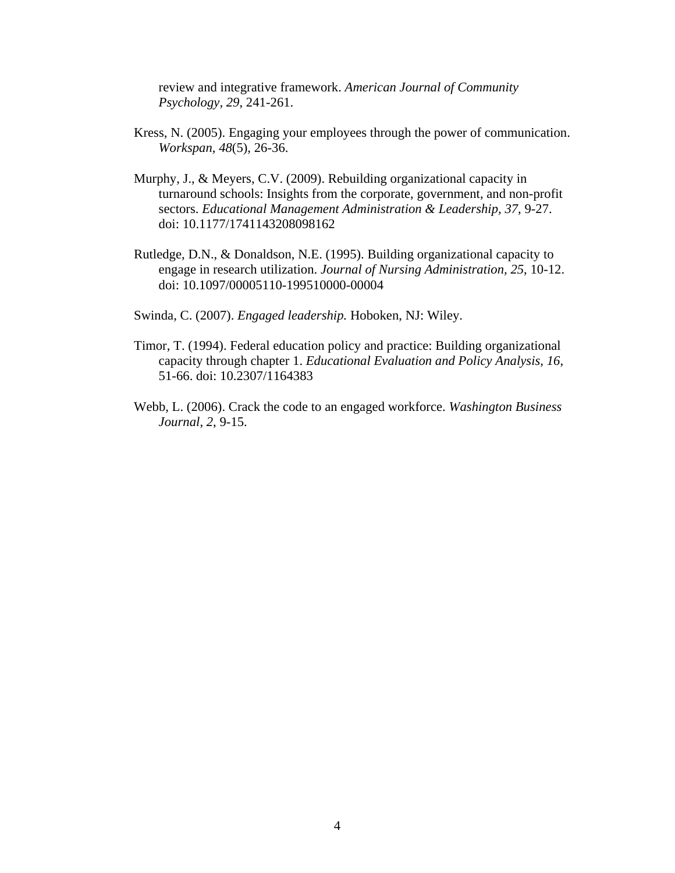review and integrative framework. *American Journal of Community Psychology, 29*, 241-261.

- Kress, N. (2005). Engaging your employees through the power of communication. *Workspan*, *48*(5), 26-36.
- Murphy, J., & Meyers, C.V. (2009). Rebuilding organizational capacity in turnaround schools: Insights from the corporate, government, and non-profit sectors. *Educational Management Administration & Leadership, 37*, 9-27. doi: 10.1177/1741143208098162
- Rutledge, D.N., & Donaldson, N.E. (1995). Building organizational capacity to engage in research utilization. *Journal of Nursing Administration, 25*, 10-12. doi: 10.1097/00005110-199510000-00004
- Swinda, C. (2007). *Engaged leadership.* Hoboken, NJ: Wiley.
- Timor, T. (1994). Federal education policy and practice: Building organizational capacity through chapter 1. *Educational Evaluation and Policy Analysis, 16*, 51-66. doi: 10.2307/1164383
- Webb, L. (2006). Crack the code to an engaged workforce. *Washington Business Journal*, *2*, 9-15.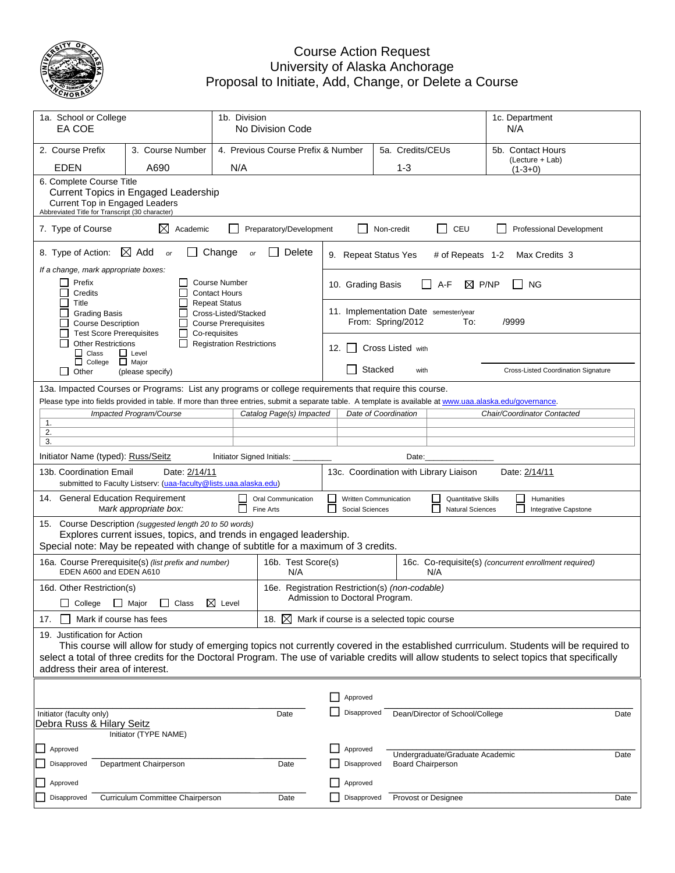

## Course Action Request University of Alaska Anchorage Proposal to Initiate, Add, Change, or Delete a Course

| 1a. School or College<br>EA COE                                                                                                                                                                                                                                                                                                                           |                                                                                  | 1b. Division<br>No Division Code                                           |                  |                      |                                                       |                                 | 1c. Department<br>N/A        |                                     |  |
|-----------------------------------------------------------------------------------------------------------------------------------------------------------------------------------------------------------------------------------------------------------------------------------------------------------------------------------------------------------|----------------------------------------------------------------------------------|----------------------------------------------------------------------------|------------------|----------------------|-------------------------------------------------------|---------------------------------|------------------------------|-------------------------------------|--|
| 2. Course Prefix<br>3. Course Number                                                                                                                                                                                                                                                                                                                      |                                                                                  | 4. Previous Course Prefix & Number                                         | 5a. Credits/CEUs |                      |                                                       |                                 | 5b. Contact Hours            |                                     |  |
| <b>EDEN</b><br>A690                                                                                                                                                                                                                                                                                                                                       | N/A                                                                              |                                                                            | $1 - 3$          |                      |                                                       |                                 | (Lecture + Lab)<br>$(1-3+0)$ |                                     |  |
| 6. Complete Course Title<br><b>Current Topics in Engaged Leadership</b><br>Current Top in Engaged Leaders<br>Abbreviated Title for Transcript (30 character)                                                                                                                                                                                              |                                                                                  |                                                                            |                  |                      |                                                       |                                 |                              |                                     |  |
| $\mathbb{R}^n$<br>7. Type of Course<br>⊠<br>CEU<br>Academic<br>Preparatory/Development<br>Non-credit<br><b>Professional Development</b>                                                                                                                                                                                                                   |                                                                                  |                                                                            |                  |                      |                                                       |                                 |                              |                                     |  |
| $\boxtimes$ Add<br>8. Type of Action:<br>or                                                                                                                                                                                                                                                                                                               | 9. Repeat Status Yes<br># of Repeats 1-2<br>Max Credits 3                        |                                                                            |                  |                      |                                                       |                                 |                              |                                     |  |
| If a change, mark appropriate boxes:<br>Prefix<br>Credits                                                                                                                                                                                                                                                                                                 | P/NP<br><b>NG</b><br>10. Grading Basis<br>A-F<br>⊠                               |                                                                            |                  |                      |                                                       |                                 |                              |                                     |  |
| Title<br><b>Grading Basis</b><br><b>Course Description</b><br><b>Test Score Prerequisites</b>                                                                                                                                                                                                                                                             | Cross-Listed/Stacked<br><b>Course Prerequisites</b>                              | 11. Implementation Date semester/year<br>From: Spring/2012<br>/9999<br>To: |                  |                      |                                                       |                                 |                              |                                     |  |
| <b>Other Restrictions</b><br>$\Box$ Class<br>$\Box$ Level<br>$\Box$ College<br>$\Box$ Major                                                                                                                                                                                                                                                               | <b>Registration Restrictions</b>                                                 | Cross Listed with<br>12.<br>$\mathbf{I}$                                   |                  |                      |                                                       |                                 |                              |                                     |  |
| Other<br>(please specify)                                                                                                                                                                                                                                                                                                                                 |                                                                                  |                                                                            |                  | Stacked              | with                                                  |                                 |                              | Cross-Listed Coordination Signature |  |
| 13a. Impacted Courses or Programs: List any programs or college requirements that require this course.                                                                                                                                                                                                                                                    |                                                                                  |                                                                            |                  |                      |                                                       |                                 |                              |                                     |  |
| Please type into fields provided in table. If more than three entries, submit a separate table. A template is available at www.uaa.alaska.edu/governance.<br>Impacted Program/Course                                                                                                                                                                      |                                                                                  | Catalog Page(s) Impacted                                                   |                  | Date of Coordination |                                                       |                                 | Chair/Coordinator Contacted  |                                     |  |
| 1.<br>2.                                                                                                                                                                                                                                                                                                                                                  |                                                                                  |                                                                            |                  |                      |                                                       |                                 |                              |                                     |  |
| 3.                                                                                                                                                                                                                                                                                                                                                        |                                                                                  |                                                                            |                  |                      |                                                       |                                 |                              |                                     |  |
| Initiator Name (typed): Russ/Seitz<br>Initiator Signed Initials:<br>Date:                                                                                                                                                                                                                                                                                 |                                                                                  |                                                                            |                  |                      |                                                       |                                 |                              |                                     |  |
| Date: 2/14/11<br>13c. Coordination with Library Liaison<br>Date: 2/14/11<br>13b. Coordination Email<br>submitted to Faculty Listserv: (uaa-faculty@lists.uaa.alaska.edu)                                                                                                                                                                                  |                                                                                  |                                                                            |                  |                      |                                                       |                                 |                              |                                     |  |
| 14. General Education Requirement<br>Oral Communication<br>Written Communication<br><b>Quantitative Skills</b><br>$\Box$<br>Humanities<br>Mark appropriate box:<br>Fine Arts<br>Social Sciences<br><b>Natural Sciences</b><br>Integrative Capstone                                                                                                        |                                                                                  |                                                                            |                  |                      |                                                       |                                 |                              |                                     |  |
| 15. Course Description (suggested length 20 to 50 words)<br>Explores current issues, topics, and trends in engaged leadership.<br>Special note: May be repeated with change of subtitle for a maximum of 3 credits.                                                                                                                                       |                                                                                  |                                                                            |                  |                      |                                                       |                                 |                              |                                     |  |
| 16a. Course Prerequisite(s) (list prefix and number)<br>EDEN A600 and EDEN A610                                                                                                                                                                                                                                                                           | 16b. Test Score(s)                                                               |                                                                            |                  | N/A                  | 16c. Co-requisite(s) (concurrent enrollment required) |                                 |                              |                                     |  |
| 16d. Other Restriction(s)<br>□ College □ Major □ Class 区 Level                                                                                                                                                                                                                                                                                            | 16e. Registration Restriction(s) (non-codable)<br>Admission to Doctoral Program. |                                                                            |                  |                      |                                                       |                                 |                              |                                     |  |
| 18. $\boxtimes$<br>Mark if course has fees<br>Mark if course is a selected topic course<br>17.                                                                                                                                                                                                                                                            |                                                                                  |                                                                            |                  |                      |                                                       |                                 |                              |                                     |  |
| 19. Justification for Action<br>This course will allow for study of emerging topics not currently covered in the established currriculum. Students will be required to<br>select a total of three credits for the Doctoral Program. The use of variable credits will allow students to select topics that specifically<br>address their area of interest. |                                                                                  |                                                                            |                  |                      |                                                       |                                 |                              |                                     |  |
|                                                                                                                                                                                                                                                                                                                                                           |                                                                                  |                                                                            | Approved         |                      |                                                       |                                 |                              |                                     |  |
| Initiator (faculty only)                                                                                                                                                                                                                                                                                                                                  |                                                                                  | Date                                                                       | Disapproved      |                      |                                                       | Dean/Director of School/College |                              | Date                                |  |
| Debra Russ & Hilary Seitz<br>Initiator (TYPE NAME)                                                                                                                                                                                                                                                                                                        |                                                                                  |                                                                            |                  |                      |                                                       |                                 |                              |                                     |  |
| Approved                                                                                                                                                                                                                                                                                                                                                  |                                                                                  |                                                                            | Approved         |                      |                                                       | Undergraduate/Graduate Academic |                              | Date                                |  |
| Department Chairperson<br>Disapproved                                                                                                                                                                                                                                                                                                                     |                                                                                  | Date                                                                       | Disapproved      |                      | <b>Board Chairperson</b>                              |                                 |                              |                                     |  |
| Approved                                                                                                                                                                                                                                                                                                                                                  |                                                                                  |                                                                            | Approved         |                      |                                                       |                                 |                              |                                     |  |
| Curriculum Committee Chairperson<br>Disapproved                                                                                                                                                                                                                                                                                                           |                                                                                  | Date                                                                       | Disapproved      |                      |                                                       | Provost or Designee             |                              | Date                                |  |